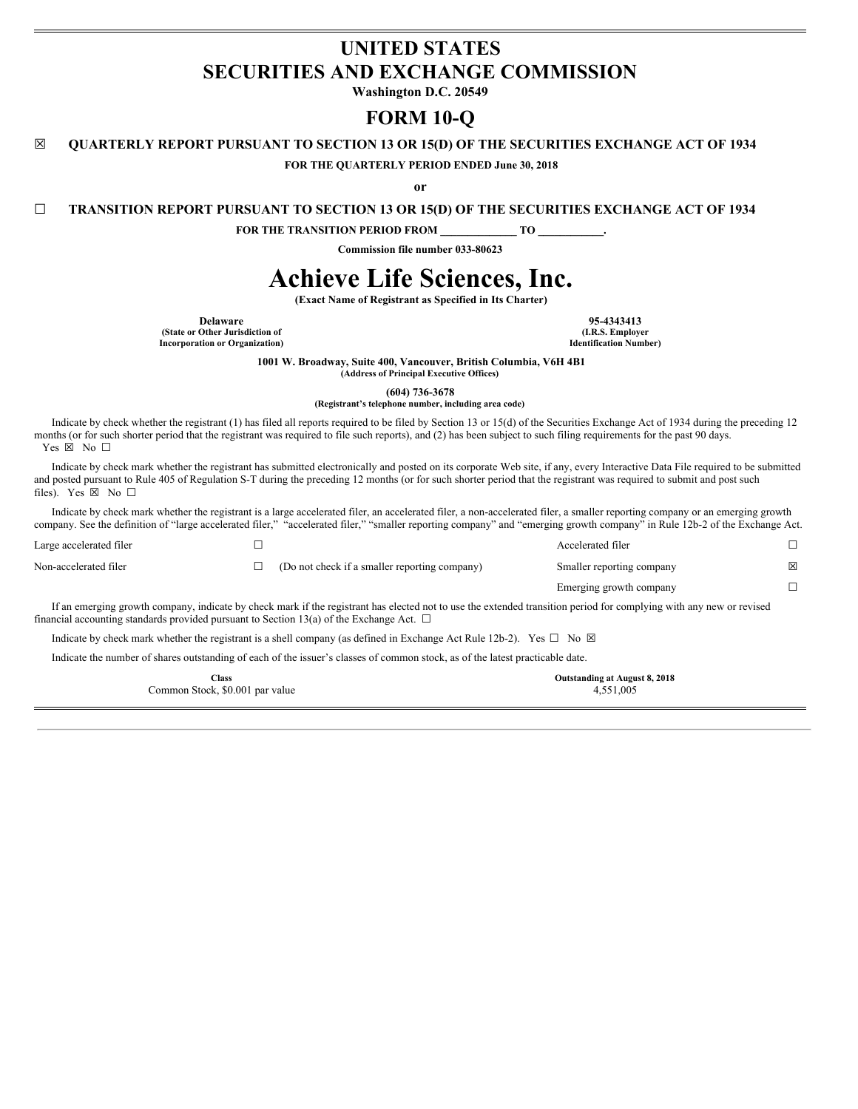# **UNITED STATES SECURITIES AND EXCHANGE COMMISSION**

**Washington D.C. 20549**

# **FORM 10-Q**

**☒ QUARTERLY REPORT PURSUANT TO SECTION 13 OR 15(D) OF THE SECURITIES EXCHANGE ACT OF 1934**

**FOR THE QUARTERLY PERIOD ENDED June 30, 2018**

**or**

**☐ TRANSITION REPORT PURSUANT TO SECTION 13 OR 15(D) OF THE SECURITIES EXCHANGE ACT OF 1934**

**FOR THE TRANSITION PERIOD FROM \_\_\_\_\_\_\_\_\_\_\_\_\_\_ TO \_\_\_\_\_\_\_\_\_\_\_\_.**

**Commission file number 033-80623**

# **Achieve Life Sciences, Inc.**

**(Exact Name of Registrant as Specified in Its Charter)**

**Delaware 95-4343413**<br> **195-4343413**<br> **1.R.S. Employer 1.R.S. Employer (State or Other Jurisdiction of (I.R.S. Employer Incorporation** or **Organization**)

**1001 W. Broadway, Suite 400, Vancouver, British Columbia, V6H 4B1**

**(Address of Principal Executive Offices)**

**(604) 736-3678**

**(Registrant's telephone number, including area code)**

Indicate by check whether the registrant (1) has filed all reports required to be filed by Section 13 or 15(d) of the Securities Exchange Act of 1934 during the preceding 12 months (or for such shorter period that the registrant was required to file such reports), and (2) has been subject to such filing requirements for the past 90 days. Yes ⊠ No □

Indicate by check mark whether the registrant has submitted electronically and posted on its corporate Web site, if any, every Interactive Data File required to be submitted and posted pursuant to Rule 405 of Regulation S-T during the preceding 12 months (or for such shorter period that the registrant was required to submit and post such files). Yes  $\boxtimes$  No  $\square$ 

Indicate by check mark whether the registrant is a large accelerated filer, an accelerated filer, a non-accelerated filer, a smaller reporting company or an emerging growth company. See the definition of "large accelerated filer," "accelerated filer," "smaller reporting company" and "emerging growth company" in Rule 12b-2 of the Exchange Act.

| Large accelerated filer                                                                                                                                                                                                                                              |  |                                                                                                                                     | Accelerated filer         |  |  |  |  |  |
|----------------------------------------------------------------------------------------------------------------------------------------------------------------------------------------------------------------------------------------------------------------------|--|-------------------------------------------------------------------------------------------------------------------------------------|---------------------------|--|--|--|--|--|
| Non-accelerated filer                                                                                                                                                                                                                                                |  | (Do not check if a smaller reporting company)                                                                                       | Smaller reporting company |  |  |  |  |  |
|                                                                                                                                                                                                                                                                      |  |                                                                                                                                     | Emerging growth company   |  |  |  |  |  |
| If an emerging growth company, indicate by check mark if the registrant has elected not to use the extended transition period for complying with any new or revised<br>financial accounting standards provided pursuant to Section 13(a) of the Exchange Act. $\Box$ |  |                                                                                                                                     |                           |  |  |  |  |  |
|                                                                                                                                                                                                                                                                      |  | Indicate by check mark whether the registrant is a shell company (as defined in Exchange Act Rule 12b-2). Yes $\Box$ No $\boxtimes$ |                           |  |  |  |  |  |
|                                                                                                                                                                                                                                                                      |  | <del>ritualidae de característica</del> de característic                                                                            |                           |  |  |  |  |  |

Indicate the number of shares outstanding of each of the issuer's classes of common stock, as of the latest practicable date.

| <b>Tlass</b>                    | Outstanding at August 8, 2018 |
|---------------------------------|-------------------------------|
| Common Stock, \$0.001 par value | 4,551,005                     |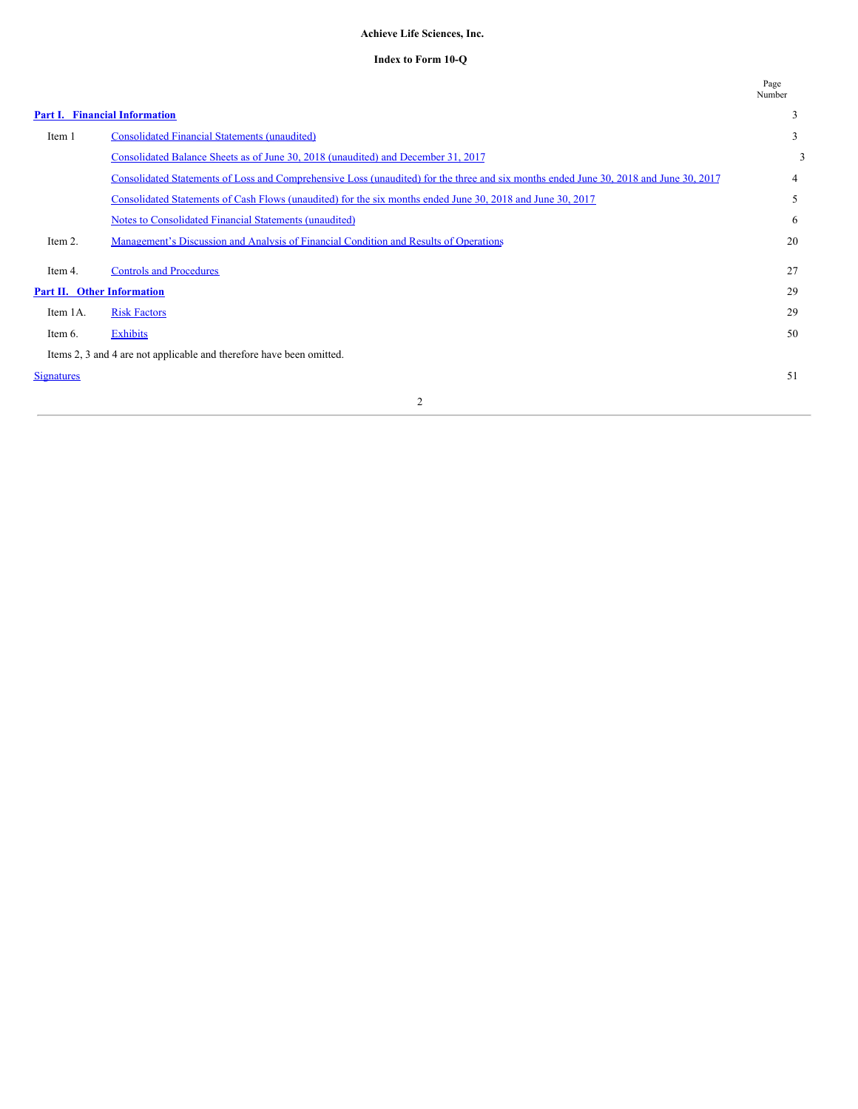# **Achieve Life Sciences, Inc.**

# **Index to Form 10-Q**

|                   |                                                                                                                                       | Page<br>Number |
|-------------------|---------------------------------------------------------------------------------------------------------------------------------------|----------------|
|                   | <b>Part I. Financial Information</b>                                                                                                  | 3              |
| Item 1            | <b>Consolidated Financial Statements (unaudited)</b>                                                                                  | 3              |
|                   | Consolidated Balance Sheets as of June 30, 2018 (unaudited) and December 31, 2017                                                     | 3              |
|                   | Consolidated Statements of Loss and Comprehensive Loss (unaudited) for the three and six months ended June 30, 2018 and June 30, 2017 | 4              |
|                   | Consolidated Statements of Cash Flows (unaudited) for the six months ended June 30, 2018 and June 30, 2017                            | 5              |
|                   | Notes to Consolidated Financial Statements (unaudited)                                                                                | 6              |
| Item 2.           | Management's Discussion and Analysis of Financial Condition and Results of Operations                                                 | 20             |
| Item 4.           | <b>Controls and Procedures</b>                                                                                                        | 27             |
|                   | <b>Part II. Other Information</b>                                                                                                     | 29             |
| Item 1A.          | <b>Risk Factors</b>                                                                                                                   | 29             |
| Item 6.           | <b>Exhibits</b>                                                                                                                       | 50             |
|                   | Items 2, 3 and 4 are not applicable and therefore have been omitted.                                                                  |                |
| <b>Signatures</b> |                                                                                                                                       | 51             |
|                   | $\overline{2}$                                                                                                                        |                |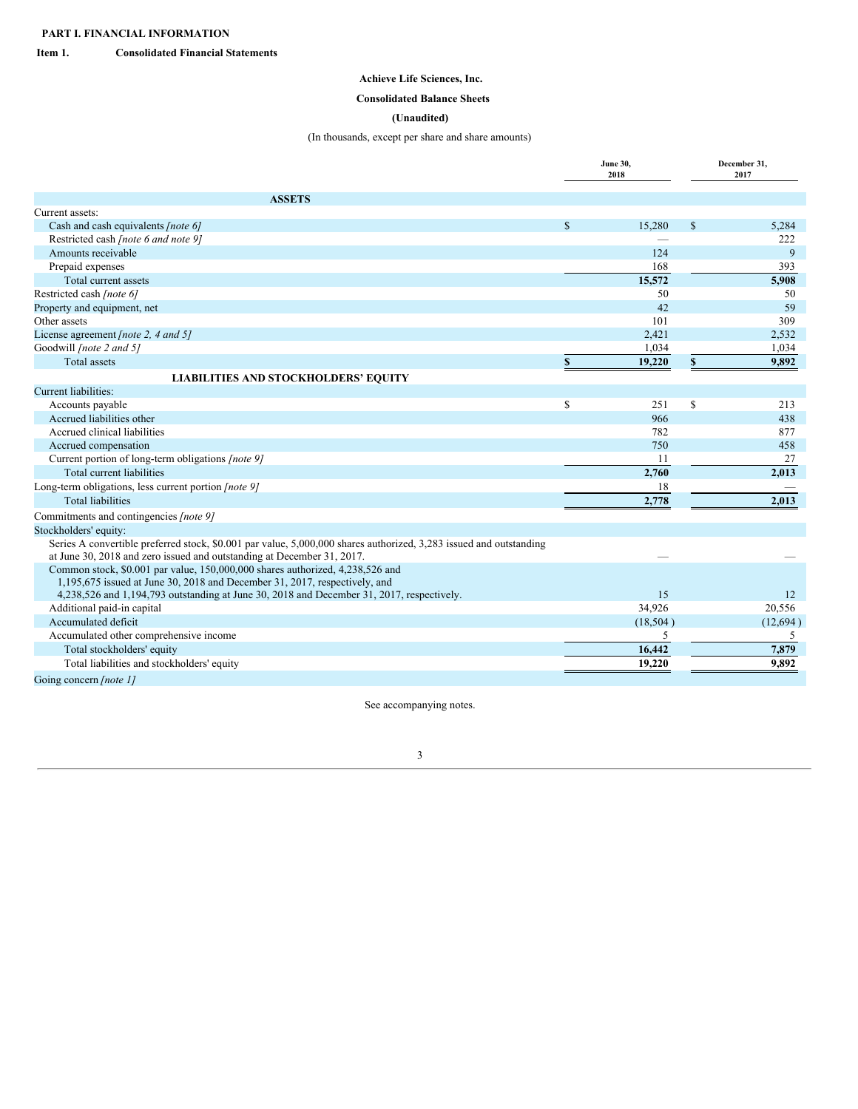<span id="page-2-1"></span><span id="page-2-0"></span>**Item 1. Consolidated Financial Statements**

# **Achieve Life Sciences, Inc.**

# <span id="page-2-2"></span>**Consolidated Balance Sheets**

# **(Unaudited)**

# (In thousands, except per share and share amounts)

|                                                                                                                                                                                              |              | June 30,<br>2018 | December 31,<br>2017 |          |  |
|----------------------------------------------------------------------------------------------------------------------------------------------------------------------------------------------|--------------|------------------|----------------------|----------|--|
|                                                                                                                                                                                              |              |                  |                      |          |  |
| <b>ASSETS</b>                                                                                                                                                                                |              |                  |                      |          |  |
| Current assets:                                                                                                                                                                              |              |                  |                      |          |  |
| Cash and cash equivalents [note 6]                                                                                                                                                           | $\mathbb{S}$ | 15,280           | \$                   | 5,284    |  |
| Restricted cash [note 6 and note 9]                                                                                                                                                          |              |                  |                      | 222      |  |
| Amounts receivable                                                                                                                                                                           |              | 124              |                      | 9        |  |
| Prepaid expenses                                                                                                                                                                             |              | 168              |                      | 393      |  |
| Total current assets                                                                                                                                                                         |              | 15,572           |                      | 5,908    |  |
| Restricted cash [note 6]                                                                                                                                                                     |              | 50               |                      | 50       |  |
| Property and equipment, net                                                                                                                                                                  |              | 42               |                      | 59       |  |
| Other assets                                                                                                                                                                                 |              | 101              |                      | 309      |  |
| License agreement [note 2, 4 and 5]                                                                                                                                                          |              | 2,421            |                      | 2,532    |  |
| Goodwill [note 2 and 5]                                                                                                                                                                      |              | 1,034            |                      | 1,034    |  |
| <b>Total assets</b>                                                                                                                                                                          | $\mathbf{s}$ | 19,220           | $\mathbb S$          | 9,892    |  |
| <b>LIABILITIES AND STOCKHOLDERS' EQUITY</b>                                                                                                                                                  |              |                  |                      |          |  |
| Current liabilities:                                                                                                                                                                         |              |                  |                      |          |  |
| Accounts payable                                                                                                                                                                             | \$           | 251              | \$                   | 213      |  |
| Accrued liabilities other                                                                                                                                                                    |              | 966              |                      | 438      |  |
| Accrued clinical liabilities                                                                                                                                                                 |              | 782              |                      | 877      |  |
| Accrued compensation                                                                                                                                                                         |              | 750              |                      | 458      |  |
| Current portion of long-term obligations [note 9]                                                                                                                                            |              | 11               |                      | 27       |  |
| Total current liabilities                                                                                                                                                                    |              | 2,760            |                      | 2,013    |  |
| Long-term obligations, less current portion [note 9]                                                                                                                                         |              | 18               |                      |          |  |
| <b>Total liabilities</b>                                                                                                                                                                     |              | 2,778            |                      | 2,013    |  |
| Commitments and contingencies [note 9]                                                                                                                                                       |              |                  |                      |          |  |
| Stockholders' equity:                                                                                                                                                                        |              |                  |                      |          |  |
| Series A convertible preferred stock, \$0.001 par value, 5,000,000 shares authorized, 3,283 issued and outstanding<br>at June 30, 2018 and zero issued and outstanding at December 31, 2017. |              |                  |                      |          |  |
| Common stock, \$0.001 par value, 150,000,000 shares authorized, 4,238,526 and<br>1,195,675 issued at June 30, 2018 and December 31, 2017, respectively, and                                  |              |                  |                      |          |  |
| 4,238,526 and 1,194,793 outstanding at June 30, 2018 and December 31, 2017, respectively.                                                                                                    |              | 15               |                      | 12       |  |
| Additional paid-in capital                                                                                                                                                                   |              | 34,926           |                      | 20,556   |  |
| Accumulated deficit                                                                                                                                                                          |              | (18, 504)        |                      | (12,694) |  |
| Accumulated other comprehensive income                                                                                                                                                       |              | 5                |                      | 5        |  |
| Total stockholders' equity                                                                                                                                                                   |              | 16,442           |                      | 7,879    |  |
| Total liabilities and stockholders' equity                                                                                                                                                   |              | 19,220           |                      | 9,892    |  |
| Going concern [note 1]                                                                                                                                                                       |              |                  |                      |          |  |

See accompanying notes.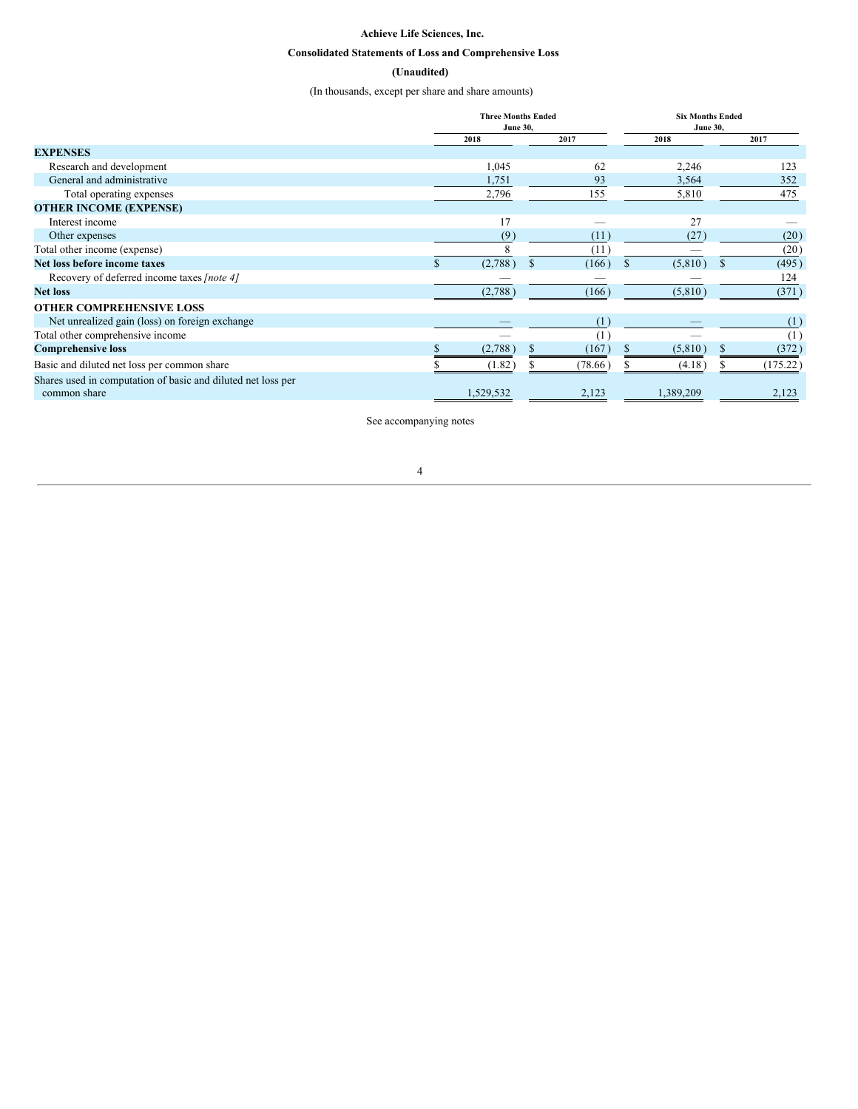# **Achieve Life Sciences, Inc.**

# <span id="page-3-0"></span>**Consolidated Statements of Loss and Comprehensive Loss**

# **(Unaudited)**

(In thousands, except per share and share amounts)

|                                                              | <b>Three Months Ended</b><br><b>June 30,</b> |         | <b>Six Months Ended</b><br><b>June 30,</b> |          |  |  |
|--------------------------------------------------------------|----------------------------------------------|---------|--------------------------------------------|----------|--|--|
|                                                              | 2018                                         | 2017    | 2018                                       | 2017     |  |  |
| <b>EXPENSES</b>                                              |                                              |         |                                            |          |  |  |
| Research and development                                     | 1,045                                        | 62      | 2,246                                      | 123      |  |  |
| General and administrative                                   | 1,751                                        | 93      | 3,564                                      | 352      |  |  |
| Total operating expenses                                     | 2,796                                        | 155     | 5,810                                      | 475      |  |  |
| <b>OTHER INCOME (EXPENSE)</b>                                |                                              |         |                                            |          |  |  |
| Interest income                                              | 17                                           |         | 27                                         |          |  |  |
| Other expenses                                               | (9)                                          | (11)    | (27)                                       | (20)     |  |  |
| Total other income (expense)                                 |                                              | (11)    |                                            | (20)     |  |  |
| Net loss before income taxes                                 | (2,788)                                      | (166)   | (5,810)                                    | (495)    |  |  |
| Recovery of deferred income taxes [note 4]                   |                                              |         |                                            | 124      |  |  |
| <b>Net loss</b>                                              | (2,788)                                      | (166)   | (5,810)                                    | (371)    |  |  |
| <b>OTHER COMPREHENSIVE LOSS</b>                              |                                              |         |                                            |          |  |  |
| Net unrealized gain (loss) on foreign exchange               |                                              | (1)     |                                            | (1)      |  |  |
| Total other comprehensive income                             |                                              | (1)     |                                            | (1)      |  |  |
| <b>Comprehensive loss</b>                                    | (2,788)                                      | (167    | (5,810)                                    | (372)    |  |  |
| Basic and diluted net loss per common share                  | (1.82)                                       | (78.66) | (4.18)                                     | (175.22) |  |  |
| Shares used in computation of basic and diluted net loss per |                                              |         |                                            |          |  |  |
| common share                                                 | 1,529,532                                    | 2,123   | 1,389,209                                  | 2,123    |  |  |

See accompanying notes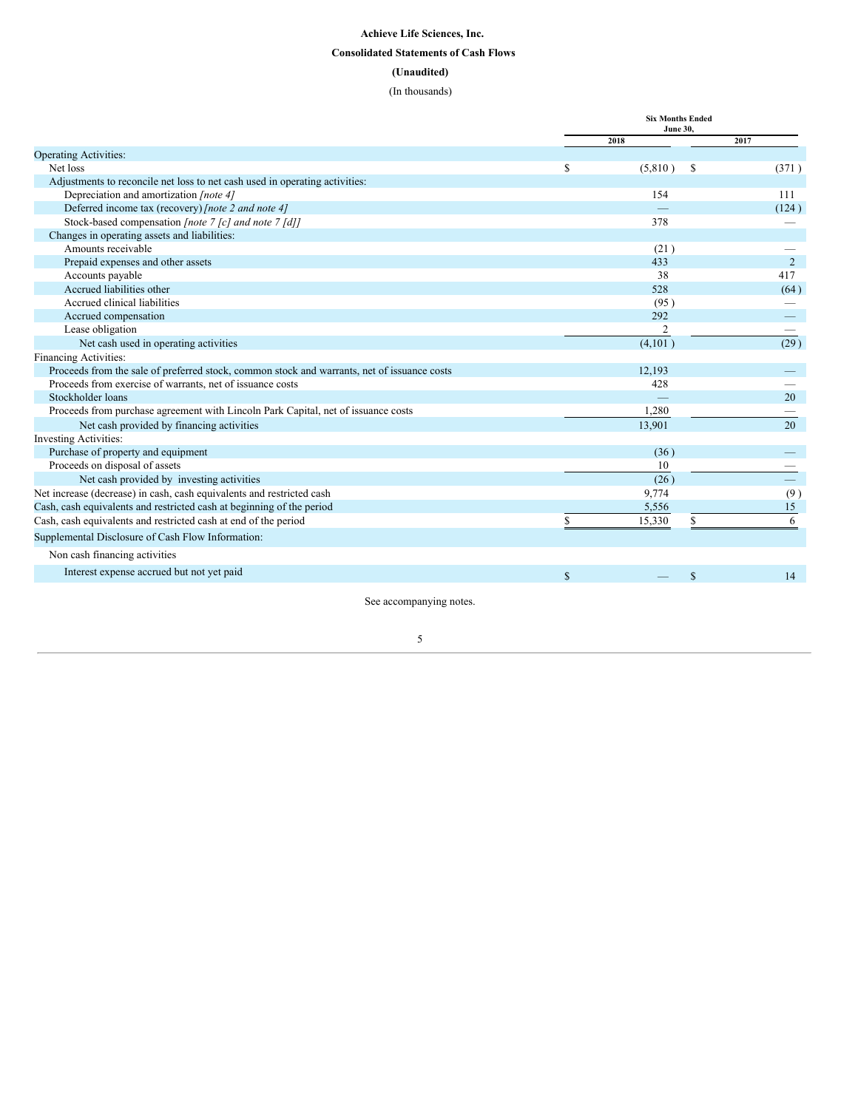# <span id="page-4-0"></span>**Achieve Life Sciences, Inc. Consolidated Statements of Cash Flows (Unaudited)** (In thousands)

|                                                                                             | <b>Six Months Ended</b><br>June 30. |                |              |       |  |
|---------------------------------------------------------------------------------------------|-------------------------------------|----------------|--------------|-------|--|
|                                                                                             | 2018                                |                |              | 2017  |  |
| <b>Operating Activities:</b>                                                                |                                     |                |              |       |  |
| Net loss                                                                                    | S                                   | (5,810)        | -S           | (371) |  |
| Adjustments to reconcile net loss to net cash used in operating activities:                 |                                     |                |              |       |  |
| Depreciation and amortization [note 4]                                                      |                                     | 154            |              | 111   |  |
| Deferred income tax (recovery) [note 2 and note 4]                                          |                                     |                |              | (124) |  |
| Stock-based compensation [note 7 [c] and note 7 [d]]                                        |                                     | 378            |              |       |  |
| Changes in operating assets and liabilities:                                                |                                     |                |              |       |  |
| Amounts receivable                                                                          |                                     | (21)           |              |       |  |
| Prepaid expenses and other assets                                                           |                                     | 433            |              | 2     |  |
| Accounts payable                                                                            |                                     | 38             |              | 417   |  |
| Accrued liabilities other                                                                   |                                     | 528            |              | (64)  |  |
| Accrued clinical liabilities                                                                |                                     | (95)           |              |       |  |
| Accrued compensation                                                                        |                                     | 292            |              |       |  |
| Lease obligation                                                                            |                                     | $\overline{2}$ |              |       |  |
| Net cash used in operating activities                                                       |                                     | (4,101)        |              | (29)  |  |
| <b>Financing Activities:</b>                                                                |                                     |                |              |       |  |
| Proceeds from the sale of preferred stock, common stock and warrants, net of issuance costs |                                     | 12.193         |              |       |  |
| Proceeds from exercise of warrants, net of issuance costs                                   |                                     | 428            |              |       |  |
| Stockholder loans                                                                           |                                     |                |              | 20    |  |
| Proceeds from purchase agreement with Lincoln Park Capital, net of issuance costs           |                                     | 1,280          |              |       |  |
| Net cash provided by financing activities                                                   |                                     | 13,901         |              | 20    |  |
| <b>Investing Activities:</b>                                                                |                                     |                |              |       |  |
| Purchase of property and equipment                                                          |                                     | (36)           |              |       |  |
| Proceeds on disposal of assets                                                              |                                     | 10             |              |       |  |
| Net cash provided by investing activities                                                   |                                     | (26)           |              |       |  |
| Net increase (decrease) in cash, cash equivalents and restricted cash                       |                                     | 9,774          |              | (9)   |  |
| Cash, cash equivalents and restricted cash at beginning of the period                       |                                     | 5,556          |              | 15    |  |
| Cash, cash equivalents and restricted cash at end of the period                             | \$                                  | 15,330         |              | 6     |  |
| Supplemental Disclosure of Cash Flow Information:                                           |                                     |                |              |       |  |
| Non cash financing activities                                                               |                                     |                |              |       |  |
| Interest expense accrued but not yet paid                                                   | $\mathbf S$                         |                | $\mathbb{S}$ | 14    |  |

See accompanying notes.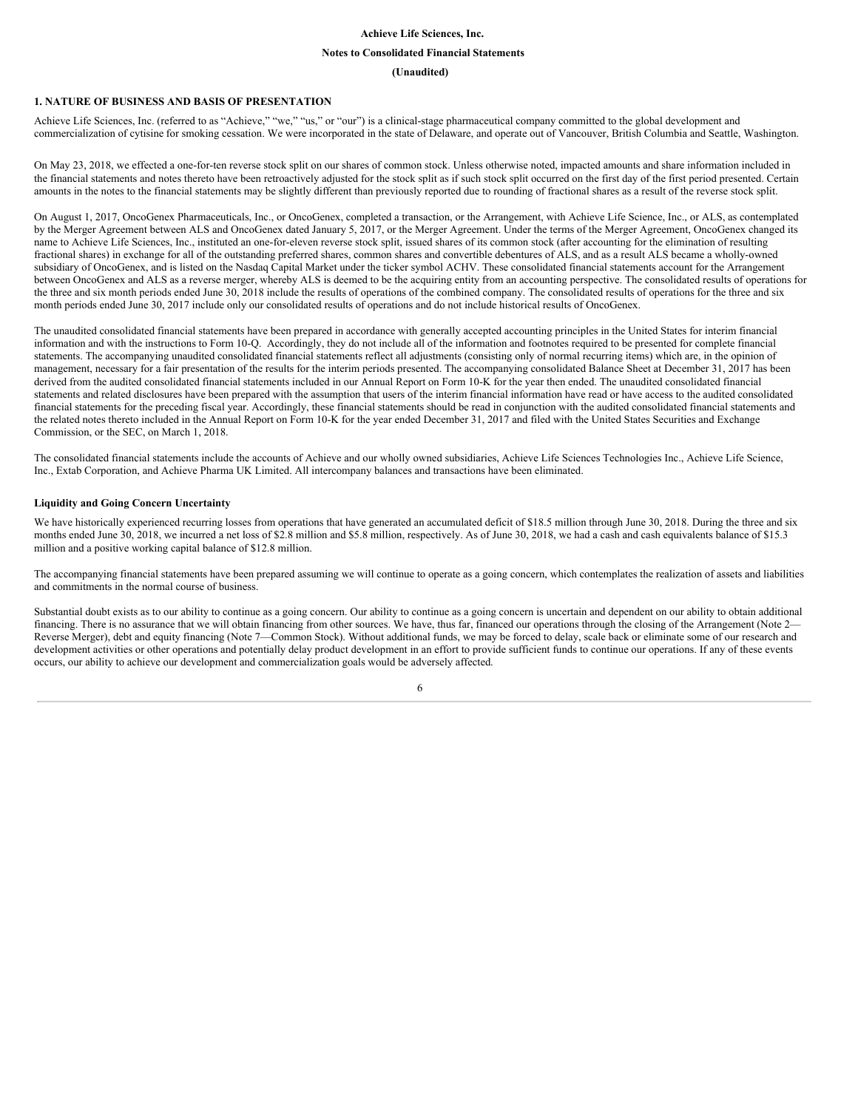#### **Achieve Life Sciences, Inc.**

# <span id="page-5-0"></span>**Notes to Consolidated Financial Statements**

#### **(Unaudited)**

# **1. NATURE OF BUSINESS AND BASIS OF PRESENTATION**

Achieve Life Sciences, Inc. (referred to as "Achieve," "we," "us," or "our") is a clinical-stage pharmaceutical company committed to the global development and commercialization of cytisine for smoking cessation. We were incorporated in the state of Delaware, and operate out of Vancouver, British Columbia and Seattle, Washington.

On May 23, 2018, we effected a one-for-ten reverse stock split on our shares of common stock. Unless otherwise noted, impacted amounts and share information included in the financial statements and notes thereto have been retroactively adjusted for the stock split as if such stock split occurred on the first day of the first period presented. Certain amounts in the notes to the financial statements may be slightly different than previously reported due to rounding of fractional shares as a result of the reverse stock split.

On August 1, 2017, OncoGenex Pharmaceuticals, Inc., or OncoGenex, completed a transaction, or the Arrangement, with Achieve Life Science, Inc., or ALS, as contemplated by the Merger Agreement between ALS and OncoGenex dated January 5, 2017, or the Merger Agreement. Under the terms of the Merger Agreement, OncoGenex changed its name to Achieve Life Sciences, Inc., instituted an one-for-eleven reverse stock split, issued shares of its common stock (after accounting for the elimination of resulting fractional shares) in exchange for all of the outstanding preferred shares, common shares and convertible debentures of ALS, and as a result ALS became a wholly-owned subsidiary of OncoGenex, and is listed on the Nasdaq Capital Market under the ticker symbol ACHV. These consolidated financial statements account for the Arrangement between OncoGenex and ALS as a reverse merger, whereby ALS is deemed to be the acquiring entity from an accounting perspective. The consolidated results of operations for the three and six month periods ended June 30, 2018 include the results of operations of the combined company. The consolidated results of operations for the three and six month periods ended June 30, 2017 include only our consolidated results of operations and do not include historical results of OncoGenex.

The unaudited consolidated financial statements have been prepared in accordance with generally accepted accounting principles in the United States for interim financial information and with the instructions to Form 10-Q. Accordingly, they do not include all of the information and footnotes required to be presented for complete financial statements. The accompanying unaudited consolidated financial statements reflect all adjustments (consisting only of normal recurring items) which are, in the opinion of management, necessary for a fair presentation of the results for the interim periods presented. The accompanying consolidated Balance Sheet at December 31, 2017 has been derived from the audited consolidated financial statements included in our Annual Report on Form 10-K for the year then ended. The unaudited consolidated financial statements and related disclosures have been prepared with the assumption that users of the interim financial information have read or have access to the audited consolidated financial statements for the preceding fiscal year. Accordingly, these financial statements should be read in conjunction with the audited consolidated financial statements and the related notes thereto included in the Annual Report on Form 10-K for the year ended December 31, 2017 and filed with the United States Securities and Exchange Commission, or the SEC, on March 1, 2018.

The consolidated financial statements include the accounts of Achieve and our wholly owned subsidiaries, Achieve Life Sciences Technologies Inc., Achieve Life Science, Inc., Extab Corporation, and Achieve Pharma UK Limited. All intercompany balances and transactions have been eliminated.

# **Liquidity and Going Concern Uncertainty**

We have historically experienced recurring losses from operations that have generated an accumulated deficit of \$18.5 million through June 30, 2018. During the three and six months ended June 30, 2018, we incurred a net loss of \$2.8 million and \$5.8 million, respectively. As of June 30, 2018, we had a cash and cash equivalents balance of \$15.3 million and a positive working capital balance of \$12.8 million.

The accompanying financial statements have been prepared assuming we will continue to operate as a going concern, which contemplates the realization of assets and liabilities and commitments in the normal course of business.

Substantial doubt exists as to our ability to continue as a going concern. Our ability to continue as a going concern is uncertain and dependent on our ability to obtain additional financing. There is no assurance that we will obtain financing from other sources. We have, thus far, financed our operations through the closing of the Arrangement (Note 2– Reverse Merger), debt and equity financing (Note 7—Common Stock). Without additional funds, we may be forced to delay, scale back or eliminate some of our research and development activities or other operations and potentially delay product development in an effort to provide sufficient funds to continue our operations. If any of these events occurs, our ability to achieve our development and commercialization goals would be adversely affected.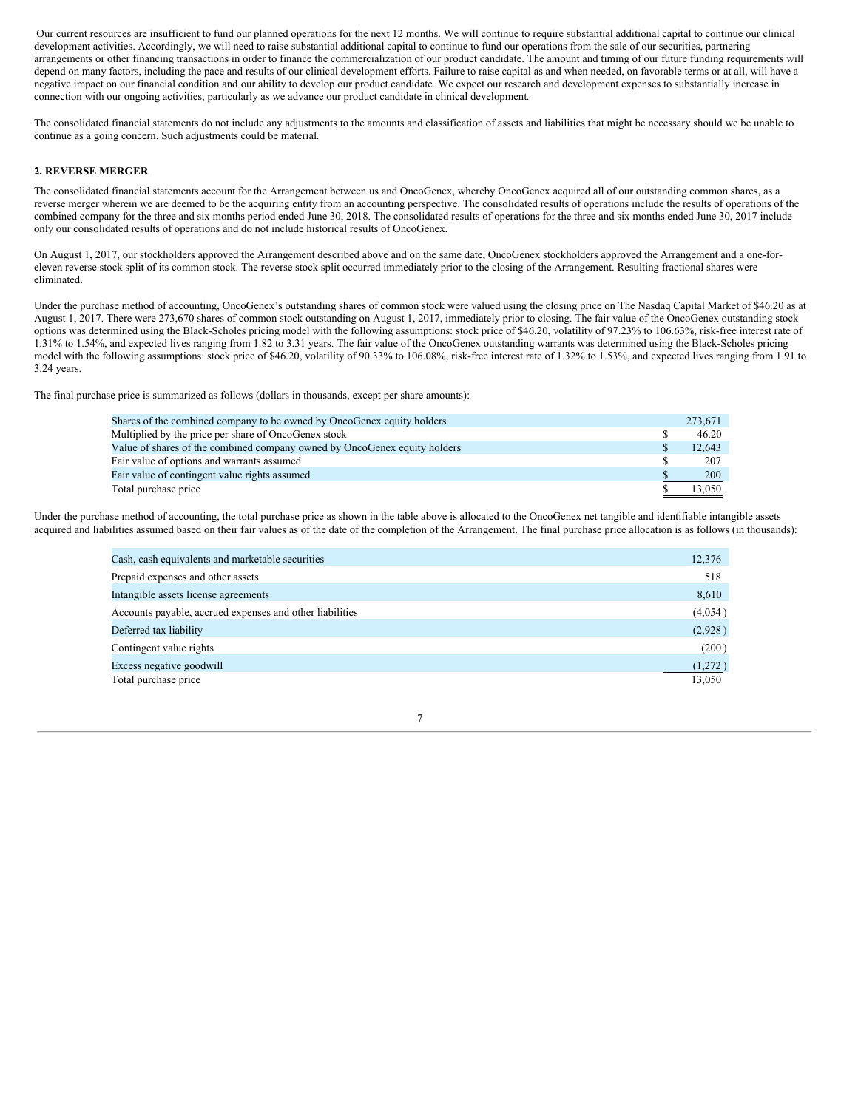Our current resources are insufficient to fund our planned operations for the next 12 months. We will continue to require substantial additional capital to continue our clinical development activities. Accordingly, we will need to raise substantial additional capital to continue to fund our operations from the sale of our securities, partnering arrangements or other financing transactions in order to finance the commercialization of our product candidate. The amount and timing of our future funding requirements will depend on many factors, including the pace and results of our clinical development efforts. Failure to raise capital as and when needed, on favorable terms or at all, will have a negative impact on our financial condition and our ability to develop our product candidate. We expect our research and development expenses to substantially increase in connection with our ongoing activities, particularly as we advance our product candidate in clinical development.

The consolidated financial statements do not include any adjustments to the amounts and classification of assets and liabilities that might be necessary should we be unable to continue as a going concern. Such adjustments could be material.

# **2. REVERSE MERGER**

The consolidated financial statements account for the Arrangement between us and OncoGenex, whereby OncoGenex acquired all of our outstanding common shares, as a reverse merger wherein we are deemed to be the acquiring entity from an accounting perspective. The consolidated results of operations include the results of operations of the combined company for the three and six months period ended June 30, 2018. The consolidated results of operations for the three and six months ended June 30, 2017 include only our consolidated results of operations and do not include historical results of OncoGenex.

On August 1, 2017, our stockholders approved the Arrangement described above and on the same date, OncoGenex stockholders approved the Arrangement and a one-foreleven reverse stock split of its common stock. The reverse stock split occurred immediately prior to the closing of the Arrangement. Resulting fractional shares were eliminated.

Under the purchase method of accounting, OncoGenex's outstanding shares of common stock were valued using the closing price on The Nasdaq Capital Market of \$46.20 as at August 1, 2017. There were 273,670 shares of common stock outstanding on August 1, 2017, immediately prior to closing. The fair value of the OncoGenex outstanding stock options was determined using the Black-Scholes pricing model with the following assumptions: stock price of \$46.20, volatility of 97.23% to 106.63%, risk-free interest rate of 1.31% to 1.54%, and expected lives ranging from 1.82 to 3.31 years. The fair value of the OncoGenex outstanding warrants was determined using the Black-Scholes pricing model with the following assumptions: stock price of \$46.20, volatility of 90.33% to 106.08%, risk-free interest rate of 1.32% to 1.53%, and expected lives ranging from 1.91 to 3.24 years.

The final purchase price is summarized as follows (dollars in thousands, except per share amounts):

| Shares of the combined company to be owned by OncoGenex equity holders    | 273,671 |
|---------------------------------------------------------------------------|---------|
| Multiplied by the price per share of OncoGenex stock                      | 46.20   |
| Value of shares of the combined company owned by OncoGenex equity holders | 12.643  |
| Fair value of options and warrants assumed                                | 207     |
| Fair value of contingent value rights assumed                             | 200     |
| Total purchase price                                                      | 13.050  |

Under the purchase method of accounting, the total purchase price as shown in the table above is allocated to the OncoGenex net tangible and identifiable intangible assets acquired and liabilities assumed based on their fair values as of the date of the completion of the Arrangement. The final purchase price allocation is as follows (in thousands):

| Cash, cash equivalents and marketable securities         | 12,376  |
|----------------------------------------------------------|---------|
| Prepaid expenses and other assets                        | 518     |
| Intangible assets license agreements                     | 8,610   |
| Accounts payable, accrued expenses and other liabilities | (4,054) |
| Deferred tax liability                                   | (2,928) |
| Contingent value rights                                  | (200)   |
| Excess negative goodwill                                 | (1,272) |
| Total purchase price                                     | 13,050  |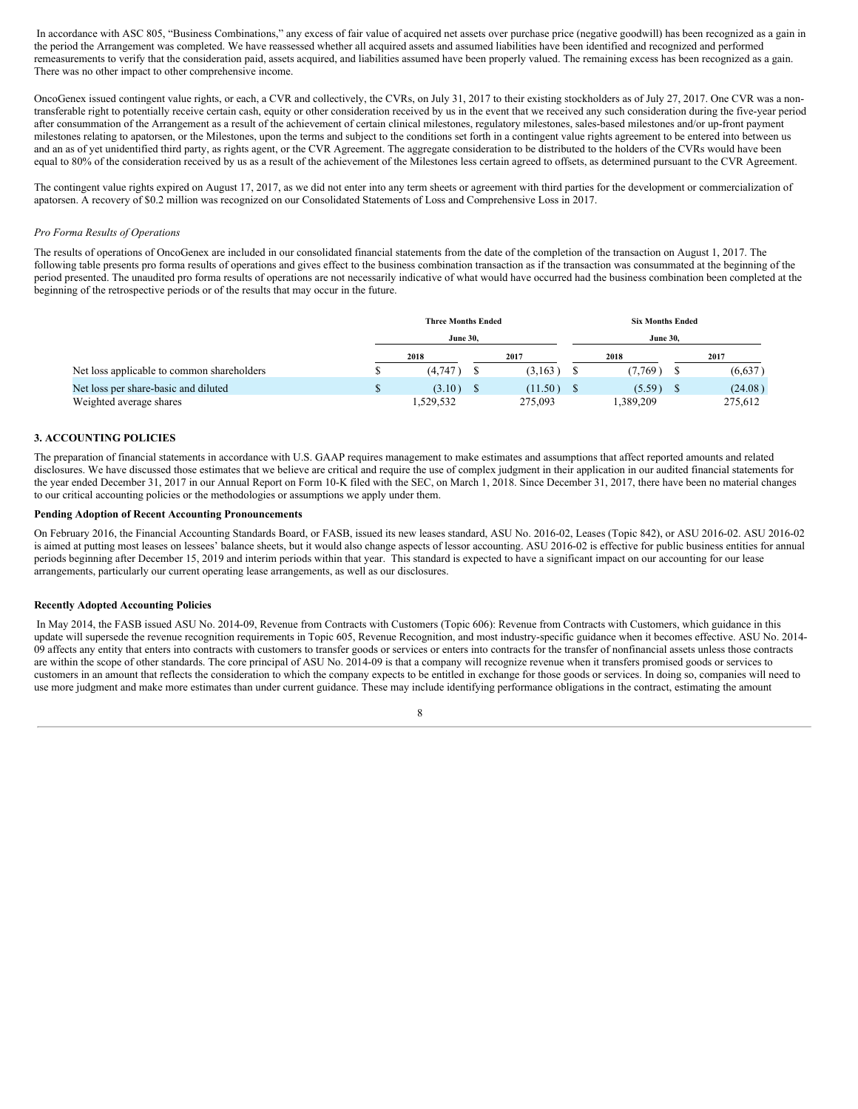In accordance with ASC 805, "Business Combinations," any excess of fair value of acquired net assets over purchase price (negative goodwill) has been recognized as a gain in the period the Arrangement was completed. We have reassessed whether all acquired assets and assumed liabilities have been identified and recognized and performed remeasurements to verify that the consideration paid, assets acquired, and liabilities assumed have been properly valued. The remaining excess has been recognized as a gain. There was no other impact to other comprehensive income.

OncoGenex issued contingent value rights, or each, a CVR and collectively, the CVRs, on July 31, 2017 to their existing stockholders as of July 27, 2017. One CVR was a nontransferable right to potentially receive certain cash, equity or other consideration received by us in the event that we received any such consideration during the five-year period after consummation of the Arrangement as a result of the achievement of certain clinical milestones, regulatory milestones, sales-based milestones and/or up-front payment milestones relating to apatorsen, or the Milestones, upon the terms and subject to the conditions set forth in a contingent value rights agreement to be entered into between us and an as of yet unidentified third party, as rights agent, or the CVR Agreement. The aggregate consideration to be distributed to the holders of the CVRs would have been equal to 80% of the consideration received by us as a result of the achievement of the Milestones less certain agreed to offsets, as determined pursuant to the CVR Agreement.

The contingent value rights expired on August 17, 2017, as we did not enter into any term sheets or agreement with third parties for the development or commercialization of apatorsen. A recovery of \$0.2 million was recognized on our Consolidated Statements of Loss and Comprehensive Loss in 2017.

# *Pro Forma Results of Operations*

The results of operations of OncoGenex are included in our consolidated financial statements from the date of the completion of the transaction on August 1, 2017. The following table presents pro forma results of operations and gives effect to the business combination transaction as if the transaction was consummated at the beginning of the period presented. The unaudited pro forma results of operations are not necessarily indicative of what would have occurred had the business combination been completed at the beginning of the retrospective periods or of the results that may occur in the future.

|                                            | <b>Three Months Ended</b> |      |         |                 |           | <b>Six Months Ended</b> |         |  |  |  |  |
|--------------------------------------------|---------------------------|------|---------|-----------------|-----------|-------------------------|---------|--|--|--|--|
|                                            | <b>June 30.</b>           |      |         | <b>June 30.</b> |           |                         |         |  |  |  |  |
|                                            | 2018                      | 2017 |         | 2018            |           |                         | 2017    |  |  |  |  |
| Net loss applicable to common shareholders | (4,747)                   |      | (3,163) |                 | (7,769)   |                         | (6,637) |  |  |  |  |
| Net loss per share-basic and diluted       | (3.10)                    |      | (11.50) |                 | (5.59)    |                         | (24.08) |  |  |  |  |
| Weighted average shares                    | 1,529,532                 |      | 275,093 |                 | 1,389,209 |                         | 275,612 |  |  |  |  |

# **3. ACCOUNTING POLICIES**

The preparation of financial statements in accordance with U.S. GAAP requires management to make estimates and assumptions that affect reported amounts and related disclosures. We have discussed those estimates that we believe are critical and require the use of complex judgment in their application in our audited financial statements for the year ended December 31, 2017 in our Annual Report on Form 10-K filed with the SEC, on March 1, 2018. Since December 31, 2017, there have been no material changes to our critical accounting policies or the methodologies or assumptions we apply under them.

# **Pending Adoption of Recent Accounting Pronouncements**

On February 2016, the Financial Accounting Standards Board, or FASB, issued its new leases standard, ASU No. 2016-02, Leases (Topic 842), or ASU 2016-02. ASU 2016-02 is aimed at putting most leases on lessees' balance sheets, but it would also change aspects of lessor accounting. ASU 2016-02 is effective for public business entities for annual periods beginning after December 15, 2019 and interim periods within that year. This standard is expected to have a significant impact on our accounting for our lease arrangements, particularly our current operating lease arrangements, as well as our disclosures.

#### **Recently Adopted Accounting Policies**

In May 2014, the FASB issued ASU No. 2014-09, Revenue from Contracts with Customers (Topic 606): Revenue from Contracts with Customers, which guidance in this update will supersede the revenue recognition requirements in Topic 605, Revenue Recognition, and most industry-specific guidance when it becomes effective. ASU No. 2014- 09 affects any entity that enters into contracts with customers to transfer goods or services or enters into contracts for the transfer of nonfinancial assets unless those contracts are within the scope of other standards. The core principal of ASU No. 2014-09 is that a company will recognize revenue when it transfers promised goods or services to customers in an amount that reflects the consideration to which the company expects to be entitled in exchange for those goods or services. In doing so, companies will need to use more judgment and make more estimates than under current guidance. These may include identifying performance obligations in the contract, estimating the amount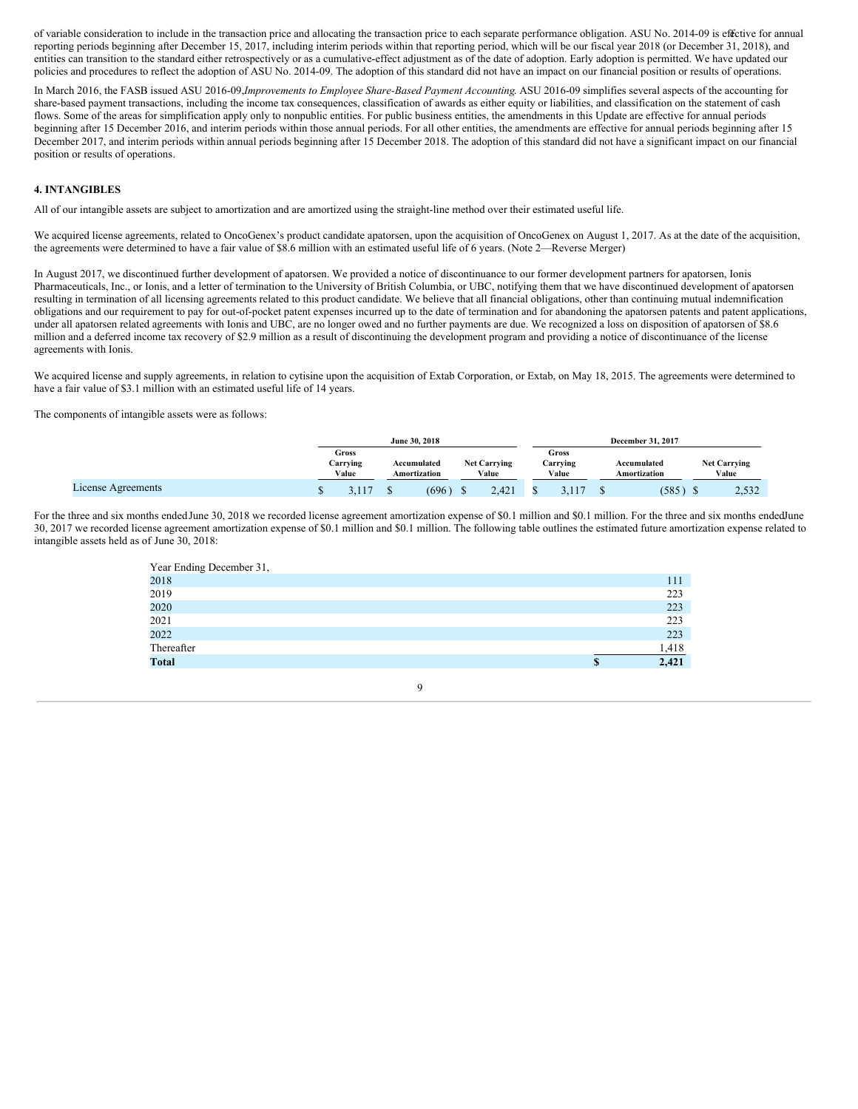of variable consideration to include in the transaction price and allocating the transaction price to each separate performance obligation. ASU No. 2014-09 is efefctive for annual reporting periods beginning after December 15, 2017, including interim periods within that reporting period, which will be our fiscal year 2018 (or December 31, 2018), and entities can transition to the standard either retrospectively or as a cumulative-effect adjustment as of the date of adoption. Early adoption is permitted. We have updated our policies and procedures to reflect the adoption of ASU No. 2014-09. The adoption of this standard did not have an impact on our financial position or results of operations.

In March 2016, the FASB issued ASU 2016-09,*Improvements to Employee Share-Based Payment Accounting*. ASU 2016-09 simplifies several aspects of the accounting for share-based payment transactions, including the income tax consequences, classification of awards as either equity or liabilities, and classification on the statement of cash flows. Some of the areas for simplification apply only to nonpublic entities. For public business entities, the amendments in this Update are effective for annual periods beginning after 15 December 2016, and interim periods within those annual periods. For all other entities, the amendments are effective for annual periods beginning after 15 December 2017, and interim periods within annual periods beginning after 15 December 2018. The adoption of this standard did not have a significant impact on our financial position or results of operations.

# **4. INTANGIBLES**

All of our intangible assets are subject to amortization and are amortized using the straight-line method over their estimated useful life.

We acquired license agreements, related to OncoGenex's product candidate apatorsen, upon the acquisition of OncoGenex on August 1, 2017. As at the date of the acquisition, the agreements were determined to have a fair value of \$8.6 million with an estimated useful life of 6 years. (Note 2—Reverse Merger)

In August 2017, we discontinued further development of apatorsen. We provided a notice of discontinuance to our former development partners for apatorsen, Ionis Pharmaceuticals, Inc., or Ionis, and a letter of termination to the University of British Columbia, or UBC, notifying them that we have discontinued development of apatorsen resulting in termination of all licensing agreements related to this product candidate. We believe that all financial obligations, other than continuing mutual indemnification obligations and our requirement to pay for out-of-pocket patent expenses incurred up to the date of termination and for abandoning the apatorsen patents and patent applications, under all apatorsen related agreements with Ionis and UBC, are no longer owed and no further payments are due. We recognized a loss on disposition of apatorsen of \$8.6 million and a deferred income tax recovery of \$2.9 million as a result of discontinuing the development program and providing a notice of discontinuance of the license agreements with Ionis.

We acquired license and supply agreements, in relation to cytisine upon the acquisition of Extab Corporation, or Extab, on May 18, 2015. The agreements were determined to have a fair value of \$3.1 million with an estimated useful life of 14 years.

The components of intangible assets were as follows:

|                    | June 30, 2018              |  |                             |  | December 31, 2017            |  |                                   |  |                             |  |                              |  |
|--------------------|----------------------------|--|-----------------------------|--|------------------------------|--|-----------------------------------|--|-----------------------------|--|------------------------------|--|
|                    | Gross<br>Carrving<br>Value |  | Accumulated<br>Amortization |  | <b>Net Carrying</b><br>Value |  | <b>Gross</b><br>Carrying<br>Value |  | Accumulated<br>Amortization |  | <b>Net Carrying</b><br>Value |  |
| License Agreements | 3.117                      |  | (696)                       |  | 2,421                        |  | J, 111                            |  | (585)                       |  | 2,532                        |  |

For the three and six months endedJune 30, 2018 we recorded license agreement amortization expense of \$0.1 million and \$0.1 million. For the three and six months endedJune 30, 2017 we recorded license agreement amortization expense of \$0.1 million and \$0.1 million. The following table outlines the estimated future amortization expense related to intangible assets held as of June 30, 2018:

| Year Ending December 31, |       |
|--------------------------|-------|
| 2018                     | 111   |
| 2019                     | 223   |
| 2020                     | 223   |
| 2021                     | 223   |
| 2022                     | 223   |
| Thereafter               | 1,418 |
| <b>Total</b>             | 2,421 |
|                          |       |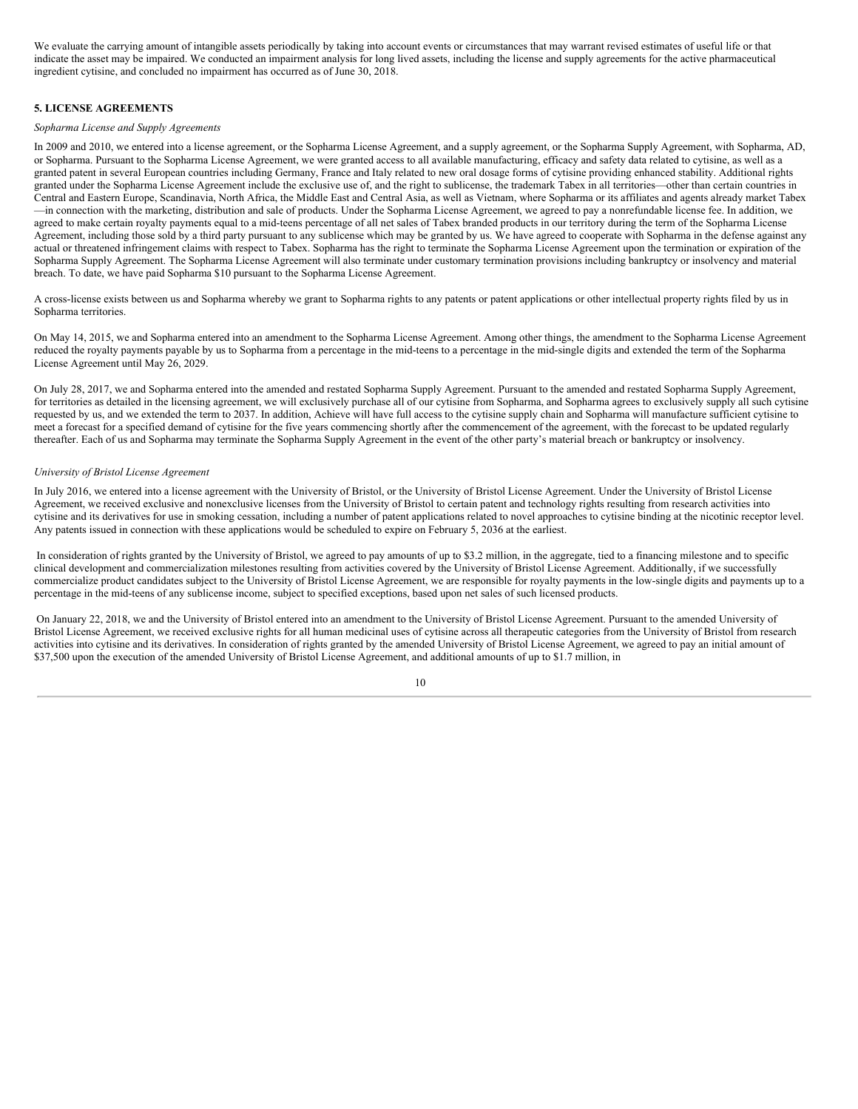We evaluate the carrying amount of intangible assets periodically by taking into account events or circumstances that may warrant revised estimates of useful life or that indicate the asset may be impaired. We conducted an impairment analysis for long lived assets, including the license and supply agreements for the active pharmaceutical ingredient cytisine, and concluded no impairment has occurred as of June 30, 2018.

# **5. LICENSE AGREEMENTS**

#### *Sopharma License and Supply Agreements*

In 2009 and 2010, we entered into a license agreement, or the Sopharma License Agreement, and a supply agreement, or the Sopharma Supply Agreement, with Sopharma, AD, or Sopharma. Pursuant to the Sopharma License Agreement, we were granted access to all available manufacturing, efficacy and safety data related to cytisine, as well as a granted patent in several European countries including Germany, France and Italy related to new oral dosage forms of cytisine providing enhanced stability. Additional rights granted under the Sopharma License Agreement include the exclusive use of, and the right to sublicense, the trademark Tabex in all territories—other than certain countries in Central and Eastern Europe, Scandinavia, North Africa, the Middle East and Central Asia, as well as Vietnam, where Sopharma or its affiliates and agents already market Tabex —in connection with the marketing, distribution and sale of products. Under the Sopharma License Agreement, we agreed to pay a nonrefundable license fee. In addition, we agreed to make certain royalty payments equal to a mid-teens percentage of all net sales of Tabex branded products in our territory during the term of the Sopharma License Agreement, including those sold by a third party pursuant to any sublicense which may be granted by us. We have agreed to cooperate with Sopharma in the defense against any actual or threatened infringement claims with respect to Tabex. Sopharma has the right to terminate the Sopharma License Agreement upon the termination or expiration of the Sopharma Supply Agreement. The Sopharma License Agreement will also terminate under customary termination provisions including bankruptcy or insolvency and material breach. To date, we have paid Sopharma \$10 pursuant to the Sopharma License Agreement.

A cross-license exists between us and Sopharma whereby we grant to Sopharma rights to any patents or patent applications or other intellectual property rights filed by us in Sopharma territories.

On May 14, 2015, we and Sopharma entered into an amendment to the Sopharma License Agreement. Among other things, the amendment to the Sopharma License Agreement reduced the royalty payments payable by us to Sopharma from a percentage in the mid-teens to a percentage in the mid-single digits and extended the term of the Sopharma License Agreement until May 26, 2029.

On July 28, 2017, we and Sopharma entered into the amended and restated Sopharma Supply Agreement. Pursuant to the amended and restated Sopharma Supply Agreement, for territories as detailed in the licensing agreement, we will exclusively purchase all of our cytisine from Sopharma, and Sopharma agrees to exclusively supply all such cytisine requested by us, and we extended the term to 2037. In addition, Achieve will have full access to the cytisine supply chain and Sopharma will manufacture sufficient cytisine to meet a forecast for a specified demand of cytisine for the five years commencing shortly after the commencement of the agreement, with the forecast to be updated regularly thereafter. Each of us and Sopharma may terminate the Sopharma Supply Agreement in the event of the other party's material breach or bankruptcy or insolvency.

#### *University of Bristol License Agreement*

In July 2016, we entered into a license agreement with the University of Bristol, or the University of Bristol License Agreement. Under the University of Bristol License Agreement, we received exclusive and nonexclusive licenses from the University of Bristol to certain patent and technology rights resulting from research activities into cytisine and its derivatives for use in smoking cessation, including a number of patent applications related to novel approaches to cytisine binding at the nicotinic receptor level. Any patents issued in connection with these applications would be scheduled to expire on February 5, 2036 at the earliest.

In consideration of rights granted by the University of Bristol, we agreed to pay amounts of up to \$3.2 million, in the aggregate, tied to a financing milestone and to specific clinical development and commercialization milestones resulting from activities covered by the University of Bristol License Agreement. Additionally, if we successfully commercialize product candidates subject to the University of Bristol License Agreement, we are responsible for royalty payments in the low-single digits and payments up to a percentage in the mid-teens of any sublicense income, subject to specified exceptions, based upon net sales of such licensed products.

On January 22, 2018, we and the University of Bristol entered into an amendment to the University of Bristol License Agreement. Pursuant to the amended University of Bristol License Agreement, we received exclusive rights for all human medicinal uses of cytisine across all therapeutic categories from the University of Bristol from research activities into cytisine and its derivatives. In consideration of rights granted by the amended University of Bristol License Agreement, we agreed to pay an initial amount of \$37,500 upon the execution of the amended University of Bristol License Agreement, and additional amounts of up to \$1.7 million, in

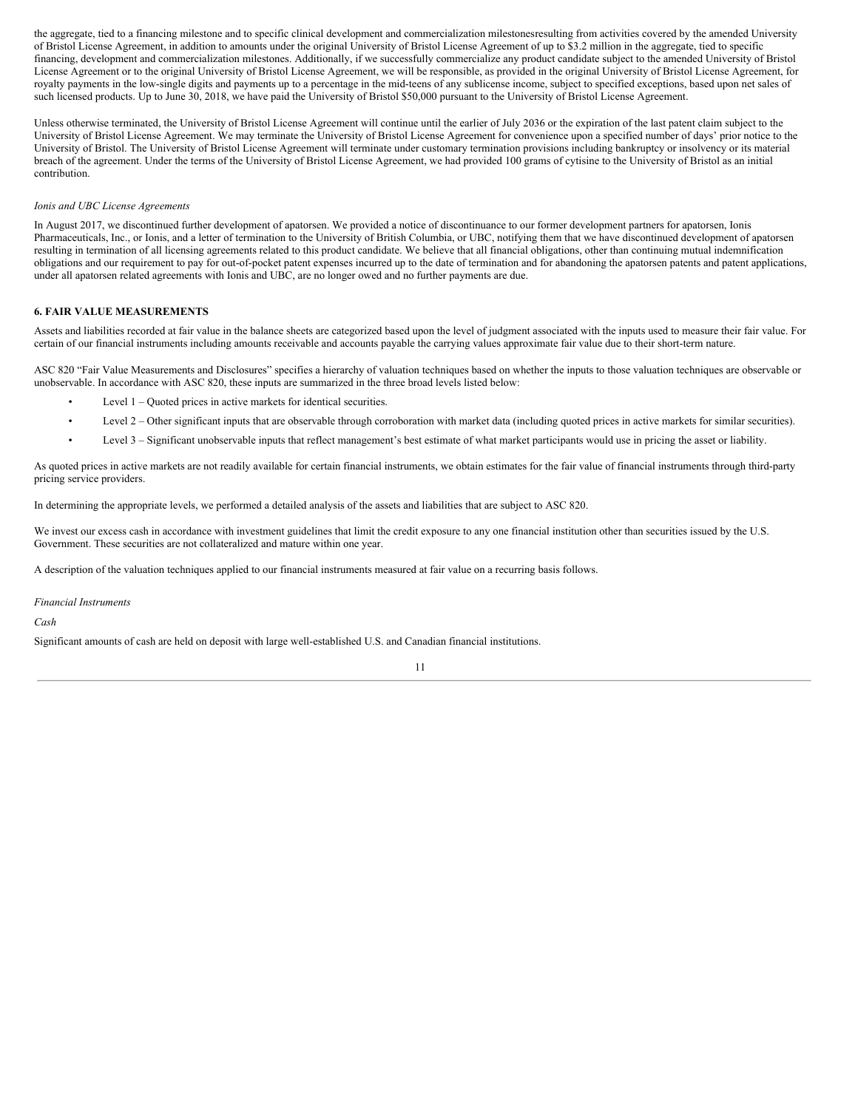the aggregate, tied to a financing milestone and to specific clinical development and commercialization milestonesresulting from activities covered by the amended University of Bristol License Agreement, in addition to amounts under the original University of Bristol License Agreement of up to \$3.2 million in the aggregate, tied to specific financing, development and commercialization milestones. Additionally, if we successfully commercialize any product candidate subject to the amended University of Bristol License Agreement or to the original University of Bristol License Agreement, we will be responsible, as provided in the original University of Bristol License Agreement, for royalty payments in the low-single digits and payments up to a percentage in the mid-teens of any sublicense income, subject to specified exceptions, based upon net sales of such licensed products. Up to June 30, 2018, we have paid the University of Bristol \$50,000 pursuant to the University of Bristol License Agreement.

Unless otherwise terminated, the University of Bristol License Agreement will continue until the earlier of July 2036 or the expiration of the last patent claim subject to the University of Bristol License Agreement. We may terminate the University of Bristol License Agreement for convenience upon a specified number of days' prior notice to the University of Bristol. The University of Bristol License Agreement will terminate under customary termination provisions including bankruptcy or insolvency or its material breach of the agreement. Under the terms of the University of Bristol License Agreement, we had provided 100 grams of cytisine to the University of Bristol as an initial contribution.

# *Ionis and UBC License Agreements*

In August 2017, we discontinued further development of apatorsen. We provided a notice of discontinuance to our former development partners for apatorsen, Ionis Pharmaceuticals, Inc., or Ionis, and a letter of termination to the University of British Columbia, or UBC, notifying them that we have discontinued development of apatorsen resulting in termination of all licensing agreements related to this product candidate. We believe that all financial obligations, other than continuing mutual indemnification obligations and our requirement to pay for out-of-pocket patent expenses incurred up to the date of termination and for abandoning the apatorsen patents and patent applications, under all apatorsen related agreements with Ionis and UBC, are no longer owed and no further payments are due.

## **6. FAIR VALUE MEASUREMENTS**

Assets and liabilities recorded at fair value in the balance sheets are categorized based upon the level of judgment associated with the inputs used to measure their fair value. For certain of our financial instruments including amounts receivable and accounts payable the carrying values approximate fair value due to their short-term nature.

ASC 820 "Fair Value Measurements and Disclosures" specifies a hierarchy of valuation techniques based on whether the inputs to those valuation techniques are observable or unobservable. In accordance with ASC 820, these inputs are summarized in the three broad levels listed below:

- Level  $1 -$ Quoted prices in active markets for identical securities.
- Level 2 Other significant inputs that are observable through corroboration with market data (including quoted prices in active markets for similar securities).
- Level 3 Significant unobservable inputs that reflect management's best estimate of what market participants would use in pricing the asset or liability.

As quoted prices in active markets are not readily available for certain financial instruments, we obtain estimates for the fair value of financial instruments through third-party pricing service providers.

In determining the appropriate levels, we performed a detailed analysis of the assets and liabilities that are subject to ASC 820.

We invest our excess cash in accordance with investment guidelines that limit the credit exposure to any one financial institution other than securities issued by the U.S. Government. These securities are not collateralized and mature within one year.

A description of the valuation techniques applied to our financial instruments measured at fair value on a recurring basis follows.

#### *Financial Instruments*

*Cash*

Significant amounts of cash are held on deposit with large well-established U.S. and Canadian financial institutions.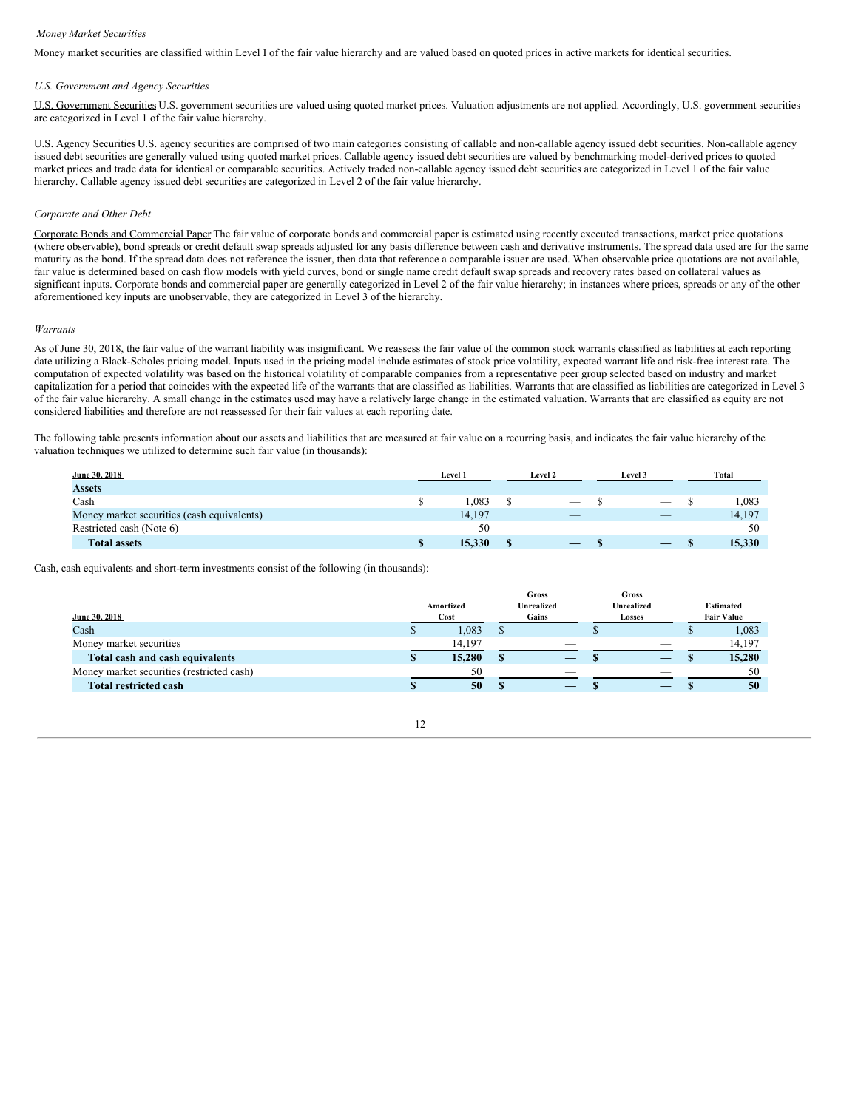### *Money Market Securities*

Money market securities are classified within Level I of the fair value hierarchy and are valued based on quoted prices in active markets for identical securities.

#### *U.S. Government and Agency Securities*

U.S. Government Securities U.S. government securities are valued using quoted market prices. Valuation adjustments are not applied. Accordingly, U.S. government securities are categorized in Level 1 of the fair value hierarchy.

U.S. Agency Securities U.S. agency securities are comprised of two main categories consisting of callable and non-callable agency issued debt securities. Non-callable agency issued debt securities are generally valued using quoted market prices. Callable agency issued debt securities are valued by benchmarking model-derived prices to quoted market prices and trade data for identical or comparable securities. Actively traded non-callable agency issued debt securities are categorized in Level 1 of the fair value hierarchy. Callable agency issued debt securities are categorized in Level 2 of the fair value hierarchy.

#### *Corporate and Other Debt*

Corporate Bonds and Commercial Paper The fair value of corporate bonds and commercial paper is estimated using recently executed transactions, market price quotations (where observable), bond spreads or credit default swap spreads adjusted for any basis difference between cash and derivative instruments. The spread data used are for the same maturity as the bond. If the spread data does not reference the issuer, then data that reference a comparable issuer are used. When observable price quotations are not available, fair value is determined based on cash flow models with yield curves, bond or single name credit default swap spreads and recovery rates based on collateral values as significant inputs. Corporate bonds and commercial paper are generally categorized in Level 2 of the fair value hierarchy; in instances where prices, spreads or any of the other aforementioned key inputs are unobservable, they are categorized in Level 3 of the hierarchy.

#### *Warrants*

As of June 30, 2018, the fair value of the warrant liability was insignificant. We reassess the fair value of the common stock warrants classified as liabilities at each reporting date utilizing a Black-Scholes pricing model. Inputs used in the pricing model include estimates of stock price volatility, expected warrant life and risk-free interest rate. The computation of expected volatility was based on the historical volatility of comparable companies from a representative peer group selected based on industry and market capitalization for a period that coincides with the expected life of the warrants that are classified as liabilities. Warrants that are classified as liabilities are categorized in Level 3 of the fair value hierarchy. A small change in the estimates used may have a relatively large change in the estimated valuation. Warrants that are classified as equity are not considered liabilities and therefore are not reassessed for their fair values at each reporting date.

The following table presents information about our assets and liabilities that are measured at fair value on a recurring basis, and indicates the fair value hierarchy of the valuation techniques we utilized to determine such fair value (in thousands):

| June 30, 2018                              | Level 1 |        | Level 2 |                          | <b>Level 3</b> |                                 | Total  |
|--------------------------------------------|---------|--------|---------|--------------------------|----------------|---------------------------------|--------|
| <b>Assets</b>                              |         |        |         |                          |                |                                 |        |
| Cash                                       |         | 1.083  |         |                          |                | $\overbrace{\qquad \qquad }^{}$ | .083   |
| Money market securities (cash equivalents) |         | 14,197 |         | $\overline{\phantom{a}}$ |                | $\overline{\phantom{a}}$        | 14.197 |
| Restricted cash (Note 6)                   |         | 50     |         | $\overline{\phantom{a}}$ |                | -                               | 50     |
| <b>Total assets</b>                        |         | 15,330 |         | _                        |                |                                 | 15,330 |

Cash, cash equivalents and short-term investments consist of the following (in thousands):

|                                           |           |  | Gross                    |  | Gross             |                   |                  |
|-------------------------------------------|-----------|--|--------------------------|--|-------------------|-------------------|------------------|
|                                           | Amortized |  | <b>Unrealized</b>        |  | <b>Unrealized</b> |                   | <b>Estimated</b> |
| June 30, 2018                             | Cost      |  | Gains                    |  | Losses            | <b>Fair Value</b> |                  |
| Cash                                      | 1,083     |  | $\overline{\phantom{a}}$ |  | $-$               |                   | 1,083            |
| Money market securities                   | 14,197    |  | $\overline{\phantom{a}}$ |  |                   |                   | 14,197           |
| Total cash and cash equivalents           | 15.280    |  |                          |  | $-$               |                   | 15,280           |
| Money market securities (restricted cash) | 50        |  | $\overline{\phantom{a}}$ |  | _                 |                   | 50               |
| <b>Total restricted cash</b>              | 50        |  |                          |  |                   |                   | 50               |

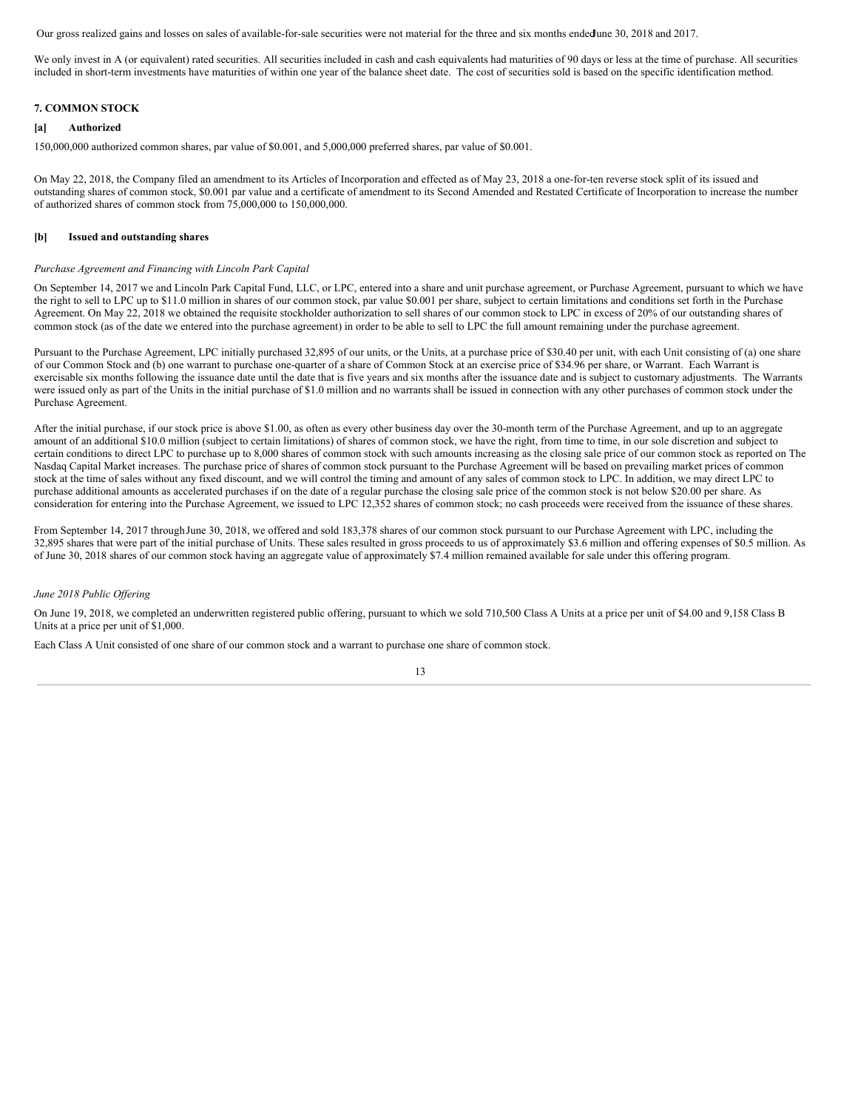Our gross realized gains and losses on sales of available-for-sale securities were not material for the three and six months endedJune 30, 2018 and 2017.

We only invest in A (or equivalent) rated securities. All securities included in cash and cash equivalents had maturities of 90 days or less at the time of purchase. All securities included in short-term investments have maturities of within one year of the balance sheet date. The cost of securities sold is based on the specific identification method.

# **7. COMMON STOCK**

# **[a] Authorized**

150,000,000 authorized common shares, par value of \$0.001, and 5,000,000 preferred shares, par value of \$0.001.

On May 22, 2018, the Company filed an amendment to its Articles of Incorporation and effected as of May 23, 2018 a one-for-ten reverse stock split of its issued and outstanding shares of common stock, \$0.001 par value and a certificate of amendment to its Second Amended and Restated Certificate of Incorporation to increase the number of authorized shares of common stock from 75,000,000 to 150,000,000.

# **[b] Issued and outstanding shares**

#### *Purchase Agreement and Financing with Lincoln Park Capital*

On September 14, 2017 we and Lincoln Park Capital Fund, LLC, or LPC, entered into a share and unit purchase agreement, or Purchase Agreement, pursuant to which we have the right to sell to LPC up to \$11.0 million in shares of our common stock, par value \$0.001 per share, subject to certain limitations and conditions set forth in the Purchase Agreement. On May 22, 2018 we obtained the requisite stockholder authorization to sell shares of our common stock to LPC in excess of 20% of our outstanding shares of common stock (as of the date we entered into the purchase agreement) in order to be able to sell to LPC the full amount remaining under the purchase agreement.

Pursuant to the Purchase Agreement, LPC initially purchased 32,895 of our units, or the Units, at a purchase price of \$30.40 per unit, with each Unit consisting of (a) one share of our Common Stock and (b) one warrant to purchase one-quarter of a share of Common Stock at an exercise price of \$34.96 per share, or Warrant. Each Warrant is exercisable six months following the issuance date until the date that is five years and six months after the issuance date and is subject to customary adjustments. The Warrants were issued only as part of the Units in the initial purchase of \$1.0 million and no warrants shall be issued in connection with any other purchases of common stock under the Purchase Agreement.

After the initial purchase, if our stock price is above \$1.00, as often as every other business day over the 30-month term of the Purchase Agreement, and up to an aggregate amount of an additional \$10.0 million (subject to certain limitations) of shares of common stock, we have the right, from time to time, in our sole discretion and subject to certain conditions to direct LPC to purchase up to 8,000 shares of common stock with such amounts increasing as the closing sale price of our common stock as reported on The Nasdaq Capital Market increases. The purchase price of shares of common stock pursuant to the Purchase Agreement will be based on prevailing market prices of common stock at the time of sales without any fixed discount, and we will control the timing and amount of any sales of common stock to LPC. In addition, we may direct LPC to purchase additional amounts as accelerated purchases if on the date of a regular purchase the closing sale price of the common stock is not below \$20.00 per share. As consideration for entering into the Purchase Agreement, we issued to LPC 12,352 shares of common stock; no cash proceeds were received from the issuance of these shares.

From September 14, 2017 through June 30, 2018, we offered and sold 183,378 shares of our common stock pursuant to our Purchase Agreement with LPC, including the 32,895 shares that were part of the initial purchase of Units. These sales resulted in gross proceeds to us of approximately \$3.6 million and offering expenses of \$0.5 million. As of June 30, 2018 shares of our common stock having an aggregate value of approximately \$7.4 million remained available for sale under this offering program.

#### *June 2018 Public Of ering*

On June 19, 2018, we completed an underwritten registered public offering, pursuant to which we sold 710,500 Class A Units at a price per unit of \$4.00 and 9,158 Class B Units at a price per unit of \$1,000.

Each Class A Unit consisted of one share of our common stock and a warrant to purchase one share of common stock.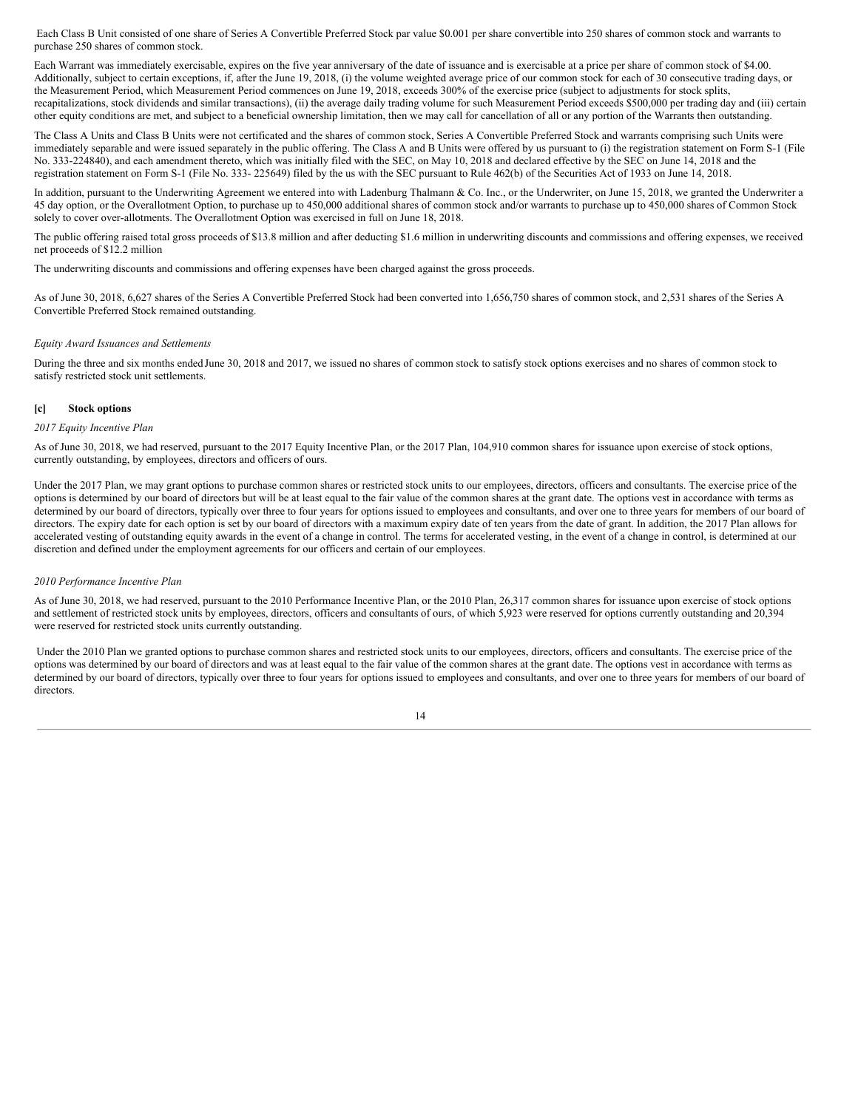Each Class B Unit consisted of one share of Series A Convertible Preferred Stock par value \$0.001 per share convertible into 250 shares of common stock and warrants to purchase 250 shares of common stock.

Each Warrant was immediately exercisable, expires on the five year anniversary of the date of issuance and is exercisable at a price per share of common stock of \$4.00. Additionally, subject to certain exceptions, if, after the June 19, 2018, (i) the volume weighted average price of our common stock for each of 30 consecutive trading days, or the Measurement Period, which Measurement Period commences on June 19, 2018, exceeds 300% of the exercise price (subject to adjustments for stock splits, recapitalizations, stock dividends and similar transactions), (ii) the average daily trading volume for such Measurement Period exceeds \$500,000 per trading day and (iii) certain other equity conditions are met, and subject to a beneficial ownership limitation, then we may call for cancellation of all or any portion of the Warrants then outstanding.

The Class A Units and Class B Units were not certificated and the shares of common stock, Series A Convertible Preferred Stock and warrants comprising such Units were immediately separable and were issued separately in the public offering. The Class A and B Units were offered by us pursuant to (i) the registration statement on Form S-1 (File No. 333-224840), and each amendment thereto, which was initially filed with the SEC, on May 10, 2018 and declared effective by the SEC on June 14, 2018 and the registration statement on Form S-1 (File No. 333- 225649) filed by the us with the SEC pursuant to Rule 462(b) of the Securities Act of 1933 on June 14, 2018.

In addition, pursuant to the Underwriting Agreement we entered into with Ladenburg Thalmann & Co. Inc., or the Underwriter, on June 15, 2018, we granted the Underwriter a 45 day option, or the Overallotment Option, to purchase up to 450,000 additional shares of common stock and/or warrants to purchase up to 450,000 shares of Common Stock solely to cover over-allotments. The Overallotment Option was exercised in full on June 18, 2018.

The public offering raised total gross proceeds of \$13.8 million and after deducting \$1.6 million in underwriting discounts and commissions and offering expenses, we received net proceeds of \$12.2 million

The underwriting discounts and commissions and offering expenses have been charged against the gross proceeds.

As of June 30, 2018, 6,627 shares of the Series A Convertible Preferred Stock had been converted into 1,656,750 shares of common stock, and 2,531 shares of the Series A Convertible Preferred Stock remained outstanding.

# *Equity Award Issuances and Settlements*

During the three and six months ended June 30, 2018 and 2017, we issued no shares of common stock to satisfy stock options exercises and no shares of common stock to satisfy restricted stock unit settlements.

## **[c] Stock options**

#### *2017 Equity Incentive Plan*

As of June 30, 2018, we had reserved, pursuant to the 2017 Equity Incentive Plan, or the 2017 Plan, 104,910 common shares for issuance upon exercise of stock options, currently outstanding, by employees, directors and officers of ours.

Under the 2017 Plan, we may grant options to purchase common shares or restricted stock units to our employees, directors, officers and consultants. The exercise price of the options is determined by our board of directors but will be at least equal to the fair value of the common shares at the grant date. The options vest in accordance with terms as determined by our board of directors, typically over three to four years for options issued to employees and consultants, and over one to three years for members of our board of directors. The expiry date for each option is set by our board of directors with a maximum expiry date of ten years from the date of grant. In addition, the 2017 Plan allows for accelerated vesting of outstanding equity awards in the event of a change in control. The terms for accelerated vesting, in the event of a change in control, is determined at our discretion and defined under the employment agreements for our officers and certain of our employees.

#### *2010 Performance Incentive Plan*

As of June 30, 2018, we had reserved, pursuant to the 2010 Performance Incentive Plan, or the 2010 Plan, 26,317 common shares for issuance upon exercise of stock options and settlement of restricted stock units by employees, directors, officers and consultants of ours, of which 5,923 were reserved for options currently outstanding and 20,394 were reserved for restricted stock units currently outstanding.

Under the 2010 Plan we granted options to purchase common shares and restricted stock units to our employees, directors, officers and consultants. The exercise price of the options was determined by our board of directors and was at least equal to the fair value of the common shares at the grant date. The options vest in accordance with terms as determined by our board of directors, typically over three to four years for options issued to employees and consultants, and over one to three years for members of our board of directors.

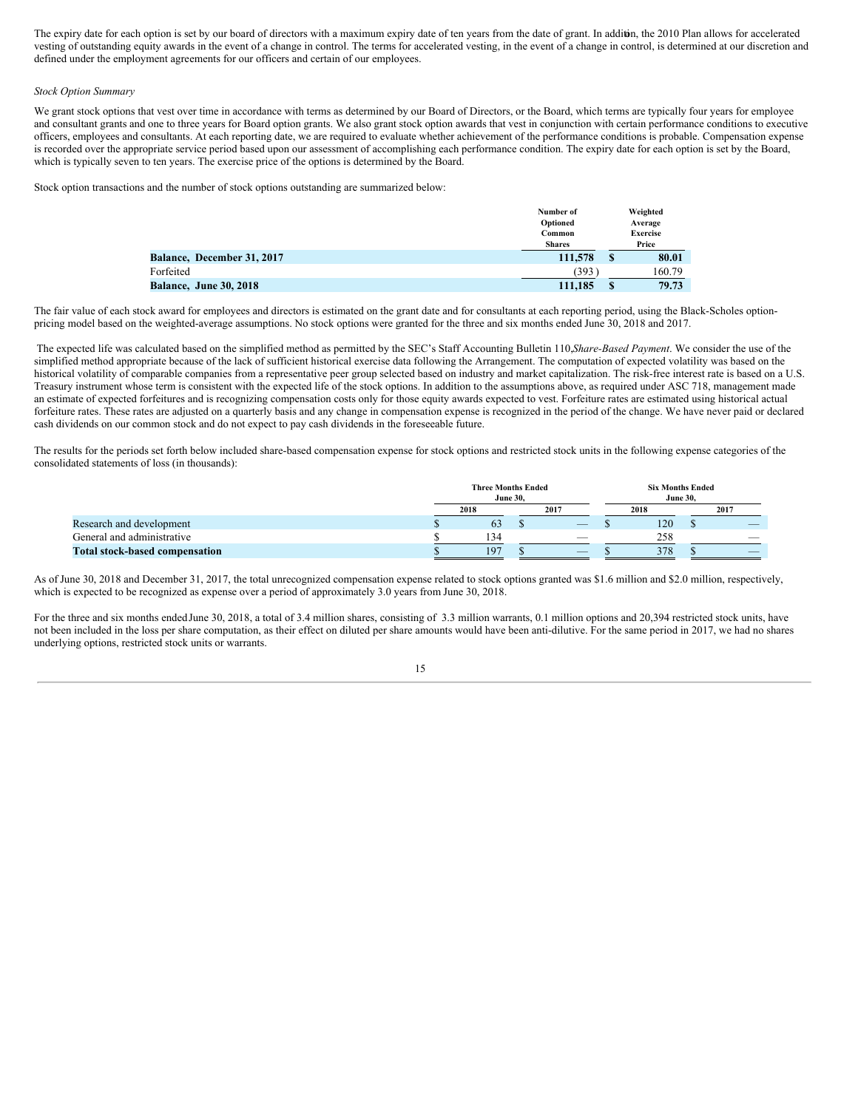The expiry date for each option is set by our board of directors with a maximum expiry date of ten years from the date of grant. In additin, the 2010 Plan allows for accelerated vesting of outstanding equity awards in the event of a change in control. The terms for accelerated vesting, in the event of a change in control, is determined at our discretion and defined under the employment agreements for our officers and certain of our employees.

#### *Stock Option Summary*

We grant stock options that vest over time in accordance with terms as determined by our Board of Directors, or the Board, which terms are typically four years for employee and consultant grants and one to three years for Board option grants. We also grant stock option awards that vest in conjunction with certain performance conditions to executive officers, employees and consultants. At each reporting date, we are required to evaluate whether achievement of the performance conditions is probable. Compensation expense is recorded over the appropriate service period based upon our assessment of accomplishing each performance condition. The expiry date for each option is set by the Board, which is typically seven to ten years. The exercise price of the options is determined by the Board.

Stock option transactions and the number of stock options outstanding are summarized below:

|                                   | Number of     |   | Weighted        |
|-----------------------------------|---------------|---|-----------------|
|                                   | Optioned      |   | Average         |
|                                   | Common        |   | <b>Exercise</b> |
|                                   | <b>Shares</b> |   | Price           |
| <b>Balance, December 31, 2017</b> | 111,578       | S | 80.01           |
| Forfeited                         | (393)         |   | 160.79          |
| <b>Balance, June 30, 2018</b>     | 111,185       | S | 79.73           |

The fair value of each stock award for employees and directors is estimated on the grant date and for consultants at each reporting period, using the Black-Scholes optionpricing model based on the weighted-average assumptions. No stock options were granted for the three and six months ended June 30, 2018 and 2017.

The expected life was calculated based on the simplified method as permitted by the SEC's Staff Accounting Bulletin 110,*Share-Based Payment*. We consider the use of the simplified method appropriate because of the lack of sufficient historical exercise data following the Arrangement. The computation of expected volatility was based on the historical volatility of comparable companies from a representative peer group selected based on industry and market capitalization. The risk-free interest rate is based on a U.S. Treasury instrument whose term is consistent with the expected life of the stock options. In addition to the assumptions above, as required under ASC 718, management made an estimate of expected forfeitures and is recognizing compensation costs only for those equity awards expected to vest. Forfeiture rates are estimated using historical actual forfeiture rates. These rates are adjusted on a quarterly basis and any change in compensation expense is recognized in the period of the change. We have never paid or declared cash dividends on our common stock and do not expect to pay cash dividends in the foreseeable future.

The results for the periods set forth below included share-based compensation expense for stock options and restricted stock units in the following expense categories of the consolidated statements of loss (in thousands):

|                                       | <b>Three Months Ended</b><br><b>June 30.</b> |      |  |                          | <b>Six Months Ended</b><br><b>June 30.</b> |      |  |                          |
|---------------------------------------|----------------------------------------------|------|--|--------------------------|--------------------------------------------|------|--|--------------------------|
|                                       |                                              | 2018 |  | 2017                     |                                            | 2018 |  | 2017                     |
| Research and development              |                                              | 63   |  | $\overline{\phantom{a}}$ |                                            | 120  |  |                          |
| General and administrative            |                                              | 134  |  |                          |                                            | 258  |  | $\overline{\phantom{a}}$ |
| <b>Total stock-based compensation</b> |                                              | 197  |  | $\overline{\phantom{a}}$ |                                            | 378  |  | $\overline{\phantom{a}}$ |

As of June 30, 2018 and December 31, 2017, the total unrecognized compensation expense related to stock options granted was \$1.6 million and \$2.0 million, respectively, which is expected to be recognized as expense over a period of approximately 3.0 years from June 30, 2018.

For the three and six months endedJune 30, 2018, a total of 3.4 million shares, consisting of 3.3 million warrants, 0.1 million options and 20,394 restricted stock units, have not been included in the loss per share computation, as their effect on diluted per share amounts would have been anti-dilutive. For the same period in 2017, we had no shares underlying options, restricted stock units or warrants.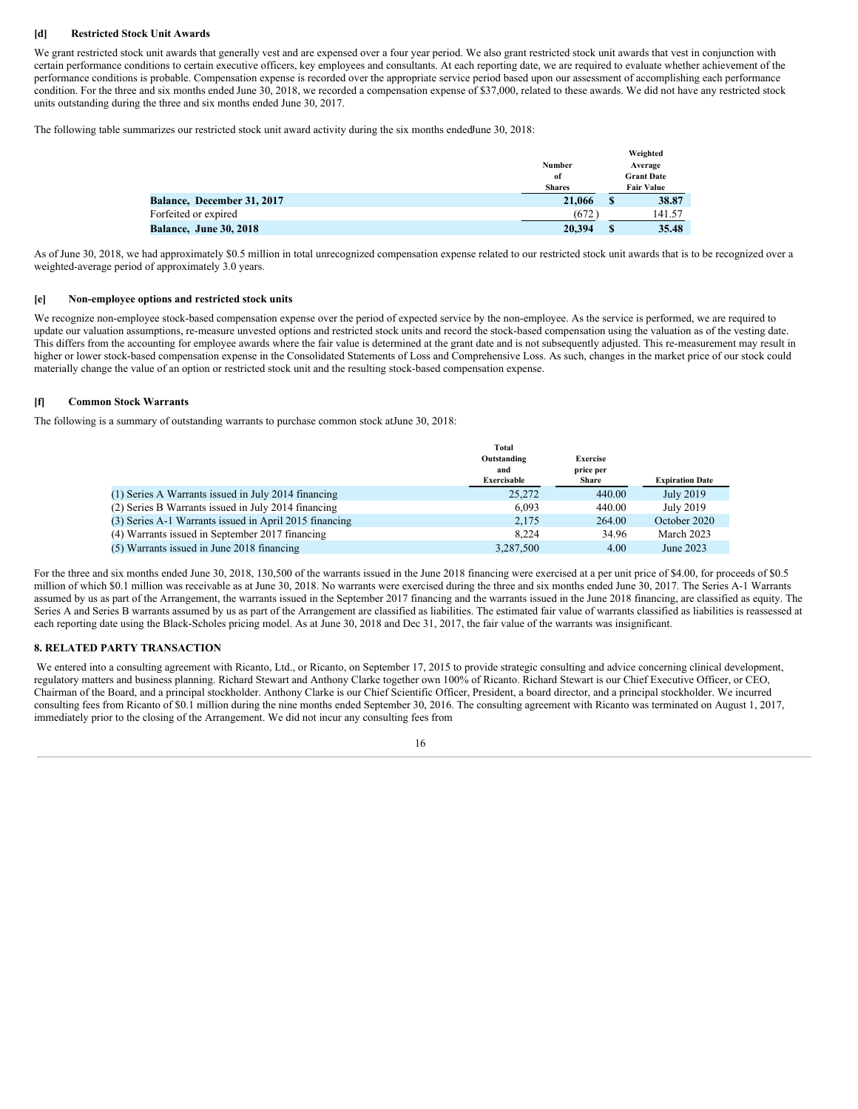## **[d] Restricted Stock Unit Awards**

We grant restricted stock unit awards that generally vest and are expensed over a four year period. We also grant restricted stock unit awards that vest in conjunction with certain performance conditions to certain executive officers, key employees and consultants. At each reporting date, we are required to evaluate whether achievement of the performance conditions is probable. Compensation expense is recorded over the appropriate service period based upon our assessment of accomplishing each performance condition. For the three and six months ended June 30, 2018, we recorded a compensation expense of \$37,000, related to these awards. We did not have any restricted stock units outstanding during the three and six months ended June 30, 2017.

The following table summarizes our restricted stock unit award activity during the six months endedJune 30, 2018:

|                                   |               |    | weignted          |
|-----------------------------------|---------------|----|-------------------|
|                                   | <b>Number</b> |    | Average           |
|                                   | -of           |    | <b>Grant Date</b> |
|                                   | <b>Shares</b> |    | <b>Fair Value</b> |
| <b>Balance, December 31, 2017</b> | 21,066        | S  | 38.87             |
| Forfeited or expired              | (672)         |    | 141.57            |
| <b>Balance, June 30, 2018</b>     | 20,394        | \$ | 35.48             |

**Weighted**

As of June 30, 2018, we had approximately \$0.5 million in total unrecognized compensation expense related to our restricted stock unit awards that is to be recognized over a weighted-average period of approximately 3.0 years.

#### **[e] Non-employee options and restricted stock units**

We recognize non-employee stock-based compensation expense over the period of expected service by the non-employee. As the service is performed, we are required to update our valuation assumptions, re-measure unvested options and restricted stock units and record the stock-based compensation using the valuation as of the vesting date. This differs from the accounting for employee awards where the fair value is determined at the grant date and is not subsequently adjusted. This re-measurement may result in higher or lower stock-based compensation expense in the Consolidated Statements of Loss and Comprehensive Loss. As such, changes in the market price of our stock could materially change the value of an option or restricted stock unit and the resulting stock-based compensation expense.

#### **[f] Common Stock Warrants**

The following is a summary of outstanding warrants to purchase common stock atJune 30, 2018:

|                                                        | Total              |                              |                        |
|--------------------------------------------------------|--------------------|------------------------------|------------------------|
|                                                        | Outstanding<br>and | <b>Exercise</b><br>price per |                        |
|                                                        | Exercisable        | Share                        | <b>Expiration Date</b> |
| (1) Series A Warrants issued in July 2014 financing    | 25,272             | 440.00                       | July 2019              |
| (2) Series B Warrants issued in July 2014 financing    | 6.093              | 440.00                       | July 2019              |
| (3) Series A-1 Warrants issued in April 2015 financing | 2.175              | 264.00                       | October 2020           |
| (4) Warrants issued in September 2017 financing        | 8.224              | 34.96                        | March 2023             |
| (5) Warrants issued in June 2018 financing             | 3.287.500          | 4.00                         | June 2023              |

For the three and six months ended June 30, 2018, 130,500 of the warrants issued in the June 2018 financing were exercised at a per unit price of \$4.00, for proceeds of \$0.5 million of which \$0.1 million was receivable as at June 30, 2018. No warrants were exercised during the three and six months ended June 30, 2017. The Series A-1 Warrants assumed by us as part of the Arrangement, the warrants issued in the September 2017 financing and the warrants issued in the June 2018 financing, are classified as equity. The Series A and Series B warrants assumed by us as part of the Arrangement are classified as liabilities. The estimated fair value of warrants classified as liabilities is reassessed at each reporting date using the Black-Scholes pricing model. As at June 30, 2018 and Dec 31, 2017, the fair value of the warrants was insignificant.

# **8. RELATED PARTY TRANSACTION**

We entered into a consulting agreement with Ricanto, Ltd., or Ricanto, on September 17, 2015 to provide strategic consulting and advice concerning clinical development, regulatory matters and business planning. Richard Stewart and Anthony Clarke together own 100% of Ricanto. Richard Stewart is our Chief Executive Officer, or CEO, Chairman of the Board, and a principal stockholder. Anthony Clarke is our Chief Scientific Officer, President, a board director, and a principal stockholder. We incurred consulting fees from Ricanto of \$0.1 million during the nine months ended September 30, 2016. The consulting agreement with Ricanto was terminated on August 1, 2017, immediately prior to the closing of the Arrangement. We did not incur any consulting fees from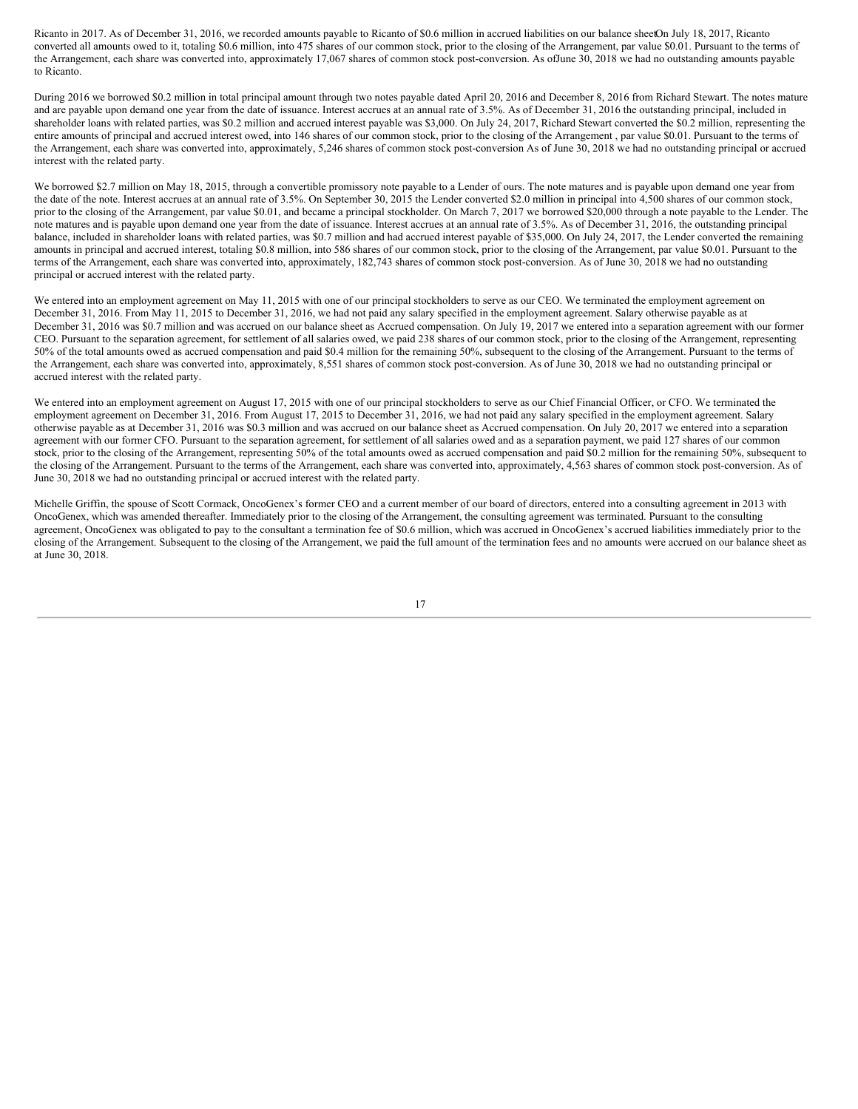Ricanto in 2017. As of December 31, 2016, we recorded amounts payable to Ricanto of \$0.6 million in accrued liabilities on our balance sheetOn July 18, 2017, Ricanto converted all amounts owed to it, totaling \$0.6 million, into 475 shares of our common stock, prior to the closing of the Arrangement, par value \$0.01. Pursuant to the terms of the Arrangement, each share was converted into, approximately 17,067 shares of common stock post-conversion. As ofJune 30, 2018 we had no outstanding amounts payable to Ricanto.

During 2016 we borrowed \$0.2 million in total principal amount through two notes payable dated April 20, 2016 and December 8, 2016 from Richard Stewart. The notes mature and are payable upon demand one year from the date of issuance. Interest accrues at an annual rate of 3.5%. As of December 31, 2016 the outstanding principal, included in shareholder loans with related parties, was \$0.2 million and accrued interest payable was \$3,000. On July 24, 2017, Richard Stewart converted the \$0.2 million, representing the entire amounts of principal and accrued interest owed, into 146 shares of our common stock, prior to the closing of the Arrangement , par value \$0.01. Pursuant to the terms of the Arrangement, each share was converted into, approximately, 5,246 shares of common stock post-conversion As of June 30, 2018 we had no outstanding principal or accrued interest with the related party.

We borrowed \$2.7 million on May 18, 2015, through a convertible promissory note payable to a Lender of ours. The note matures and is payable upon demand one year from the date of the note. Interest accrues at an annual rate of 3.5%. On September 30, 2015 the Lender converted \$2.0 million in principal into 4,500 shares of our common stock, prior to the closing of the Arrangement, par value \$0.01, and became a principal stockholder. On March 7, 2017 we borrowed \$20,000 through a note payable to the Lender. The note matures and is payable upon demand one year from the date of issuance. Interest accrues at an annual rate of 3.5%. As of December 31, 2016, the outstanding principal balance, included in shareholder loans with related parties, was \$0.7 million and had accrued interest payable of \$35,000. On July 24, 2017, the Lender converted the remaining amounts in principal and accrued interest, totaling \$0.8 million, into 586 shares of our common stock, prior to the closing of the Arrangement, par value \$0.01. Pursuant to the terms of the Arrangement, each share was converted into, approximately, 182,743 shares of common stock post-conversion. As of June 30, 2018 we had no outstanding principal or accrued interest with the related party.

We entered into an employment agreement on May 11, 2015 with one of our principal stockholders to serve as our CEO. We terminated the employment agreement on December 31, 2016. From May 11, 2015 to December 31, 2016, we had not paid any salary specified in the employment agreement. Salary otherwise payable as at December 31, 2016 was \$0.7 million and was accrued on our balance sheet as Accrued compensation. On July 19, 2017 we entered into a separation agreement with our former CEO. Pursuant to the separation agreement, for settlement of all salaries owed, we paid 238 shares of our common stock, prior to the closing of the Arrangement, representing 50% of the total amounts owed as accrued compensation and paid \$0.4 million for the remaining 50%, subsequent to the closing of the Arrangement. Pursuant to the terms of the Arrangement, each share was converted into, approximately, 8,551 shares of common stock post-conversion. As of June 30, 2018 we had no outstanding principal or accrued interest with the related party.

We entered into an employment agreement on August 17, 2015 with one of our principal stockholders to serve as our Chief Financial Officer, or CFO. We terminated the employment agreement on December 31, 2016. From August 17, 2015 to December 31, 2016, we had not paid any salary specified in the employment agreement. Salary otherwise payable as at December 31, 2016 was \$0.3 million and was accrued on our balance sheet as Accrued compensation. On July 20, 2017 we entered into a separation agreement with our former CFO. Pursuant to the separation agreement, for settlement of all salaries owed and as a separation payment, we paid 127 shares of our common stock, prior to the closing of the Arrangement, representing 50% of the total amounts owed as accrued compensation and paid \$0.2 million for the remaining 50%, subsequent to the closing of the Arrangement. Pursuant to the terms of the Arrangement, each share was converted into, approximately, 4,563 shares of common stock post-conversion. As of June 30, 2018 we had no outstanding principal or accrued interest with the related party.

Michelle Griffin, the spouse of Scott Cormack, OncoGenex's former CEO and a current member of our board of directors, entered into a consulting agreement in 2013 with OncoGenex, which was amended thereafter. Immediately prior to the closing of the Arrangement, the consulting agreement was terminated. Pursuant to the consulting agreement, OncoGenex was obligated to pay to the consultant a termination fee of \$0.6 million, which was accrued in OncoGenex's accrued liabilities immediately prior to the closing of the Arrangement. Subsequent to the closing of the Arrangement, we paid the full amount of the termination fees and no amounts were accrued on our balance sheet as at June 30, 2018.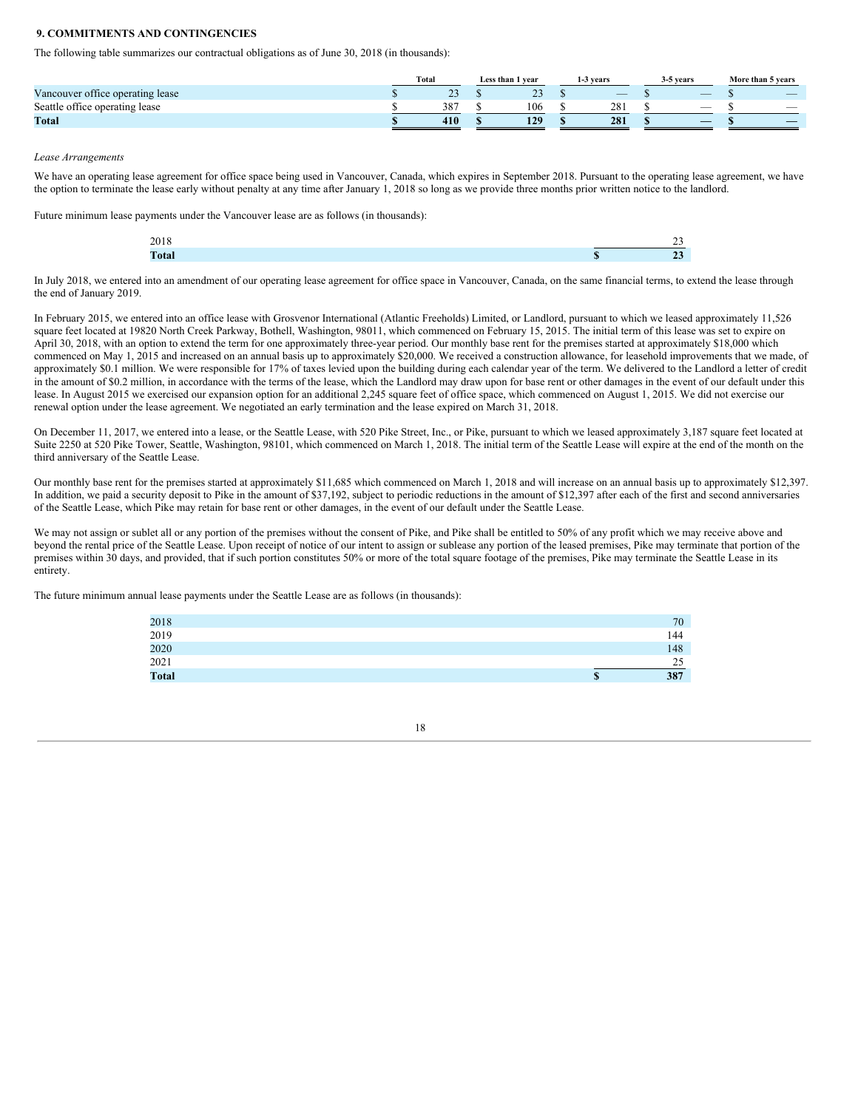# **9. COMMITMENTS AND CONTINGENCIES**

The following table summarizes our contractual obligations as of June 30, 2018 (in thousands):

|                                  | <b>Total</b> |                    | Less than 1 vear |                           | 1-3 vears |                          | 3-5 years |                          | More than 5 years |                          |
|----------------------------------|--------------|--------------------|------------------|---------------------------|-----------|--------------------------|-----------|--------------------------|-------------------|--------------------------|
| Vancouver office operating lease |              | $\mathbf{a}$<br>ر_ |                  | $\sim$ $\sim$<br><u>_</u> |           | $\overline{\phantom{a}}$ |           | $\overline{\phantom{a}}$ |                   | $\overline{\phantom{a}}$ |
| Seattle office operating lease   | 387          |                    |                  | 106                       |           | 28                       |           | $\overline{\phantom{a}}$ |                   | $\overline{\phantom{a}}$ |
| <b>Total</b>                     | 410          |                    |                  | 129                       |           | 281                      |           |                          |                   | _                        |

#### *Lease Arrangements*

We have an operating lease agreement for office space being used in Vancouver, Canada, which expires in September 2018. Pursuant to the operating lease agreement, we have the option to terminate the lease early without penalty at any time after January 1, 2018 so long as we provide three months prior written notice to the landlord.

Future minimum lease payments under the Vancouver lease are as follows (in thousands):

| $\bullet \bullet \bullet \bullet$<br>2010 | $\sim$ $\sim$ |
|-------------------------------------------|---------------|
| n to<br><b>CONTRACTOR</b>                 | - -<br>. .    |

In July 2018, we entered into an amendment of our operating lease agreement for office space in Vancouver, Canada, on the same financial terms, to extend the lease through the end of January 2019.

In February 2015, we entered into an office lease with Grosvenor International (Atlantic Freeholds) Limited, or Landlord, pursuant to which we leased approximately 11,526 square feet located at 19820 North Creek Parkway, Bothell, Washington, 98011, which commenced on February 15, 2015. The initial term of this lease was set to expire on April 30, 2018, with an option to extend the term for one approximately three-year period. Our monthly base rent for the premises started at approximately \$18,000 which commenced on May 1, 2015 and increased on an annual basis up to approximately \$20,000. We received a construction allowance, for leasehold improvements that we made, of approximately \$0.1 million. We were responsible for 17% of taxes levied upon the building during each calendar year of the term. We delivered to the Landlord a letter of credit in the amount of \$0.2 million, in accordance with the terms of the lease, which the Landlord may draw upon for base rent or other damages in the event of our default under this lease. In August 2015 we exercised our expansion option for an additional 2,245 square feet of office space, which commenced on August 1, 2015. We did not exercise our renewal option under the lease agreement. We negotiated an early termination and the lease expired on March 31, 2018.

On December 11, 2017, we entered into a lease, or the Seattle Lease, with 520 Pike Street, Inc., or Pike, pursuant to which we leased approximately 3,187 square feet located at Suite 2250 at 520 Pike Tower, Seattle, Washington, 98101, which commenced on March 1, 2018. The initial term of the Seattle Lease will expire at the end of the month on the third anniversary of the Seattle Lease.

Our monthly base rent for the premises started at approximately \$11,685 which commenced on March 1, 2018 and will increase on an annual basis up to approximately \$12,397. In addition, we paid a security deposit to Pike in the amount of \$37,192, subject to periodic reductions in the amount of \$12,397 after each of the first and second anniversaries of the Seattle Lease, which Pike may retain for base rent or other damages, in the event of our default under the Seattle Lease.

We may not assign or sublet all or any portion of the premises without the consent of Pike, and Pike shall be entitled to 50% of any profit which we may receive above and beyond the rental price of the Seattle Lease. Upon receipt of notice of our intent to assign or sublease any portion of the leased premises, Pike may terminate that portion of the premises within 30 days, and provided, that if such portion constitutes 50% or more of the total square footage of the premises, Pike may terminate the Seattle Lease in its entirety.

The future minimum annual lease payments under the Seattle Lease are as follows (in thousands):

| 2018         |   | 70  |
|--------------|---|-----|
| 2019         |   | 144 |
| 2020         |   | 148 |
| 2021         |   | 25  |
| <b>Total</b> | ъ | 387 |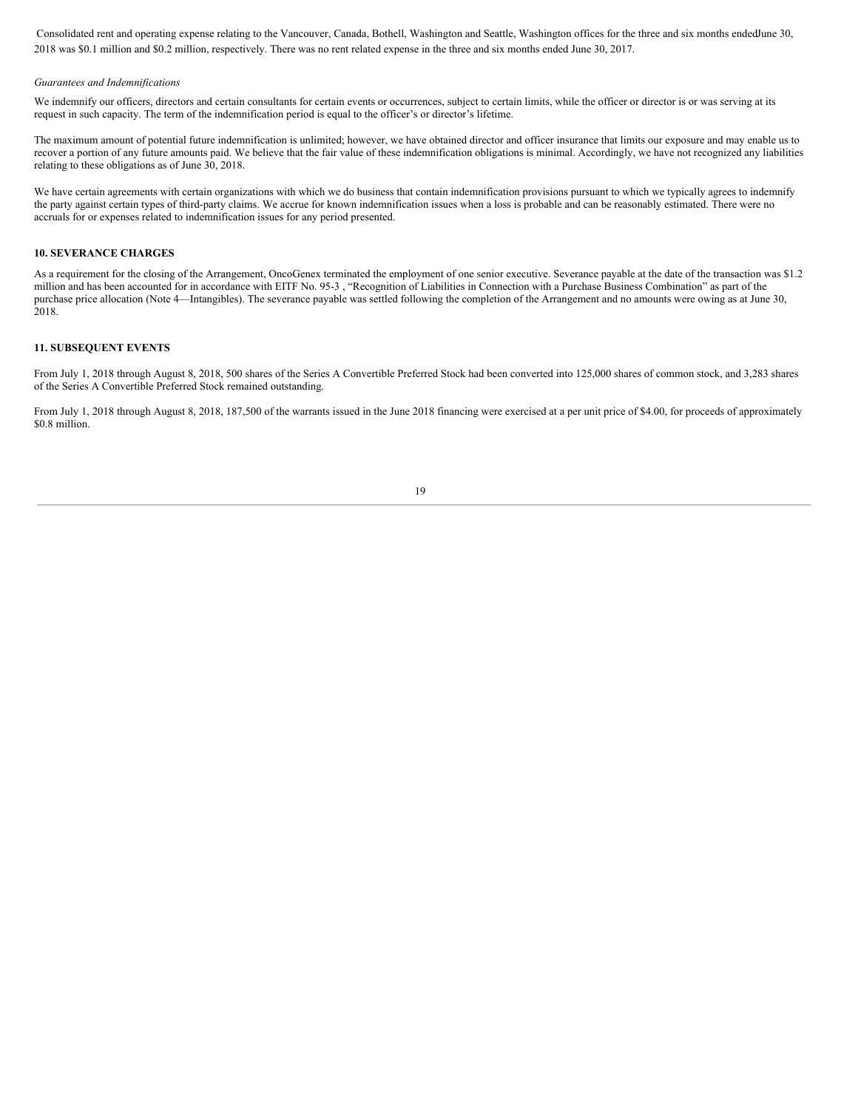Consolidated rent and operating expense relating to the Vancouver, Canada, Bothell, Washington and Seattle, Washington offices for the three and six months endedJune 30, 2018 was \$0.1 million and \$0.2 million, respectively. There was no rent related expense in the three and six months ended June 30, 2017.

#### *Guarantees and Indemnifications*

We indemnify our officers, directors and certain consultants for certain events or occurrences, subject to certain limits, while the officer or director is or was serving at its request in such capacity. The term of the indemnification period is equal to the officer's or director's lifetime.

The maximum amount of potential future indemnification is unlimited; however, we have obtained director and officer insurance that limits our exposure and may enable us to recover a portion of any future amounts paid. We believe that the fair value of these indemnification obligations is minimal. Accordingly, we have not recognized any liabilities relating to these obligations as of June 30, 2018.

We have certain agreements with certain organizations with which we do business that contain indemnification provisions pursuant to which we typically agrees to indemnify the party against certain types of third-party claims. We accrue for known indemnification issues when a loss is probable and can be reasonably estimated. There were no accruals for or expenses related to indemnification issues for any period presented.

# **10. SEVERANCE CHARGES**

As a requirement for the closing of the Arrangement, OncoGenex terminated the employment of one senior executive. Severance payable at the date of the transaction was \$1.2 million and has been accounted for in accordance with EITF No. 95-3, "Recognition of Liabilities in Connection with a Purchase Business Combination" as part of the purchase price allocation (Note 4—Intangibles). The severance payable was settled following the completion of the Arrangement and no amounts were owing as at June 30, 2018.

# **11. SUBSEQUENT EVENTS**

From July 1, 2018 through August 8, 2018, 500 shares of the Series A Convertible Preferred Stock had been converted into 125,000 shares of common stock, and 3,283 shares of the Series A Convertible Preferred Stock remained outstanding.

From July 1, 2018 through August 8, 2018, 187,500 of the warrants issued in the June 2018 financing were exercised at a per unit price of \$4.00, for proceeds of approximately \$0.8 million.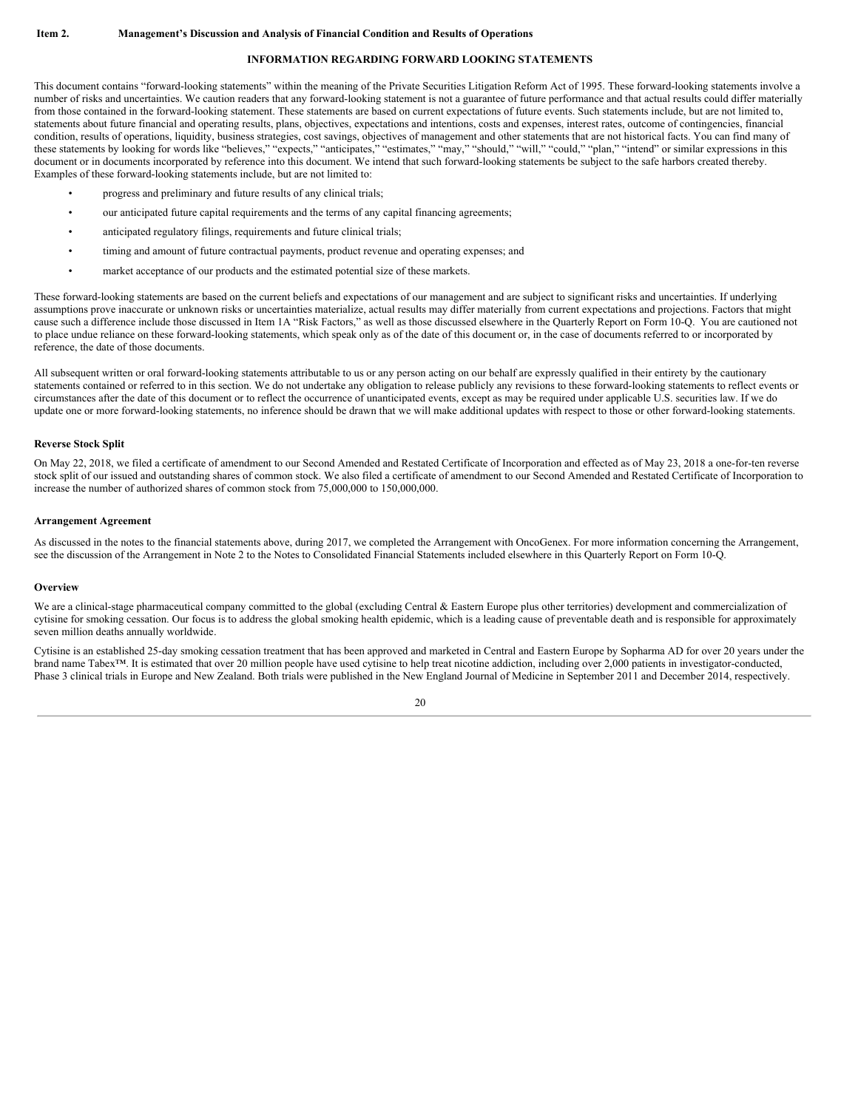#### **INFORMATION REGARDING FORWARD LOOKING STATEMENTS**

<span id="page-19-0"></span>This document contains "forward-looking statements" within the meaning of the Private Securities Litigation Reform Act of 1995. These forward-looking statements involve a number of risks and uncertainties. We caution readers that any forward-looking statement is not a guarantee of future performance and that actual results could differ materially from those contained in the forward-looking statement. These statements are based on current expectations of future events. Such statements include, but are not limited to, statements about future financial and operating results, plans, objectives, expectations and intentions, costs and expenses, interest rates, outcome of contingencies, financial condition, results of operations, liquidity, business strategies, cost savings, objectives of management and other statements that are not historical facts. You can find many of these statements by looking for words like "believes," "expects," "anticipates," "estimates," "may," "should," "will," "could," "plan," "intend" or similar expressions in this document or in documents incorporated by reference into this document. We intend that such forward-looking statements be subject to the safe harbors created thereby. Examples of these forward-looking statements include, but are not limited to:

- progress and preliminary and future results of any clinical trials;
- our anticipated future capital requirements and the terms of any capital financing agreements;
- anticipated regulatory filings, requirements and future clinical trials;
- timing and amount of future contractual payments, product revenue and operating expenses; and
- market acceptance of our products and the estimated potential size of these markets.

These forward-looking statements are based on the current beliefs and expectations of our management and are subject to significant risks and uncertainties. If underlying assumptions prove inaccurate or unknown risks or uncertainties materialize, actual results may differ materially from current expectations and projections. Factors that might cause such a difference include those discussed in Item 1A "Risk Factors," as well as those discussed elsewhere in the Quarterly Report on Form 10-Q. You are cautioned not to place undue reliance on these forward-looking statements, which speak only as of the date of this document or, in the case of documents referred to or incorporated by reference, the date of those documents.

All subsequent written or oral forward-looking statements attributable to us or any person acting on our behalf are expressly qualified in their entirety by the cautionary statements contained or referred to in this section. We do not undertake any obligation to release publicly any revisions to these forward-looking statements to reflect events or circumstances after the date of this document or to reflect the occurrence of unanticipated events, except as may be required under applicable U.S. securities law. If we do update one or more forward-looking statements, no inference should be drawn that we will make additional updates with respect to those or other forward-looking statements.

#### **Reverse Stock Split**

On May 22, 2018, we filed a certificate of amendment to our Second Amended and Restated Certificate of Incorporation and effected as of May 23, 2018 a one-for-ten reverse stock split of our issued and outstanding shares of common stock. We also filed a certificate of amendment to our Second Amended and Restated Certificate of Incorporation to increase the number of authorized shares of common stock from 75,000,000 to 150,000,000.

# **Arrangement Agreement**

As discussed in the notes to the financial statements above, during 2017, we completed the Arrangement with OncoGenex. For more information concerning the Arrangement, see the discussion of the Arrangement in Note 2 to the Notes to Consolidated Financial Statements included elsewhere in this Quarterly Report on Form 10-Q.

#### **Overview**

We are a clinical-stage pharmaceutical company committed to the global (excluding Central & Eastern Europe plus other territories) development and commercialization of cytisine for smoking cessation. Our focus is to address the global smoking health epidemic, which is a leading cause of preventable death and is responsible for approximately seven million deaths annually worldwide.

Cytisine is an established 25-day smoking cessation treatment that has been approved and marketed in Central and Eastern Europe by Sopharma AD for over 20 years under the brand name Tabex™. It is estimated that over 20 million people have used cytisine to help treat nicotine addiction, including over 2,000 patients in investigator-conducted, Phase 3 clinical trials in Europe and New Zealand. Both trials were published in the New England Journal of Medicine in September 2011 and December 2014, respectively.

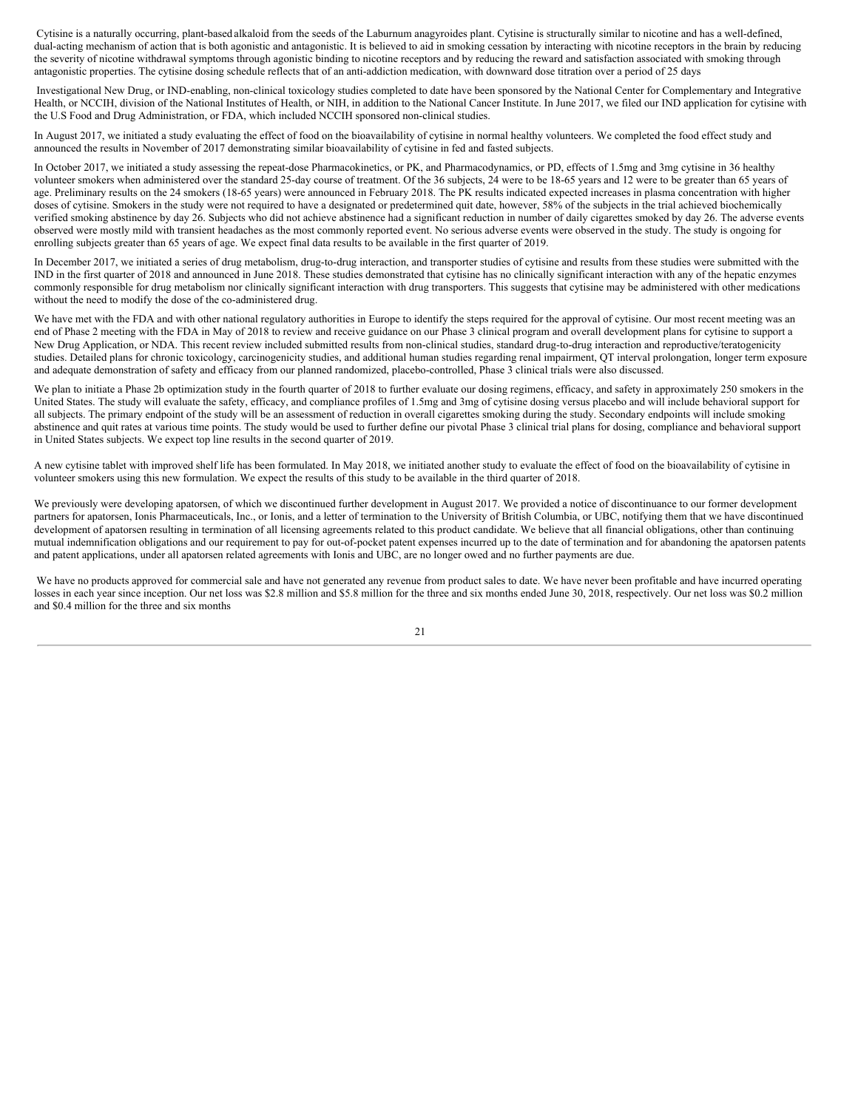Cytisine is a naturally occurring, plant-based alkaloid from the seeds of the Laburnum anagyroides plant. Cytisine is structurally similar to nicotine and has a well-defined, dual-acting mechanism of action that is both agonistic and antagonistic. It is believed to aid in smoking cessation by interacting with nicotine receptors in the brain by reducing the severity of nicotine withdrawal symptoms through agonistic binding to nicotine receptors and by reducing the reward and satisfaction associated with smoking through antagonistic properties. The cytisine dosing schedule reflects that of an anti-addiction medication, with downward dose titration over a period of 25 days

Investigational New Drug, or IND-enabling, non-clinical toxicology studies completed to date have been sponsored by the National Center for Complementary and Integrative Health, or NCCIH, division of the National Institutes of Health, or NIH, in addition to the National Cancer Institute. In June 2017, we filed our IND application for cytisine with the U.S Food and Drug Administration, or FDA, which included NCCIH sponsored non-clinical studies.

In August 2017, we initiated a study evaluating the effect of food on the bioavailability of cytisine in normal healthy volunteers. We completed the food effect study and announced the results in November of 2017 demonstrating similar bioavailability of cytisine in fed and fasted subjects.

In October 2017, we initiated a study assessing the repeat-dose Pharmacokinetics, or PK, and Pharmacodynamics, or PD, effects of 1.5mg and 3mg cytisine in 36 healthy volunteer smokers when administered over the standard 25-day course of treatment. Of the 36 subjects, 24 were to be 18-65 years and 12 were to be greater than 65 years of age. Preliminary results on the 24 smokers (18-65 years) were announced in February 2018. The PK results indicated expected increases in plasma concentration with higher doses of cytisine. Smokers in the study were not required to have a designated or predetermined quit date, however, 58% of the subjects in the trial achieved biochemically verified smoking abstinence by day 26. Subjects who did not achieve abstinence had a significant reduction in number of daily cigarettes smoked by day 26. The adverse events observed were mostly mild with transient headaches as the most commonly reported event. No serious adverse events were observed in the study. The study is ongoing for enrolling subjects greater than 65 years of age. We expect final data results to be available in the first quarter of 2019.

In December 2017, we initiated a series of drug metabolism, drug-to-drug interaction, and transporter studies of cytisine and results from these studies were submitted with the IND in the first quarter of 2018 and announced in June 2018. These studies demonstrated that cytisine has no clinically significant interaction with any of the hepatic enzymes commonly responsible for drug metabolism nor clinically significant interaction with drug transporters. This suggests that cytisine may be administered with other medications without the need to modify the dose of the co-administered drug.

We have met with the FDA and with other national regulatory authorities in Europe to identify the steps required for the approval of cytisine. Our most recent meeting was an end of Phase 2 meeting with the FDA in May of 2018 to review and receive guidance on our Phase 3 clinical program and overall development plans for cytisine to support a New Drug Application, or NDA. This recent review included submitted results from non-clinical studies, standard drug-to-drug interaction and reproductive/teratogenicity studies. Detailed plans for chronic toxicology, carcinogenicity studies, and additional human studies regarding renal impairment, QT interval prolongation, longer term exposure and adequate demonstration of safety and efficacy from our planned randomized, placebo-controlled, Phase 3 clinical trials were also discussed.

We plan to initiate a Phase 2b optimization study in the fourth quarter of 2018 to further evaluate our dosing regimens, efficacy, and safety in approximately 250 smokers in the United States. The study will evaluate the safety, efficacy, and compliance profiles of 1.5mg and 3mg of cytisine dosing versus placebo and will include behavioral support for all subjects. The primary endpoint of the study will be an assessment of reduction in overall cigarettes smoking during the study. Secondary endpoints will include smoking abstinence and quit rates at various time points. The study would be used to further define our pivotal Phase 3 clinical trial plans for dosing, compliance and behavioral support in United States subjects. We expect top line results in the second quarter of 2019.

A new cytisine tablet with improved shelf life has been formulated. In May 2018, we initiated another study to evaluate the effect of food on the bioavailability of cytisine in volunteer smokers using this new formulation. We expect the results of this study to be available in the third quarter of 2018.

We previously were developing apatorsen, of which we discontinued further development in August 2017. We provided a notice of discontinuance to our former development partners for apatorsen, Ionis Pharmaceuticals, Inc., or Ionis, and a letter of termination to the University of British Columbia, or UBC, notifying them that we have discontinued development of apatorsen resulting in termination of all licensing agreements related to this product candidate. We believe that all financial obligations, other than continuing mutual indemnification obligations and our requirement to pay for out-of-pocket patent expenses incurred up to the date of termination and for abandoning the apatorsen patents and patent applications, under all apatorsen related agreements with Ionis and UBC, are no longer owed and no further payments are due.

We have no products approved for commercial sale and have not generated any revenue from product sales to date. We have never been profitable and have incurred operating losses in each year since inception. Our net loss was \$2.8 million and \$5.8 million for the three and six months ended June 30, 2018, respectively. Our net loss was \$0.2 million and \$0.4 million for the three and six months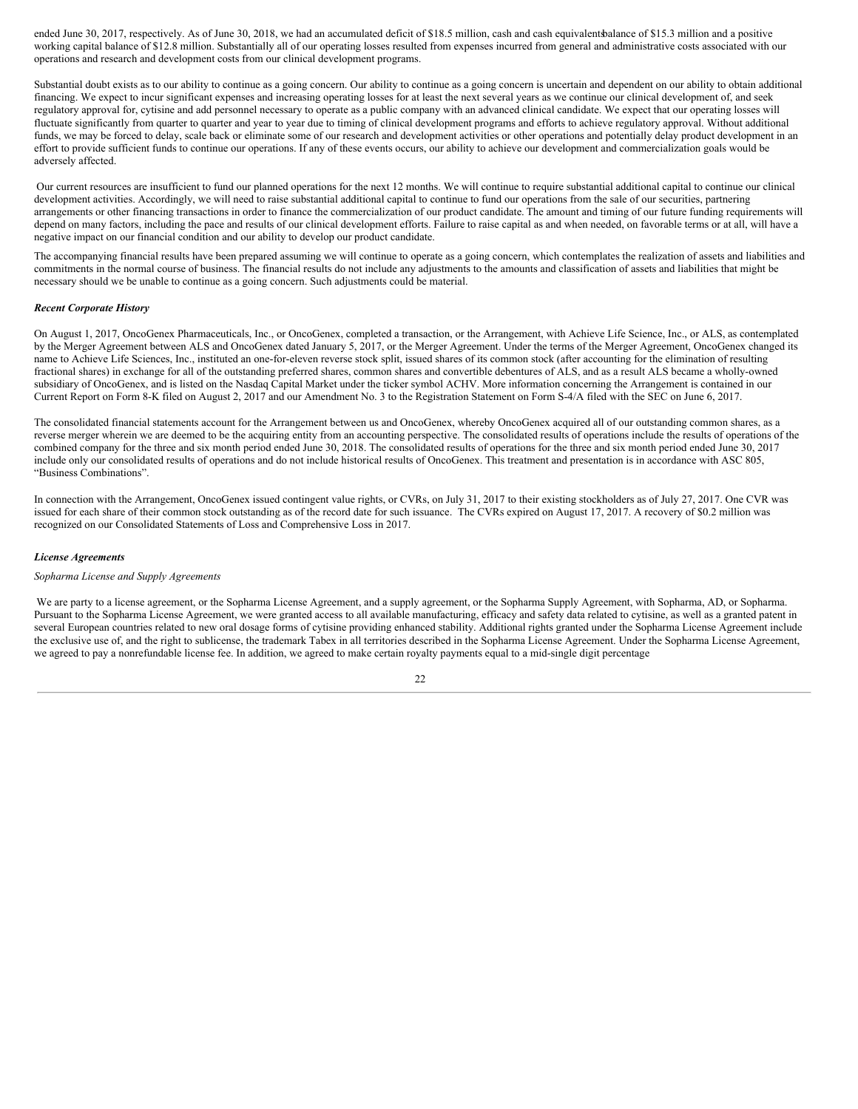ended June 30, 2017, respectively. As of June 30, 2018, we had an accumulated deficit of \$18.5 million, cash and cash equivalentsbalance of \$15.3 million and a positive working capital balance of \$12.8 million. Substantially all of our operating losses resulted from expenses incurred from general and administrative costs associated with our operations and research and development costs from our clinical development programs.

Substantial doubt exists as to our ability to continue as a going concern. Our ability to continue as a going concern is uncertain and dependent on our ability to obtain additional financing. We expect to incur significant expenses and increasing operating losses for at least the next several years as we continue our clinical development of, and seek regulatory approval for, cytisine and add personnel necessary to operate as a public company with an advanced clinical candidate. We expect that our operating losses will fluctuate significantly from quarter to quarter and year to year due to timing of clinical development programs and efforts to achieve regulatory approval. Without additional funds, we may be forced to delay, scale back or eliminate some of our research and development activities or other operations and potentially delay product development in an effort to provide sufficient funds to continue our operations. If any of these events occurs, our ability to achieve our development and commercialization goals would be adversely affected.

Our current resources are insufficient to fund our planned operations for the next 12 months. We will continue to require substantial additional capital to continue our clinical development activities. Accordingly, we will need to raise substantial additional capital to continue to fund our operations from the sale of our securities, partnering arrangements or other financing transactions in order to finance the commercialization of our product candidate. The amount and timing of our future funding requirements will depend on many factors, including the pace and results of our clinical development efforts. Failure to raise capital as and when needed, on favorable terms or at all, will have a negative impact on our financial condition and our ability to develop our product candidate.

The accompanying financial results have been prepared assuming we will continue to operate as a going concern, which contemplates the realization of assets and liabilities and commitments in the normal course of business. The financial results do not include any adjustments to the amounts and classification of assets and liabilities that might be necessary should we be unable to continue as a going concern. Such adjustments could be material.

# *Recent Corporate History*

On August 1, 2017, OncoGenex Pharmaceuticals, Inc., or OncoGenex, completed a transaction, or the Arrangement, with Achieve Life Science, Inc., or ALS, as contemplated by the Merger Agreement between ALS and OncoGenex dated January 5, 2017, or the Merger Agreement. Under the terms of the Merger Agreement, OncoGenex changed its name to Achieve Life Sciences, Inc., instituted an one-for-eleven reverse stock split, issued shares of its common stock (after accounting for the elimination of resulting fractional shares) in exchange for all of the outstanding preferred shares, common shares and convertible debentures of ALS, and as a result ALS became a wholly-owned subsidiary of OncoGenex, and is listed on the Nasdaq Capital Market under the ticker symbol ACHV. More information concerning the Arrangement is contained in our Current Report on Form 8-K filed on August 2, 2017 and our Amendment No. 3 to the Registration Statement on Form S-4/A filed with the SEC on June 6, 2017.

The consolidated financial statements account for the Arrangement between us and OncoGenex, whereby OncoGenex acquired all of our outstanding common shares, as a reverse merger wherein we are deemed to be the acquiring entity from an accounting perspective. The consolidated results of operations include the results of operations of the combined company for the three and six month period ended June 30, 2018. The consolidated results of operations for the three and six month period ended June 30, 2017 include only our consolidated results of operations and do not include historical results of OncoGenex. This treatment and presentation is in accordance with ASC 805, "Business Combinations".

In connection with the Arrangement, OncoGenex issued contingent value rights, or CVRs, on July 31, 2017 to their existing stockholders as of July 27, 2017. One CVR was issued for each share of their common stock outstanding as of the record date for such issuance. The CVRs expired on August 17, 2017. A recovery of \$0.2 million was recognized on our Consolidated Statements of Loss and Comprehensive Loss in 2017.

#### *License Agreements*

# *Sopharma License and Supply Agreements*

We are party to a license agreement, or the Sopharma License Agreement, and a supply agreement, or the Sopharma Supply Agreement, with Sopharma, AD, or Sopharma. Pursuant to the Sopharma License Agreement, we were granted access to all available manufacturing, efficacy and safety data related to cytisine, as well as a granted patent in several European countries related to new oral dosage forms of cytisine providing enhanced stability. Additional rights granted under the Sopharma License Agreement include the exclusive use of, and the right to sublicense, the trademark Tabex in all territories described in the Sopharma License Agreement. Under the Sopharma License Agreement, we agreed to pay a nonrefundable license fee. In addition, we agreed to make certain royalty payments equal to a mid-single digit percentage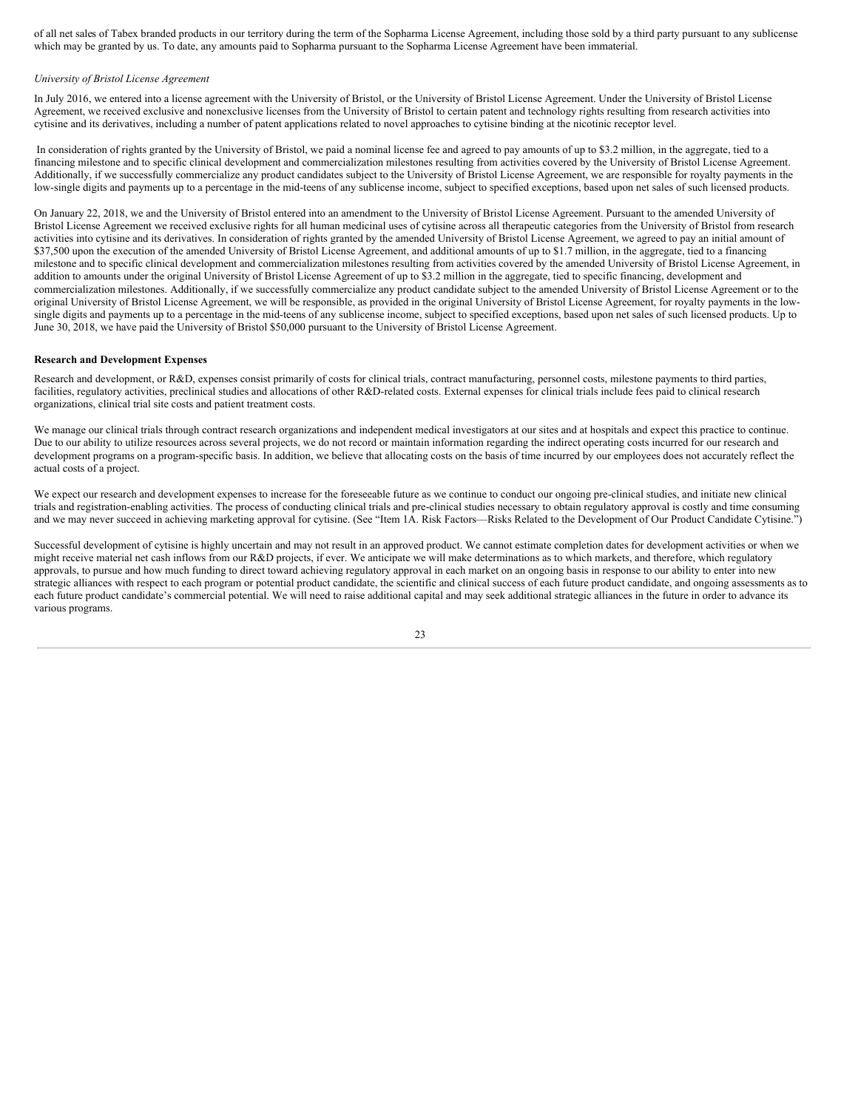of all net sales of Tabex branded products in our territory during the term of the Sopharma License Agreement, including those sold by a third party pursuant to any sublicense which may be granted by us. To date, any amounts paid to Sopharma pursuant to the Sopharma License Agreement have been immaterial.

## *University of Bristol License Agreement*

In July 2016, we entered into a license agreement with the University of Bristol, or the University of Bristol License Agreement. Under the University of Bristol License Agreement, we received exclusive and nonexclusive licenses from the University of Bristol to certain patent and technology rights resulting from research activities into cytisine and its derivatives, including a number of patent applications related to novel approaches to cytisine binding at the nicotinic receptor level.

In consideration of rights granted by the University of Bristol, we paid a nominal license fee and agreed to pay amounts of up to \$3.2 million, in the aggregate, tied to a financing milestone and to specific clinical development and commercialization milestones resulting from activities covered by the University of Bristol License Agreement. Additionally, if we successfully commercialize any product candidates subject to the University of Bristol License Agreement, we are responsible for royalty payments in the low-single digits and payments up to a percentage in the mid-teens of any sublicense income, subject to specified exceptions, based upon net sales of such licensed products.

On January 22, 2018, we and the University of Bristol entered into an amendment to the University of Bristol License Agreement. Pursuant to the amended University of Bristol License Agreement we received exclusive rights for all human medicinal uses of cytisine across all therapeutic categories from the University of Bristol from research activities into cytisine and its derivatives. In consideration of rights granted by the amended University of Bristol License Agreement, we agreed to pay an initial amount of \$37,500 upon the execution of the amended University of Bristol License Agreement, and additional amounts of up to \$1.7 million, in the aggregate, tied to a financing milestone and to specific clinical development and commercialization milestones resulting from activities covered by the amended University of Bristol License Agreement, in addition to amounts under the original University of Bristol License Agreement of up to \$3.2 million in the aggregate, tied to specific financing, development and commercialization milestones. Additionally, if we successfully commercialize any product candidate subject to the amended University of Bristol License Agreement or to the original University of Bristol License Agreement, we will be responsible, as provided in the original University of Bristol License Agreement, for royalty payments in the lowsingle digits and payments up to a percentage in the mid-teens of any sublicense income, subject to specified exceptions, based upon net sales of such licensed products. Up to June 30, 2018, we have paid the University of Bristol \$50,000 pursuant to the University of Bristol License Agreement.

# **Research and Development Expenses**

Research and development, or R&D, expenses consist primarily of costs for clinical trials, contract manufacturing, personnel costs, milestone payments to third parties, facilities, regulatory activities, preclinical studies and allocations of other R&D-related costs. External expenses for clinical trials include fees paid to clinical research organizations, clinical trial site costs and patient treatment costs.

We manage our clinical trials through contract research organizations and independent medical investigators at our sites and at hospitals and expect this practice to continue. Due to our ability to utilize resources across several projects, we do not record or maintain information regarding the indirect operating costs incurred for our research and development programs on a program-specific basis. In addition, we believe that allocating costs on the basis of time incurred by our employees does not accurately reflect the actual costs of a project.

We expect our research and development expenses to increase for the foreseeable future as we continue to conduct our ongoing pre-clinical studies, and initiate new clinical trials and registration-enabling activities. The process of conducting clinical trials and pre-clinical studies necessary to obtain regulatory approval is costly and time consuming and we may never succeed in achieving marketing approval for cytisine. (See "Item 1A. Risk Factors—Risks Related to the Development of Our Product Candidate Cytisine.")

Successful development of cytisine is highly uncertain and may not result in an approved product. We cannot estimate completion dates for development activities or when we might receive material net cash inflows from our R&D projects, if ever. We anticipate we will make determinations as to which markets, and therefore, which regulatory approvals, to pursue and how much funding to direct toward achieving regulatory approval in each market on an ongoing basis in response to our ability to enter into new strategic alliances with respect to each program or potential product candidate, the scientific and clinical success of each future product candidate, and ongoing assessments as to each future product candidate's commercial potential. We will need to raise additional capital and may seek additional strategic alliances in the future in order to advance its various programs.

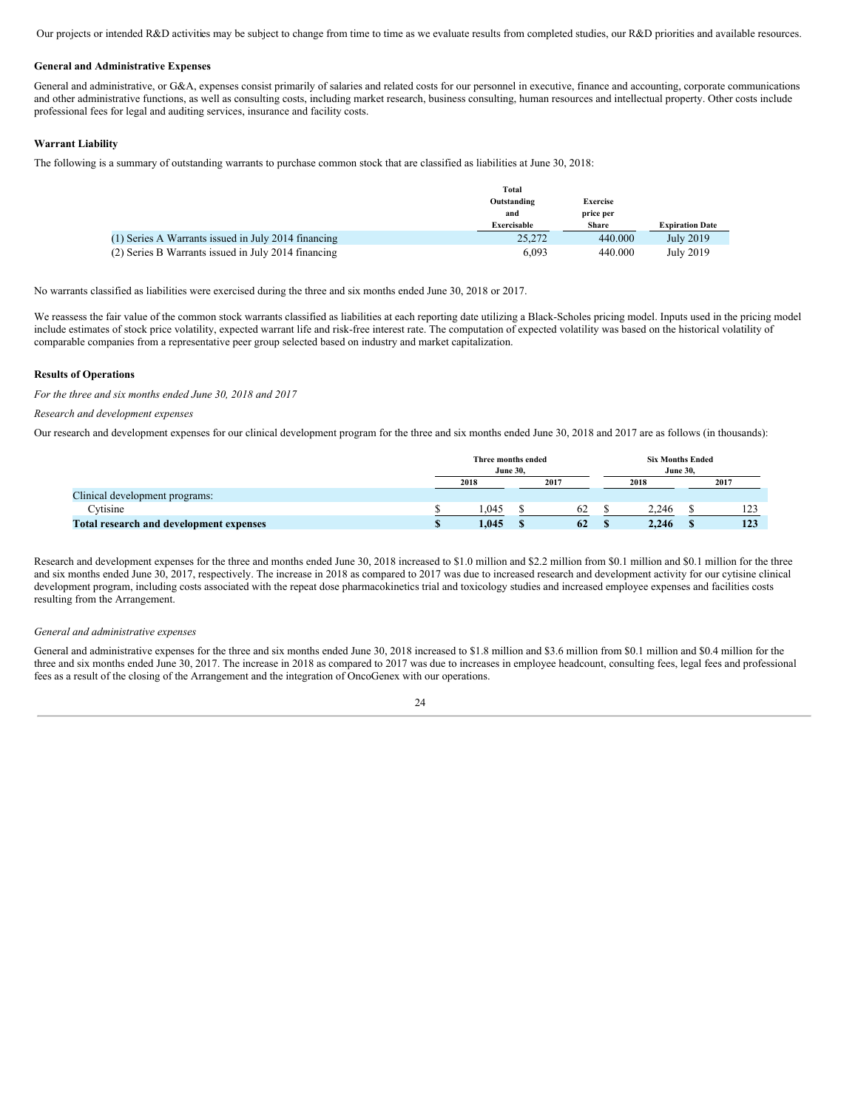Our projects or intended R&D activities may be subject to change from time to time as we evaluate results from completed studies, our R&D priorities and available resources.

# **General and Administrative Expenses**

General and administrative, or G&A, expenses consist primarily of salaries and related costs for our personnel in executive, finance and accounting, corporate communications and other administrative functions, as well as consulting costs, including market research, business consulting, human resources and intellectual property. Other costs include professional fees for legal and auditing services, insurance and facility costs.

# **Warrant Liability**

The following is a summary of outstanding warrants to purchase common stock that are classified as liabilities at June 30, 2018:

|                                                     | <b>Total</b> |                 |                        |
|-----------------------------------------------------|--------------|-----------------|------------------------|
|                                                     | Outstanding  | <b>Exercise</b> |                        |
|                                                     | and          | price per       |                        |
|                                                     | Exercisable  | <b>Share</b>    | <b>Expiration Date</b> |
| (1) Series A Warrants issued in July 2014 financing | 25,272       | 440,000         | July 2019              |
| (2) Series B Warrants issued in July 2014 financing | 6.093        | 440.000         | July 2019              |

No warrants classified as liabilities were exercised during the three and six months ended June 30, 2018 or 2017.

We reassess the fair value of the common stock warrants classified as liabilities at each reporting date utilizing a Black-Scholes pricing model. Inputs used in the pricing model include estimates of stock price volatility, expected warrant life and risk-free interest rate. The computation of expected volatility was based on the historical volatility of comparable companies from a representative peer group selected based on industry and market capitalization.

#### **Results of Operations**

*For the three and six months ended June 30, 2018 and 2017*

# *Research and development expenses*

Our research and development expenses for our clinical development program for the three and six months ended June 30, 2018 and 2017 are as follows (in thousands):

|                                         | Three months ended<br><b>June 30.</b> |  |      | <b>Six Months Ended</b><br><b>June 30.</b> |       |  |      |
|-----------------------------------------|---------------------------------------|--|------|--------------------------------------------|-------|--|------|
|                                         | 2018                                  |  | 2017 |                                            | 2018  |  | 2017 |
| Clinical development programs:          |                                       |  |      |                                            |       |  |      |
| Cytisine                                | .045                                  |  | 62   |                                            | 2.246 |  | 123  |
| Total research and development expenses | 1.045                                 |  | 62   | - 19                                       | 2,246 |  | 123  |

Research and development expenses for the three and months ended June 30, 2018 increased to \$1.0 million and \$2.2 million from \$0.1 million and \$0.1 million for the three and six months ended June 30, 2017, respectively. The increase in 2018 as compared to 2017 was due to increased research and development activity for our cytisine clinical development program, including costs associated with the repeat dose pharmacokinetics trial and toxicology studies and increased employee expenses and facilities costs resulting from the Arrangement.

#### *General and administrative expenses*

General and administrative expenses for the three and six months ended June 30, 2018 increased to \$1.8 million and \$3.6 million from \$0.1 million and \$0.4 million for the three and six months ended June 30, 2017. The increase in 2018 as compared to 2017 was due to increases in employee headcount, consulting fees, legal fees and professional fees as a result of the closing of the Arrangement and the integration of OncoGenex with our operations.

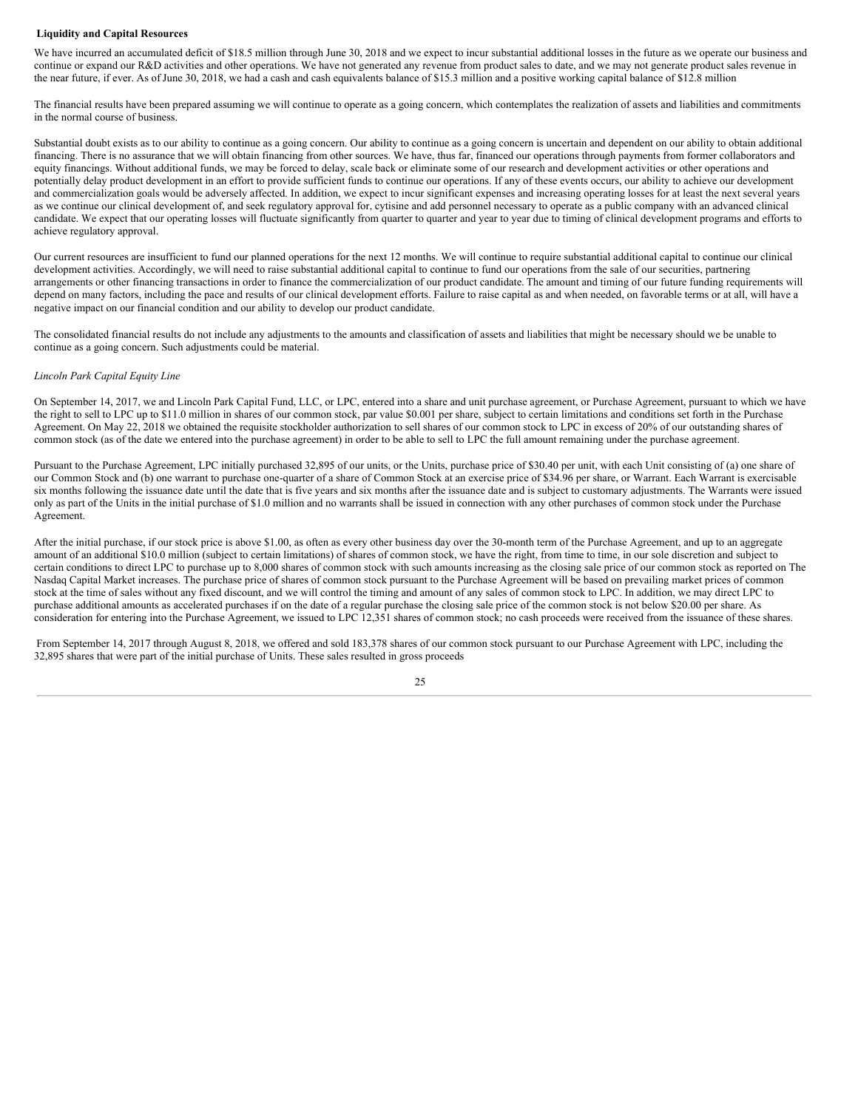#### **Liquidity and Capital Resources**

We have incurred an accumulated deficit of \$18.5 million through June 30, 2018 and we expect to incur substantial additional losses in the future as we operate our business and continue or expand our R&D activities and other operations. We have not generated any revenue from product sales to date, and we may not generate product sales revenue in the near future, if ever. As of June 30, 2018, we had a cash and cash equivalents balance of \$15.3 million and a positive working capital balance of \$12.8 million

The financial results have been prepared assuming we will continue to operate as a going concern, which contemplates the realization of assets and liabilities and commitments in the normal course of business.

Substantial doubt exists as to our ability to continue as a going concern. Our ability to continue as a going concern is uncertain and dependent on our ability to obtain additional financing. There is no assurance that we will obtain financing from other sources. We have, thus far, financed our operations through payments from former collaborators and equity financings. Without additional funds, we may be forced to delay, scale back or eliminate some of our research and development activities or other operations and potentially delay product development in an effort to provide sufficient funds to continue our operations. If any of these events occurs, our ability to achieve our development and commercialization goals would be adversely affected. In addition, we expect to incur significant expenses and increasing operating losses for at least the next several years as we continue our clinical development of, and seek regulatory approval for, cytisine and add personnel necessary to operate as a public company with an advanced clinical candidate. We expect that our operating losses will fluctuate significantly from quarter to quarter and year to year due to timing of clinical development programs and efforts to achieve regulatory approval.

Our current resources are insufficient to fund our planned operations for the next 12 months. We will continue to require substantial additional capital to continue our clinical development activities. Accordingly, we will need to raise substantial additional capital to continue to fund our operations from the sale of our securities, partnering arrangements or other financing transactions in order to finance the commercialization of our product candidate. The amount and timing of our future funding requirements will depend on many factors, including the pace and results of our clinical development efforts. Failure to raise capital as and when needed, on favorable terms or at all, will have a negative impact on our financial condition and our ability to develop our product candidate.

The consolidated financial results do not include any adjustments to the amounts and classification of assets and liabilities that might be necessary should we be unable to continue as a going concern. Such adjustments could be material.

# *Lincoln Park Capital Equity Line*

On September 14, 2017, we and Lincoln Park Capital Fund, LLC, or LPC, entered into a share and unit purchase agreement, or Purchase Agreement, pursuant to which we have the right to sell to LPC up to \$11.0 million in shares of our common stock, par value \$0.001 per share, subject to certain limitations and conditions set forth in the Purchase Agreement. On May 22, 2018 we obtained the requisite stockholder authorization to sell shares of our common stock to LPC in excess of 20% of our outstanding shares of common stock (as of the date we entered into the purchase agreement) in order to be able to sell to LPC the full amount remaining under the purchase agreement.

Pursuant to the Purchase Agreement, LPC initially purchased 32,895 of our units, or the Units, purchase price of \$30.40 per unit, with each Unit consisting of (a) one share of our Common Stock and (b) one warrant to purchase one-quarter of a share of Common Stock at an exercise price of \$34.96 per share, or Warrant. Each Warrant is exercisable six months following the issuance date until the date that is five years and six months after the issuance date and is subject to customary adjustments. The Warrants were issued only as part of the Units in the initial purchase of \$1.0 million and no warrants shall be issued in connection with any other purchases of common stock under the Purchase Agreement.

After the initial purchase, if our stock price is above \$1.00, as often as every other business day over the 30-month term of the Purchase Agreement, and up to an aggregate amount of an additional \$10.0 million (subject to certain limitations) of shares of common stock, we have the right, from time to time, in our sole discretion and subject to certain conditions to direct LPC to purchase up to 8,000 shares of common stock with such amounts increasing as the closing sale price of our common stock as reported on The Nasdaq Capital Market increases. The purchase price of shares of common stock pursuant to the Purchase Agreement will be based on prevailing market prices of common stock at the time of sales without any fixed discount, and we will control the timing and amount of any sales of common stock to LPC. In addition, we may direct LPC to purchase additional amounts as accelerated purchases if on the date of a regular purchase the closing sale price of the common stock is not below \$20.00 per share. As consideration for entering into the Purchase Agreement, we issued to LPC 12,351 shares of common stock; no cash proceeds were received from the issuance of these shares.

From September 14, 2017 through August 8, 2018, we offered and sold 183,378 shares of our common stock pursuant to our Purchase Agreement with LPC, including the 32,895 shares that were part of the initial purchase of Units. These sales resulted in gross proceeds

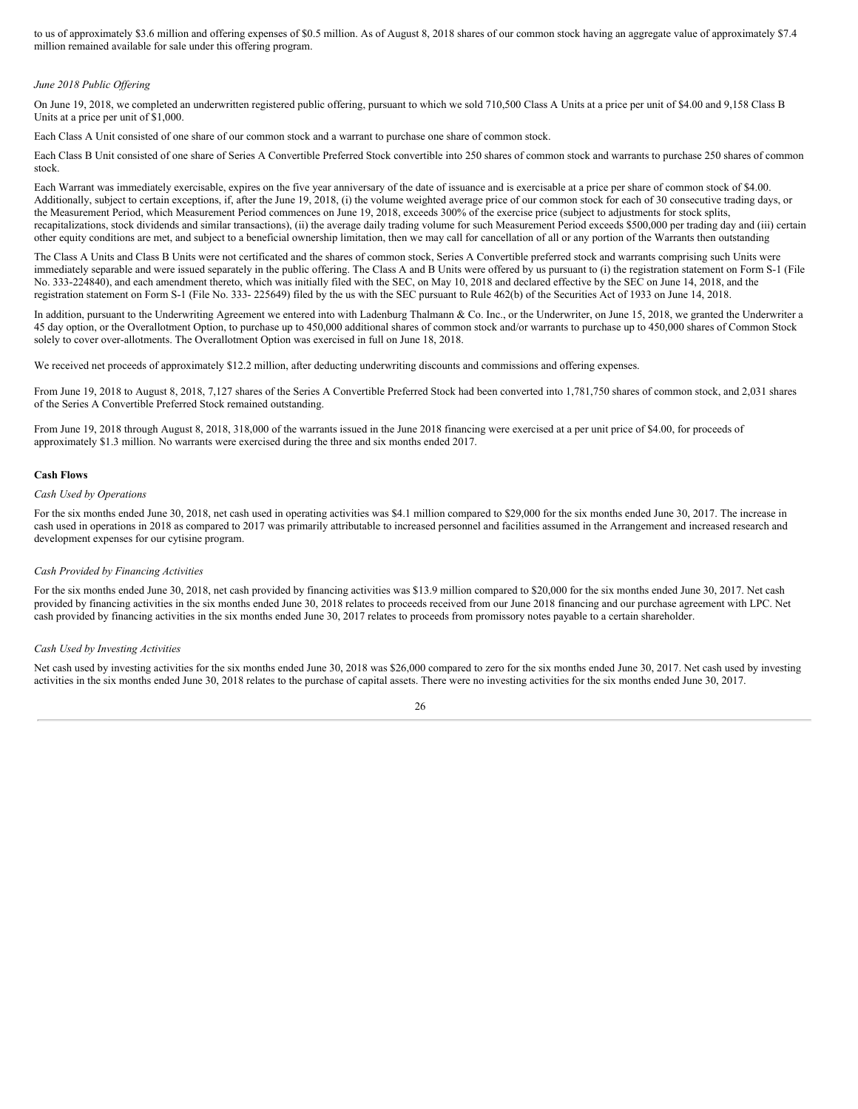to us of approximately \$3.6 million and offering expenses of \$0.5 million. As of August 8, 2018 shares of our common stock having an aggregate value of approximately \$7.4 million remained available for sale under this offering program.

# *June 2018 Public Of ering*

On June 19, 2018, we completed an underwritten registered public offering, pursuant to which we sold 710,500 Class A Units at a price per unit of \$4.00 and 9,158 Class B Units at a price per unit of \$1,000.

Each Class A Unit consisted of one share of our common stock and a warrant to purchase one share of common stock.

Each Class B Unit consisted of one share of Series A Convertible Preferred Stock convertible into 250 shares of common stock and warrants to purchase 250 shares of common stock.

Each Warrant was immediately exercisable, expires on the five year anniversary of the date of issuance and is exercisable at a price per share of common stock of \$4.00. Additionally, subject to certain exceptions, if, after the June 19, 2018, (i) the volume weighted average price of our common stock for each of 30 consecutive trading days, or the Measurement Period, which Measurement Period commences on June 19, 2018, exceeds 300% of the exercise price (subject to adjustments for stock splits, recapitalizations, stock dividends and similar transactions), (ii) the average daily trading volume for such Measurement Period exceeds \$500,000 per trading day and (iii) certain other equity conditions are met, and subject to a beneficial ownership limitation, then we may call for cancellation of all or any portion of the Warrants then outstanding

The Class A Units and Class B Units were not certificated and the shares of common stock, Series A Convertible preferred stock and warrants comprising such Units were immediately separable and were issued separately in the public offering. The Class A and B Units were offered by us pursuant to (i) the registration statement on Form S-1 (File No. 333-224840), and each amendment thereto, which was initially filed with the SEC, on May 10, 2018 and declared effective by the SEC on June 14, 2018, and the registration statement on Form S-1 (File No. 333- 225649) filed by the us with the SEC pursuant to Rule 462(b) of the Securities Act of 1933 on June 14, 2018.

In addition, pursuant to the Underwriting Agreement we entered into with Ladenburg Thalmann & Co. Inc., or the Underwriter, on June 15, 2018, we granted the Underwriter a 45 day option, or the Overallotment Option, to purchase up to 450,000 additional shares of common stock and/or warrants to purchase up to 450,000 shares of Common Stock solely to cover over-allotments. The Overallotment Option was exercised in full on June 18, 2018.

We received net proceeds of approximately \$12.2 million, after deducting underwriting discounts and commissions and offering expenses.

From June 19, 2018 to August 8, 2018, 7,127 shares of the Series A Convertible Preferred Stock had been converted into 1,781,750 shares of common stock, and 2,031 shares of the Series A Convertible Preferred Stock remained outstanding.

From June 19, 2018 through August 8, 2018, 318,000 of the warrants issued in the June 2018 financing were exercised at a per unit price of \$4.00, for proceeds of approximately \$1.3 million. No warrants were exercised during the three and six months ended 2017.

# **Cash Flows**

#### *Cash Used by Operations*

For the six months ended June 30, 2018, net cash used in operating activities was \$4.1 million compared to \$29,000 for the six months ended June 30, 2017. The increase in cash used in operations in 2018 as compared to 2017 was primarily attributable to increased personnel and facilities assumed in the Arrangement and increased research and development expenses for our cytisine program.

# *Cash Provided by Financing Activities*

For the six months ended June 30, 2018, net cash provided by financing activities was \$13.9 million compared to \$20,000 for the six months ended June 30, 2017. Net cash provided by financing activities in the six months ended June 30, 2018 relates to proceeds received from our June 2018 financing and our purchase agreement with LPC. Net cash provided by financing activities in the six months ended June 30, 2017 relates to proceeds from promissory notes payable to a certain shareholder.

# *Cash Used by Investing Activities*

Net cash used by investing activities for the six months ended June 30, 2018 was \$26,000 compared to zero for the six months ended June 30, 2017. Net cash used by investing activities in the six months ended June 30, 2018 relates to the purchase of capital assets. There were no investing activities for the six months ended June 30, 2017.

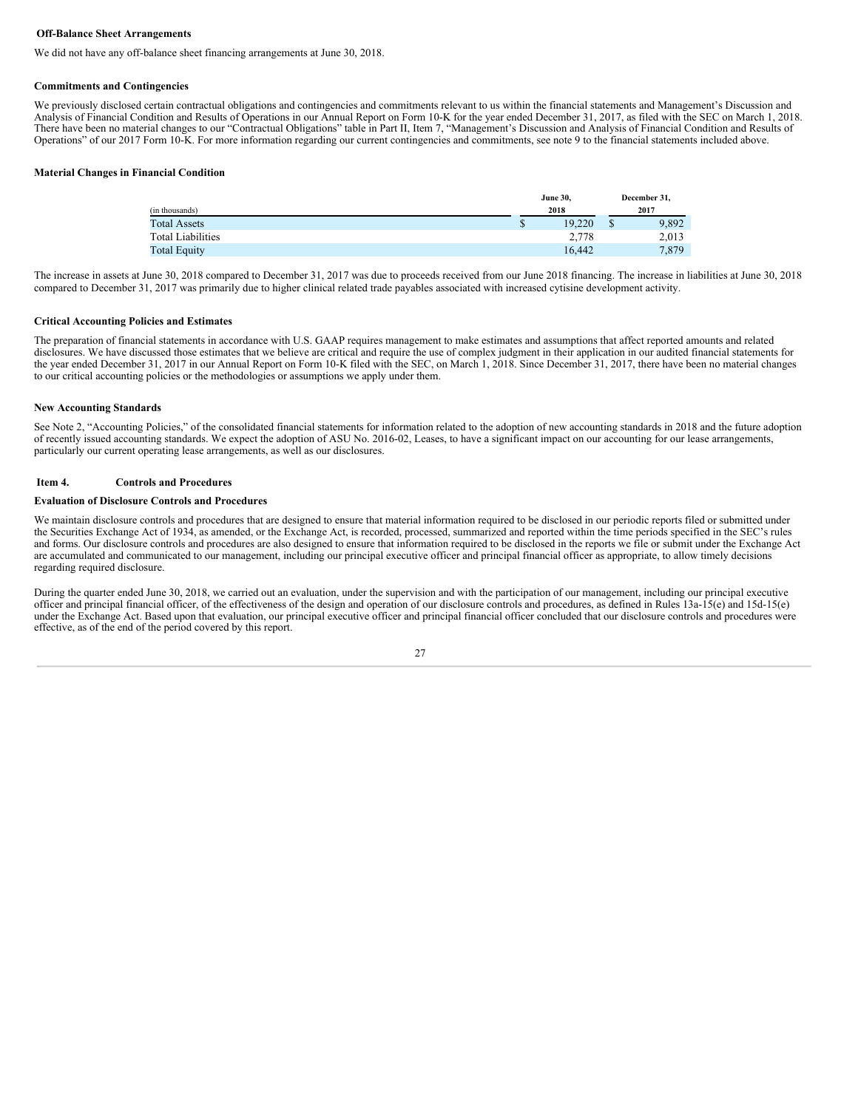#### **Off-Balance Sheet Arrangements**

We did not have any off-balance sheet financing arrangements at June 30, 2018.

# **Commitments and Contingencies**

We previously disclosed certain contractual obligations and contingencies and commitments relevant to us within the financial statements and Management's Discussion and Analysis of Financial Condition and Results of Operations in our Annual Report on Form 10-K for the year ended December 31, 2017, as filed with the SEC on March 1, 2018. There have been no material changes to our "Contractual Obligations" table in Part II, Item 7, "Management's Discussion and Analysis of Financial Condition and Results of Operations" of our 2017 Form 10-K. For more information regarding our current contingencies and commitments, see note 9 to the financial statements included above.

#### **Material Changes in Financial Condition**

|                          | <b>June 30,</b> |      | December 31, |  |
|--------------------------|-----------------|------|--------------|--|
| (in thousands)           | 2018            | 2017 |              |  |
| <b>Total Assets</b>      | \$<br>19.220    | Ф    | 9,892        |  |
| <b>Total Liabilities</b> | 2,778           |      | 2,013        |  |
| <b>Total Equity</b>      | 16.442          |      | 7,879        |  |

The increase in assets at June 30, 2018 compared to December 31, 2017 was due to proceeds received from our June 2018 financing. The increase in liabilities at June 30, 2018 compared to December 31, 2017 was primarily due to higher clinical related trade payables associated with increased cytisine development activity.

# **Critical Accounting Policies and Estimates**

The preparation of financial statements in accordance with U.S. GAAP requires management to make estimates and assumptions that affect reported amounts and related disclosures. We have discussed those estimates that we believe are critical and require the use of complex judgment in their application in our audited financial statements for the year ended December 31, 2017 in our Annual Report on Form 10-K filed with the SEC, on March 1, 2018. Since December 31, 2017, there have been no material changes to our critical accounting policies or the methodologies or assumptions we apply under them.

#### **New Accounting Standards**

See Note 2, "Accounting Policies," of the consolidated financial statements for information related to the adoption of new accounting standards in 2018 and the future adoption of recently issued accounting standards. We expect the adoption of ASU No. 2016-02, Leases, to have a significant impact on our accounting for our lease arrangements, particularly our current operating lease arrangements, as well as our disclosures.

# <span id="page-26-0"></span>**Item 4. Controls and Procedures**

# **Evaluation of Disclosure Controls and Procedures**

We maintain disclosure controls and procedures that are designed to ensure that material information required to be disclosed in our periodic reports filed or submitted under the Securities Exchange Act of 1934, as amended, or the Exchange Act, is recorded, processed, summarized and reported within the time periods specified in the SEC's rules and forms. Our disclosure controls and procedures are also designed to ensure that information required to be disclosed in the reports we file or submit under the Exchange Act are accumulated and communicated to our management, including our principal executive officer and principal financial officer as appropriate, to allow timely decisions regarding required disclosure.

During the quarter ended June 30, 2018, we carried out an evaluation, under the supervision and with the participation of our management, including our principal executive officer and principal financial officer, of the effectiveness of the design and operation of our disclosure controls and procedures, as defined in Rules 13a-15(e) and 15d-15(e) under the Exchange Act. Based upon that evaluation, our principal executive officer and principal financial officer concluded that our disclosure controls and procedures were effective, as of the end of the period covered by this report.

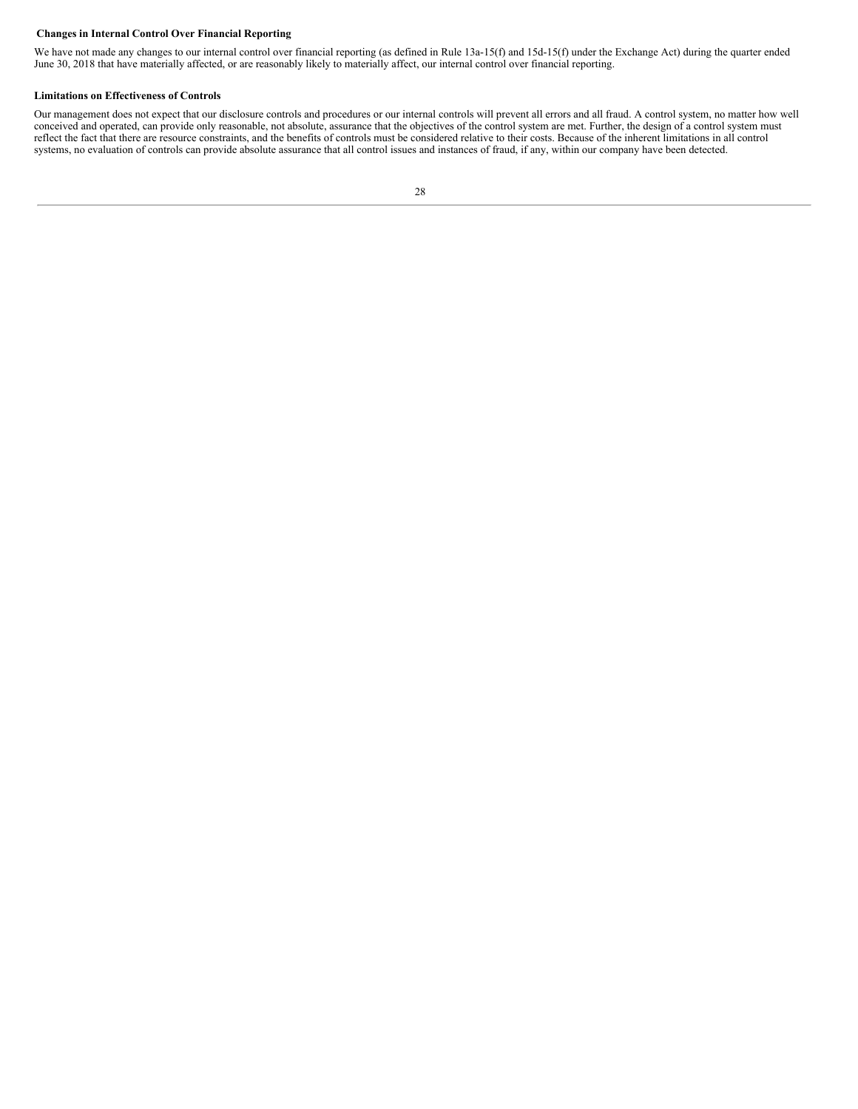## **Changes in Internal Control Over Financial Reporting**

We have not made any changes to our internal control over financial reporting (as defined in Rule 13a-15(f) and 15d-15(f) under the Exchange Act) during the quarter ended June 30, 2018 that have materially affected, or are reasonably likely to materially affect, our internal control over financial reporting.

#### **Limitations on Effectiveness of Controls**

Our management does not expect that our disclosure controls and procedures or our internal controls will prevent all errors and all fraud. A control system, no matter how well conceived and operated, can provide only reasonable, not absolute, assurance that the objectives of the control system are met. Further, the design of a control system must reflect the fact that there are resource constraints, and the benefits of controls must be considered relative to their costs. Because of the inherent limitations in all control systems, no evaluation of controls can provide absolute assurance that all control issues and instances of fraud, if any, within our company have been detected.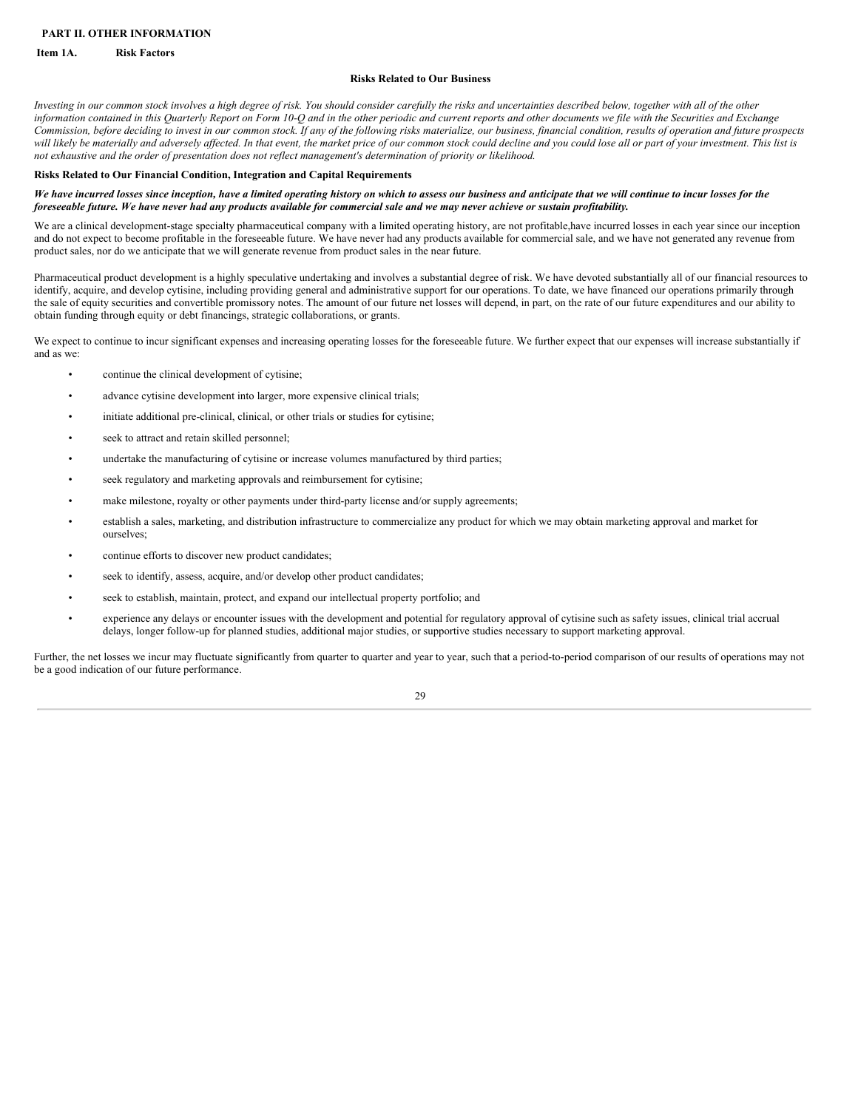# <span id="page-28-0"></span>**PART II. OTHER INFORMATION**

# <span id="page-28-1"></span>**Item 1A. Risk Factors**

## **Risks Related to Our Business**

Investing in our common stock involves a high degree of risk. You should consider carefully the risks and uncertainties described below, together with all of the other information contained in this Quarterly Report on Form 10-Q and in the other periodic and current reports and other documents we file with the Securities and Exchange Commission, before deciding to invest in our common stock. If any of the following risks materialize, our business, financial condition, results of operation and future prospects will likely be materially and adversely affected. In that event, the market price of our common stock could decline and you could lose all or part of your investment. This list is not exhaustive and the order of presentation does not reflect management's determination of priority or likelihood.

#### **Risks Related to Our Financial Condition, Integration and Capital Requirements**

#### We have incurred losses since inception, have a limited operating history on which to assess our business and anticipate that we will continue to incur losses for the foreseeable future. We have never had any products available for commercial sale and we may never achieve or sustain profitability.

We are a clinical development-stage specialty pharmaceutical company with a limited operating history, are not profitable,have incurred losses in each year since our inception and do not expect to become profitable in the foreseeable future. We have never had any products available for commercial sale, and we have not generated any revenue from product sales, nor do we anticipate that we will generate revenue from product sales in the near future.

Pharmaceutical product development is a highly speculative undertaking and involves a substantial degree of risk. We have devoted substantially all of our financial resources to identify, acquire, and develop cytisine, including providing general and administrative support for our operations. To date, we have financed our operations primarily through the sale of equity securities and convertible promissory notes. The amount of our future net losses will depend, in part, on the rate of our future expenditures and our ability to obtain funding through equity or debt financings, strategic collaborations, or grants.

We expect to continue to incur significant expenses and increasing operating losses for the foreseeable future. We further expect that our expenses will increase substantially if and as we:

- continue the clinical development of cytisine;
- advance cytisine development into larger, more expensive clinical trials;
- initiate additional pre-clinical, clinical, or other trials or studies for cytisine;
- seek to attract and retain skilled personnel;
- undertake the manufacturing of cytisine or increase volumes manufactured by third parties;
- seek regulatory and marketing approvals and reimbursement for cytisine;
- make milestone, royalty or other payments under third-party license and/or supply agreements;
- establish a sales, marketing, and distribution infrastructure to commercialize any product for which we may obtain marketing approval and market for ourselves;
- continue efforts to discover new product candidates;
- seek to identify, assess, acquire, and/or develop other product candidates;
- seek to establish, maintain, protect, and expand our intellectual property portfolio; and
- experience any delays or encounter issues with the development and potential for regulatory approval of cytisine such as safety issues, clinical trial accrual delays, longer follow-up for planned studies, additional major studies, or supportive studies necessary to support marketing approval.

Further, the net losses we incur may fluctuate significantly from quarter to quarter and year to year, such that a period-to-period comparison of our results of operations may not be a good indication of our future performance.

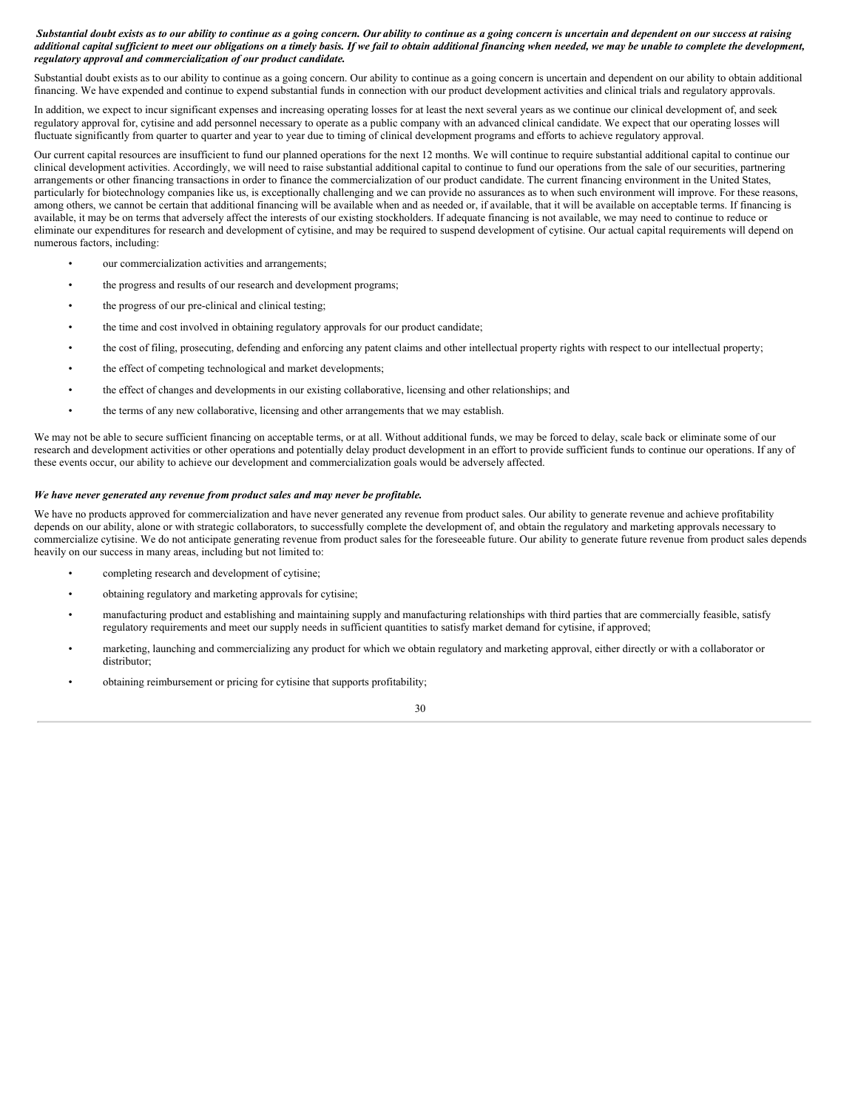# Substantial doubt exists as to our ability to continue as a going concern. Our ability to continue as a going concern is uncertain and dependent on our success at raising additional capital sufficient to meet our obligations on a timely basis. If we fail to obtain additional financing when needed, we may be unable to complete the development, *regulatory approval and commercialization of our product candidate.*

Substantial doubt exists as to our ability to continue as a going concern. Our ability to continue as a going concern is uncertain and dependent on our ability to obtain additional financing. We have expended and continue to expend substantial funds in connection with our product development activities and clinical trials and regulatory approvals.

In addition, we expect to incur significant expenses and increasing operating losses for at least the next several years as we continue our clinical development of, and seek regulatory approval for, cytisine and add personnel necessary to operate as a public company with an advanced clinical candidate. We expect that our operating losses will fluctuate significantly from quarter to quarter and year to year due to timing of clinical development programs and efforts to achieve regulatory approval.

Our current capital resources are insufficient to fund our planned operations for the next 12 months. We will continue to require substantial additional capital to continue our clinical development activities. Accordingly, we will need to raise substantial additional capital to continue to fund our operations from the sale of our securities, partnering arrangements or other financing transactions in order to finance the commercialization of our product candidate. The current financing environment in the United States, particularly for biotechnology companies like us, is exceptionally challenging and we can provide no assurances as to when such environment will improve. For these reasons, among others, we cannot be certain that additional financing will be available when and as needed or, if available, that it will be available on acceptable terms. If financing is available, it may be on terms that adversely affect the interests of our existing stockholders. If adequate financing is not available, we may need to continue to reduce or eliminate our expenditures for research and development of cytisine, and may be required to suspend development of cytisine. Our actual capital requirements will depend on numerous factors, including:

- our commercialization activities and arrangements;
- the progress and results of our research and development programs;
- the progress of our pre-clinical and clinical testing;
- the time and cost involved in obtaining regulatory approvals for our product candidate;
- the cost of filing, prosecuting, defending and enforcing any patent claims and other intellectual property rights with respect to our intellectual property;
- the effect of competing technological and market developments;
- the effect of changes and developments in our existing collaborative, licensing and other relationships; and
- the terms of any new collaborative, licensing and other arrangements that we may establish.

We may not be able to secure sufficient financing on acceptable terms, or at all. Without additional funds, we may be forced to delay, scale back or eliminate some of our research and development activities or other operations and potentially delay product development in an effort to provide sufficient funds to continue our operations. If any of these events occur, our ability to achieve our development and commercialization goals would be adversely affected.

# *We have never generated any revenue from product sales and may never be profitable.*

We have no products approved for commercialization and have never generated any revenue from product sales. Our ability to generate revenue and achieve profitability depends on our ability, alone or with strategic collaborators, to successfully complete the development of, and obtain the regulatory and marketing approvals necessary to commercialize cytisine. We do not anticipate generating revenue from product sales for the foreseeable future. Our ability to generate future revenue from product sales depends heavily on our success in many areas, including but not limited to:

- completing research and development of cytisine;
- obtaining regulatory and marketing approvals for cytisine;
- manufacturing product and establishing and maintaining supply and manufacturing relationships with third parties that are commercially feasible, satisfy regulatory requirements and meet our supply needs in sufficient quantities to satisfy market demand for cytisine, if approved;
- marketing, launching and commercializing any product for which we obtain regulatory and marketing approval, either directly or with a collaborator or distributor;
- obtaining reimbursement or pricing for cytisine that supports profitability;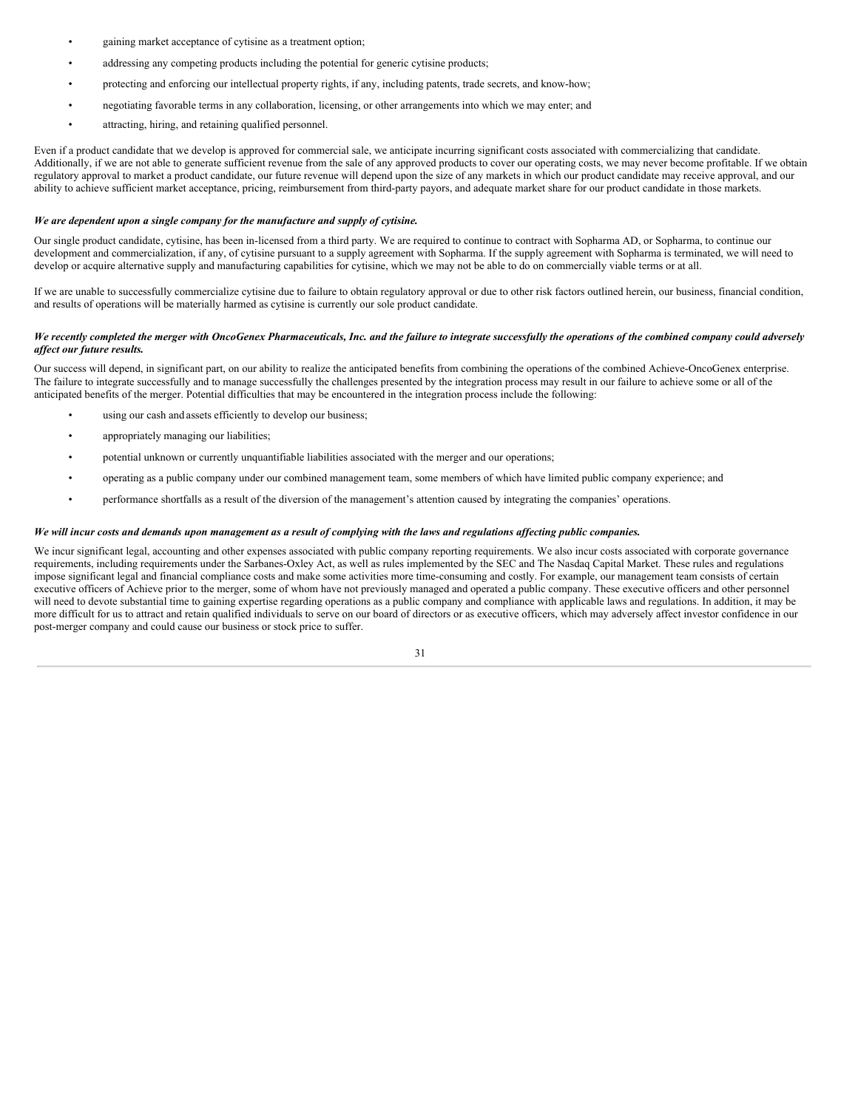- gaining market acceptance of cytisine as a treatment option;
- addressing any competing products including the potential for generic cytisine products;
- protecting and enforcing our intellectual property rights, if any, including patents, trade secrets, and know-how;
- negotiating favorable terms in any collaboration, licensing, or other arrangements into which we may enter; and
- attracting, hiring, and retaining qualified personnel.

Even if a product candidate that we develop is approved for commercial sale, we anticipate incurring significant costs associated with commercializing that candidate. Additionally, if we are not able to generate sufficient revenue from the sale of any approved products to cover our operating costs, we may never become profitable. If we obtain regulatory approval to market a product candidate, our future revenue will depend upon the size of any markets in which our product candidate may receive approval, and our ability to achieve sufficient market acceptance, pricing, reimbursement from third-party payors, and adequate market share for our product candidate in those markets.

#### *We are dependent upon a single company for the manufacture and supply of cytisine.*

Our single product candidate, cytisine, has been in-licensed from a third party. We are required to continue to contract with Sopharma AD, or Sopharma, to continue our development and commercialization, if any, of cytisine pursuant to a supply agreement with Sopharma. If the supply agreement with Sopharma is terminated, we will need to develop or acquire alternative supply and manufacturing capabilities for cytisine, which we may not be able to do on commercially viable terms or at all.

If we are unable to successfully commercialize cytisine due to failure to obtain regulatory approval or due to other risk factors outlined herein, our business, financial condition, and results of operations will be materially harmed as cytisine is currently our sole product candidate.

# We recently completed the merger with OncoGenex Pharmaceuticals, Inc. and the failure to integrate successfully the operations of the combined company could adversely *af ect our future results.*

Our success will depend, in significant part, on our ability to realize the anticipated benefits from combining the operations of the combined Achieve-OncoGenex enterprise. The failure to integrate successfully and to manage successfully the challenges presented by the integration process may result in our failure to achieve some or all of the anticipated benefits of the merger. Potential difficulties that may be encountered in the integration process include the following:

- using our cash and assets efficiently to develop our business;
- appropriately managing our liabilities;
- potential unknown or currently unquantifiable liabilities associated with the merger and our operations;
- operating as a public company under our combined management team, some members of which have limited public company experience; and
- performance shortfalls as a result of the diversion of the management's attention caused by integrating the companies' operations.

# We will incur costs and demands upon management as a result of complying with the laws and regulations affecting public companies.

We incur significant legal, accounting and other expenses associated with public company reporting requirements. We also incur costs associated with corporate governance requirements, including requirements under the Sarbanes-Oxley Act, as well as rules implemented by the SEC and The Nasdaq Capital Market. These rules and regulations impose significant legal and financial compliance costs and make some activities more time-consuming and costly. For example, our management team consists of certain executive officers of Achieve prior to the merger, some of whom have not previously managed and operated a public company. These executive officers and other personnel will need to devote substantial time to gaining expertise regarding operations as a public company and compliance with applicable laws and regulations. In addition, it may be more difficult for us to attract and retain qualified individuals to serve on our board of directors or as executive officers, which may adversely affect investor confidence in our post-merger company and could cause our business or stock price to suffer.

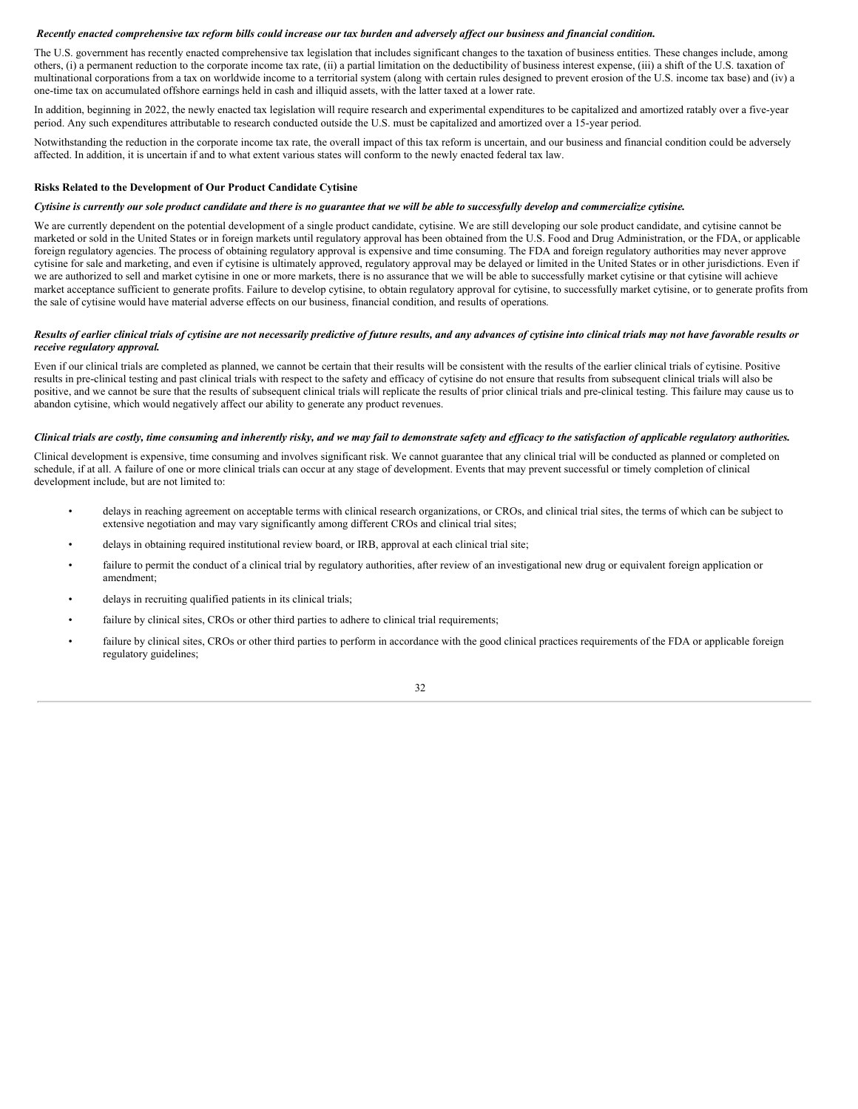#### Recently enacted comprehensive tax reform bills could increase our tax burden and adversely affect our business and financial condition.

The U.S. government has recently enacted comprehensive tax legislation that includes significant changes to the taxation of business entities. These changes include, among others, (i) a permanent reduction to the corporate income tax rate, (ii) a partial limitation on the deductibility of business interest expense, (iii) a shift of the U.S. taxation of multinational corporations from a tax on worldwide income to a territorial system (along with certain rules designed to prevent erosion of the U.S. income tax base) and (iv) a one-time tax on accumulated offshore earnings held in cash and illiquid assets, with the latter taxed at a lower rate.

In addition, beginning in 2022, the newly enacted tax legislation will require research and experimental expenditures to be capitalized and amortized ratably over a five-year period. Any such expenditures attributable to research conducted outside the U.S. must be capitalized and amortized over a 15-year period.

Notwithstanding the reduction in the corporate income tax rate, the overall impact of this tax reform is uncertain, and our business and financial condition could be adversely affected. In addition, it is uncertain if and to what extent various states will conform to the newly enacted federal tax law.

#### **Risks Related to the Development of Our Product Candidate Cytisine**

#### Cytisine is currently our sole product candidate and there is no guarantee that we will be able to successfully develop and commercialize cytisine.

We are currently dependent on the potential development of a single product candidate, cytisine. We are still developing our sole product candidate, and cytisine cannot be marketed or sold in the United States or in foreign markets until regulatory approval has been obtained from the U.S. Food and Drug Administration, or the FDA, or applicable foreign regulatory agencies. The process of obtaining regulatory approval is expensive and time consuming. The FDA and foreign regulatory authorities may never approve cytisine for sale and marketing, and even if cytisine is ultimately approved, regulatory approval may be delayed or limited in the United States or in other jurisdictions. Even if we are authorized to sell and market cytisine in one or more markets, there is no assurance that we will be able to successfully market cytisine or that cytisine will achieve market acceptance sufficient to generate profits. Failure to develop cytisine, to obtain regulatory approval for cytisine, to successfully market cytisine, or to generate profits from the sale of cytisine would have material adverse effects on our business, financial condition, and results of operations.

#### Results of earlier clinical trials of cytisine are not necessarily predictive of future results, and any advances of cytisine into clinical trials may not have favorable results or *receive regulatory approval.*

Even if our clinical trials are completed as planned, we cannot be certain that their results will be consistent with the results of the earlier clinical trials of cytisine. Positive results in pre-clinical testing and past clinical trials with respect to the safety and efficacy of cytisine do not ensure that results from subsequent clinical trials will also be positive, and we cannot be sure that the results of subsequent clinical trials will replicate the results of prior clinical trials and pre-clinical testing. This failure may cause us to abandon cytisine, which would negatively affect our ability to generate any product revenues.

#### Clinical trials are costly, time consuming and inherently risky, and we may fail to demonstrate safety and efficacy to the satisfaction of applicable regulatory authorities.

Clinical development is expensive, time consuming and involves significant risk. We cannot guarantee that any clinical trial will be conducted as planned or completed on schedule, if at all. A failure of one or more clinical trials can occur at any stage of development. Events that may prevent successful or timely completion of clinical development include, but are not limited to:

- delays in reaching agreement on acceptable terms with clinical research organizations, or CROs, and clinical trial sites, the terms of which can be subject to extensive negotiation and may vary significantly among different CROs and clinical trial sites;
- delays in obtaining required institutional review board, or IRB, approval at each clinical trial site;
- failure to permit the conduct of a clinical trial by regulatory authorities, after review of an investigational new drug or equivalent foreign application or amendment;
- delays in recruiting qualified patients in its clinical trials;
- failure by clinical sites, CROs or other third parties to adhere to clinical trial requirements;
- failure by clinical sites, CROs or other third parties to perform in accordance with the good clinical practices requirements of the FDA or applicable foreign regulatory guidelines;

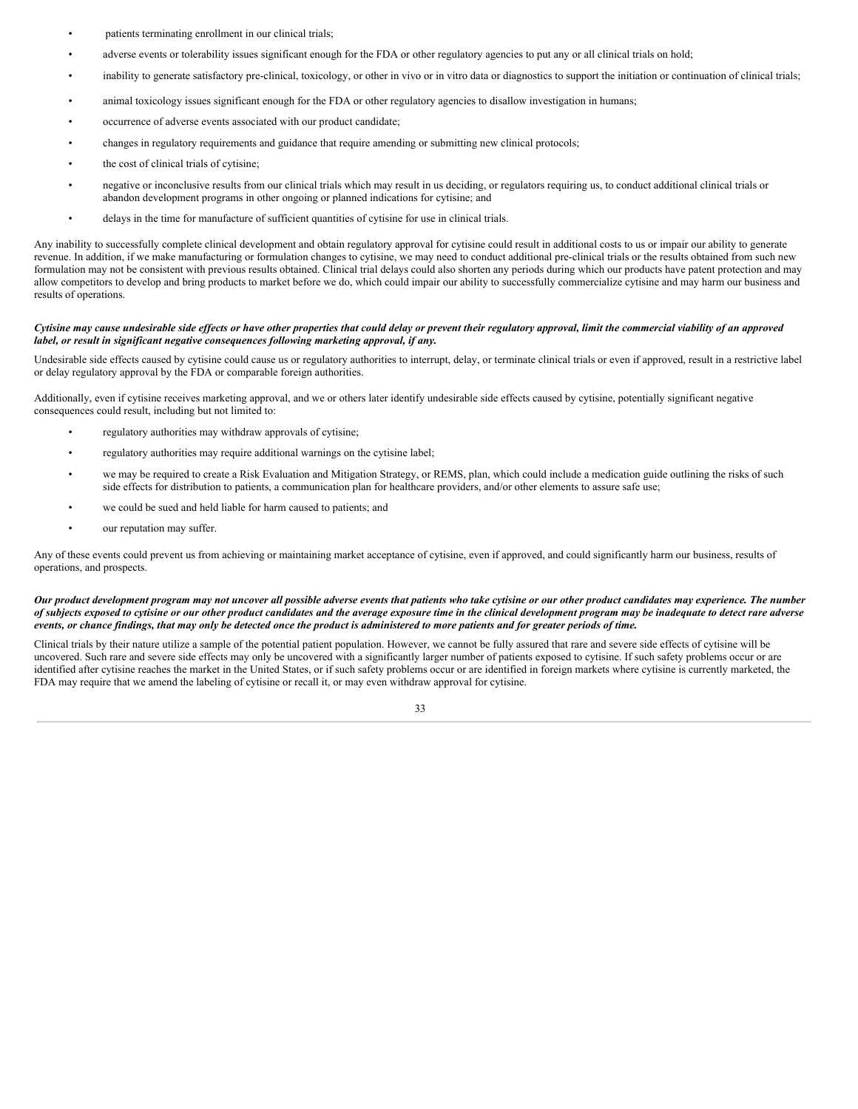- patients terminating enrollment in our clinical trials;
- adverse events or tolerability issues significant enough for the FDA or other regulatory agencies to put any or all clinical trials on hold;
- inability to generate satisfactory pre-clinical, toxicology, or other in vivo or in vitro data or diagnostics to support the initiation or continuation of clinical trials;
- animal toxicology issues significant enough for the FDA or other regulatory agencies to disallow investigation in humans;
- occurrence of adverse events associated with our product candidate;
- changes in regulatory requirements and guidance that require amending or submitting new clinical protocols;
- the cost of clinical trials of cytisine;
- negative or inconclusive results from our clinical trials which may result in us deciding, or regulators requiring us, to conduct additional clinical trials or abandon development programs in other ongoing or planned indications for cytisine; and
- delays in the time for manufacture of sufficient quantities of cytisine for use in clinical trials.

Any inability to successfully complete clinical development and obtain regulatory approval for cytisine could result in additional costs to us or impair our ability to generate revenue. In addition, if we make manufacturing or formulation changes to cytisine, we may need to conduct additional pre-clinical trials or the results obtained from such new formulation may not be consistent with previous results obtained. Clinical trial delays could also shorten any periods during which our products have patent protection and may allow competitors to develop and bring products to market before we do, which could impair our ability to successfully commercialize cytisine and may harm our business and results of operations.

# Cytisine may cause undesirable side effects or have other properties that could delay or prevent their regulatory approval, limit the commercial viability of an approved *label, or result in significant negative consequences following marketing approval, if any.*

Undesirable side effects caused by cytisine could cause us or regulatory authorities to interrupt, delay, or terminate clinical trials or even if approved, result in a restrictive label or delay regulatory approval by the FDA or comparable foreign authorities.

Additionally, even if cytisine receives marketing approval, and we or others later identify undesirable side effects caused by cytisine, potentially significant negative consequences could result, including but not limited to:

- regulatory authorities may withdraw approvals of cytisine;
- regulatory authorities may require additional warnings on the cytisine label;
- we may be required to create a Risk Evaluation and Mitigation Strategy, or REMS, plan, which could include a medication guide outlining the risks of such side effects for distribution to patients, a communication plan for healthcare providers, and/or other elements to assure safe use;
- we could be sued and held liable for harm caused to patients; and
- our reputation may suffer.

Any of these events could prevent us from achieving or maintaining market acceptance of cytisine, even if approved, and could significantly harm our business, results of operations, and prospects.

Our product development program may not uncover all possible adverse events that patients who take cytisine or our other product candidates may experience. The number of subjects exposed to cytisine or our other product candidates and the average exposure time in the clinical development program may be inadequate to detect rare adverse events, or chance findings, that may only be detected once the product is administered to more patients and for greater periods of time.

Clinical trials by their nature utilize a sample of the potential patient population. However, we cannot be fully assured that rare and severe side effects of cytisine will be uncovered. Such rare and severe side effects may only be uncovered with a significantly larger number of patients exposed to cytisine. If such safety problems occur or are identified after cytisine reaches the market in the United States, or if such safety problems occur or are identified in foreign markets where cytisine is currently marketed, the FDA may require that we amend the labeling of cytisine or recall it, or may even withdraw approval for cytisine.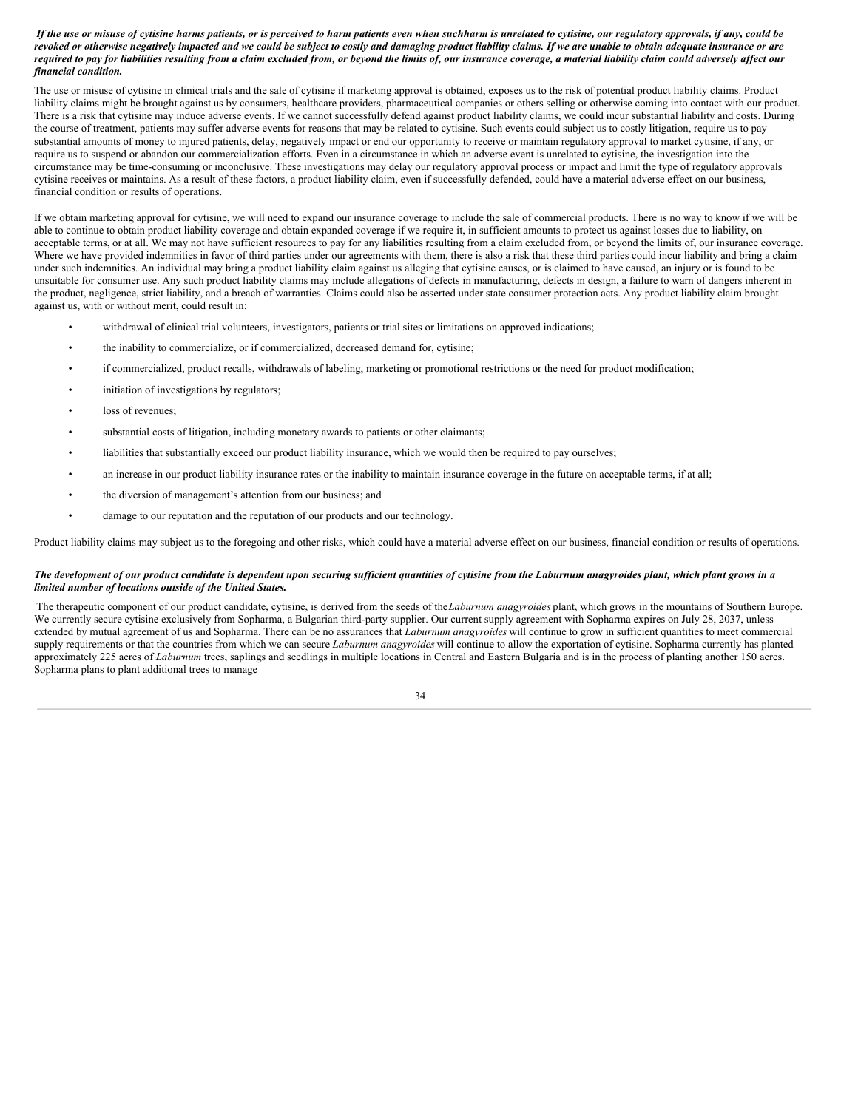# If the use or misuse of cytisine harms patients, or is perceived to harm patients even when suchharm is unrelated to cytisine, our regulatory approvals, if any, could be revoked or otherwise negatively impacted and we could be subject to costly and damaging product liability claims. If we are unable to obtain adequate insurance or are required to pay for liabilities resulting from a claim excluded from, or beyond the limits of, our insurance coverage, a material liability claim could adversely affect our *financial condition.*

The use or misuse of cytisine in clinical trials and the sale of cytisine if marketing approval is obtained, exposes us to the risk of potential product liability claims. Product liability claims might be brought against us by consumers, healthcare providers, pharmaceutical companies or others selling or otherwise coming into contact with our product. There is a risk that cytisine may induce adverse events. If we cannot successfully defend against product liability claims, we could incur substantial liability and costs. During the course of treatment, patients may suffer adverse events for reasons that may be related to cytisine. Such events could subject us to costly litigation, require us to pay substantial amounts of money to injured patients, delay, negatively impact or end our opportunity to receive or maintain regulatory approval to market cytisine, if any, or require us to suspend or abandon our commercialization efforts. Even in a circumstance in which an adverse event is unrelated to cytisine, the investigation into the circumstance may be time-consuming or inconclusive. These investigations may delay our regulatory approval process or impact and limit the type of regulatory approvals cytisine receives or maintains. As a result of these factors, a product liability claim, even if successfully defended, could have a material adverse effect on our business, financial condition or results of operations.

If we obtain marketing approval for cytisine, we will need to expand our insurance coverage to include the sale of commercial products. There is no way to know if we will be able to continue to obtain product liability coverage and obtain expanded coverage if we require it, in sufficient amounts to protect us against losses due to liability, on acceptable terms, or at all. We may not have sufficient resources to pay for any liabilities resulting from a claim excluded from, or beyond the limits of, our insurance coverage. Where we have provided indemnities in favor of third parties under our agreements with them, there is also a risk that these third parties could incur liability and bring a claim under such indemnities. An individual may bring a product liability claim against us alleging that cytisine causes, or is claimed to have caused, an injury or is found to be unsuitable for consumer use. Any such product liability claims may include allegations of defects in manufacturing, defects in design, a failure to warn of dangers inherent in the product, negligence, strict liability, and a breach of warranties. Claims could also be asserted under state consumer protection acts. Any product liability claim brought against us, with or without merit, could result in:

- withdrawal of clinical trial volunteers, investigators, patients or trial sites or limitations on approved indications;
- the inability to commercialize, or if commercialized, decreased demand for, cytisine;
- if commercialized, product recalls, withdrawals of labeling, marketing or promotional restrictions or the need for product modification;
- initiation of investigations by regulators;
- loss of revenues:
- substantial costs of litigation, including monetary awards to patients or other claimants;
- liabilities that substantially exceed our product liability insurance, which we would then be required to pay ourselves;
- an increase in our product liability insurance rates or the inability to maintain insurance coverage in the future on acceptable terms, if at all;
- the diversion of management's attention from our business; and
- damage to our reputation and the reputation of our products and our technology.

Product liability claims may subject us to the foregoing and other risks, which could have a material adverse effect on our business, financial condition or results of operations.

# The development of our product candidate is dependent upon securing sufficient quantities of cytisine from the Laburnum anagyroides plant, which plant grows in a *limited number of locations outside of the United States.*

The therapeutic component of our product candidate, cytisine, is derived from the seeds of the*Laburnum anagyroides* plant, which grows in the mountains of Southern Europe. We currently secure cytisine exclusively from Sopharma, a Bulgarian third-party supplier. Our current supply agreement with Sopharma expires on July 28, 2037, unless extended by mutual agreement of us and Sopharma. There can be no assurances that *Laburnum anagyroides* will continue to grow in sufficient quantities to meet commercial supply requirements or that the countries from which we can secure *Laburnum anagyroides* will continue to allow the exportation of cytisine. Sopharma currently has planted approximately 225 acres of *Laburnum* trees, saplings and seedlings in multiple locations in Central and Eastern Bulgaria and is in the process of planting another 150 acres. Sopharma plans to plant additional trees to manage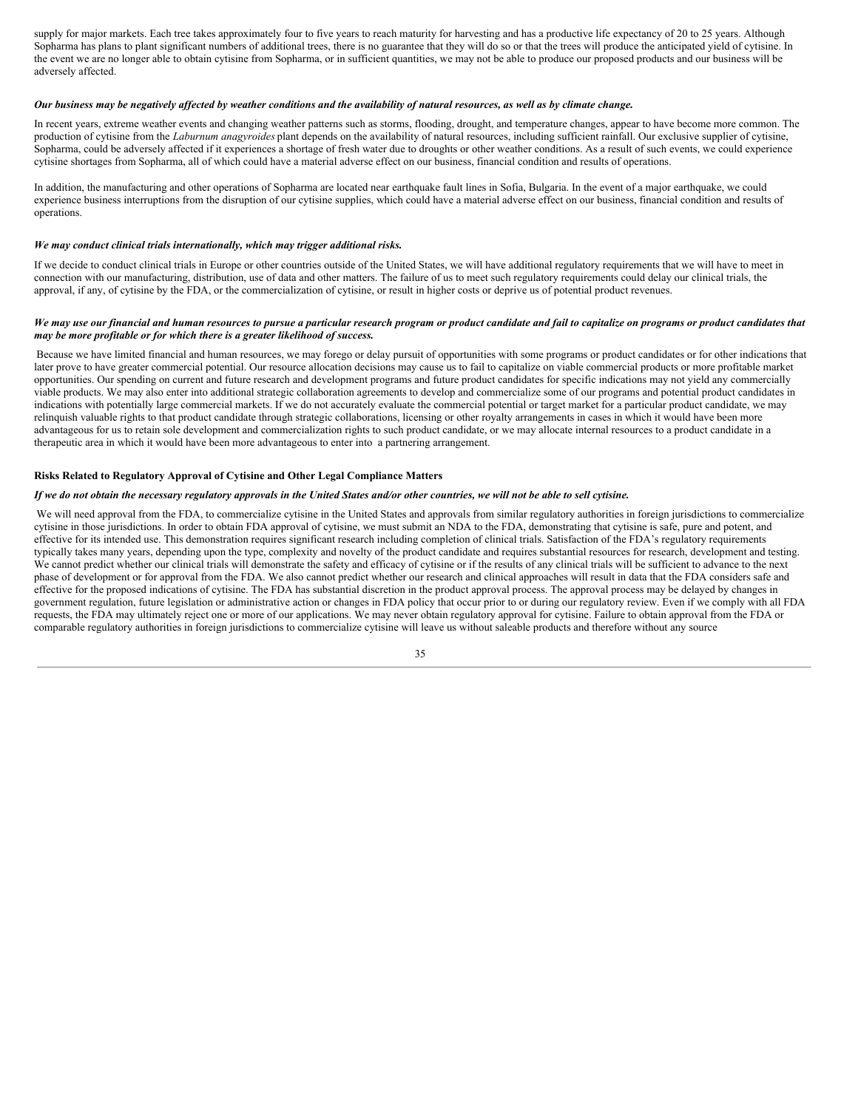supply for major markets. Each tree takes approximately four to five years to reach maturity for harvesting and has a productive life expectancy of 20 to 25 years. Although Sopharma has plans to plant significant numbers of additional trees, there is no guarantee that they will do so or that the trees will produce the anticipated yield of cytisine. In the event we are no longer able to obtain cytisine from Sopharma, or in sufficient quantities, we may not be able to produce our proposed products and our business will be adversely affected.

#### Our business may be negatively affected by weather conditions and the availability of natural resources, as well as by climate change.

In recent years, extreme weather events and changing weather patterns such as storms, flooding, drought, and temperature changes, appear to have become more common. The production of cytisine from the *Laburnum anagyroides* plant depends on the availability of natural resources, including sufficient rainfall. Our exclusive supplier of cytisine, Sopharma, could be adversely affected if it experiences a shortage of fresh water due to droughts or other weather conditions. As a result of such events, we could experience cytisine shortages from Sopharma, all of which could have a material adverse effect on our business, financial condition and results of operations.

In addition, the manufacturing and other operations of Sopharma are located near earthquake fault lines in Sofia, Bulgaria. In the event of a major earthquake, we could experience business interruptions from the disruption of our cytisine supplies, which could have a material adverse effect on our business, financial condition and results of operations.

#### *We may conduct clinical trials internationally, which may trigger additional risks.*

If we decide to conduct clinical trials in Europe or other countries outside of the United States, we will have additional regulatory requirements that we will have to meet in connection with our manufacturing, distribution, use of data and other matters. The failure of us to meet such regulatory requirements could delay our clinical trials, the approval, if any, of cytisine by the FDA, or the commercialization of cytisine, or result in higher costs or deprive us of potential product revenues.

## We may use our financial and human resources to pursue a particular research program or product candidate and fail to capitalize on programs or product candidates that *may be more profitable or for which there is a greater likelihood of success.*

Because we have limited financial and human resources, we may forego or delay pursuit of opportunities with some programs or product candidates or for other indications that later prove to have greater commercial potential. Our resource allocation decisions may cause us to fail to capitalize on viable commercial products or more profitable market opportunities. Our spending on current and future research and development programs and future product candidates for specific indications may not yield any commercially viable products. We may also enter into additional strategic collaboration agreements to develop and commercialize some of our programs and potential product candidates in indications with potentially large commercial markets. If we do not accurately evaluate the commercial potential or target market for a particular product candidate, we may relinquish valuable rights to that product candidate through strategic collaborations, licensing or other royalty arrangements in cases in which it would have been more advantageous for us to retain sole development and commercialization rights to such product candidate, or we may allocate internal resources to a product candidate in a therapeutic area in which it would have been more advantageous to enter into a partnering arrangement.

# **Risks Related to Regulatory Approval of Cytisine and Other Legal Compliance Matters**

## If we do not obtain the necessary regulatory approvals in the United States and/or other countries, we will not be able to sell cytisine.

We will need approval from the FDA, to commercialize cytisine in the United States and approvals from similar regulatory authorities in foreign jurisdictions to commercialize cytisine in those jurisdictions. In order to obtain FDA approval of cytisine, we must submit an NDA to the FDA, demonstrating that cytisine is safe, pure and potent, and effective for its intended use. This demonstration requires significant research including completion of clinical trials. Satisfaction of the FDA's regulatory requirements typically takes many years, depending upon the type, complexity and novelty of the product candidate and requires substantial resources for research, development and testing. We cannot predict whether our clinical trials will demonstrate the safety and efficacy of cytisine or if the results of any clinical trials will be sufficient to advance to the next phase of development or for approval from the FDA. We also cannot predict whether our research and clinical approaches will result in data that the FDA considers safe and effective for the proposed indications of cytisine. The FDA has substantial discretion in the product approval process. The approval process may be delayed by changes in government regulation, future legislation or administrative action or changes in FDA policy that occur prior to or during our regulatory review. Even if we comply with all FDA requests, the FDA may ultimately reject one or more of our applications. We may never obtain regulatory approval for cytisine. Failure to obtain approval from the FDA or comparable regulatory authorities in foreign jurisdictions to commercialize cytisine will leave us without saleable products and therefore without any source

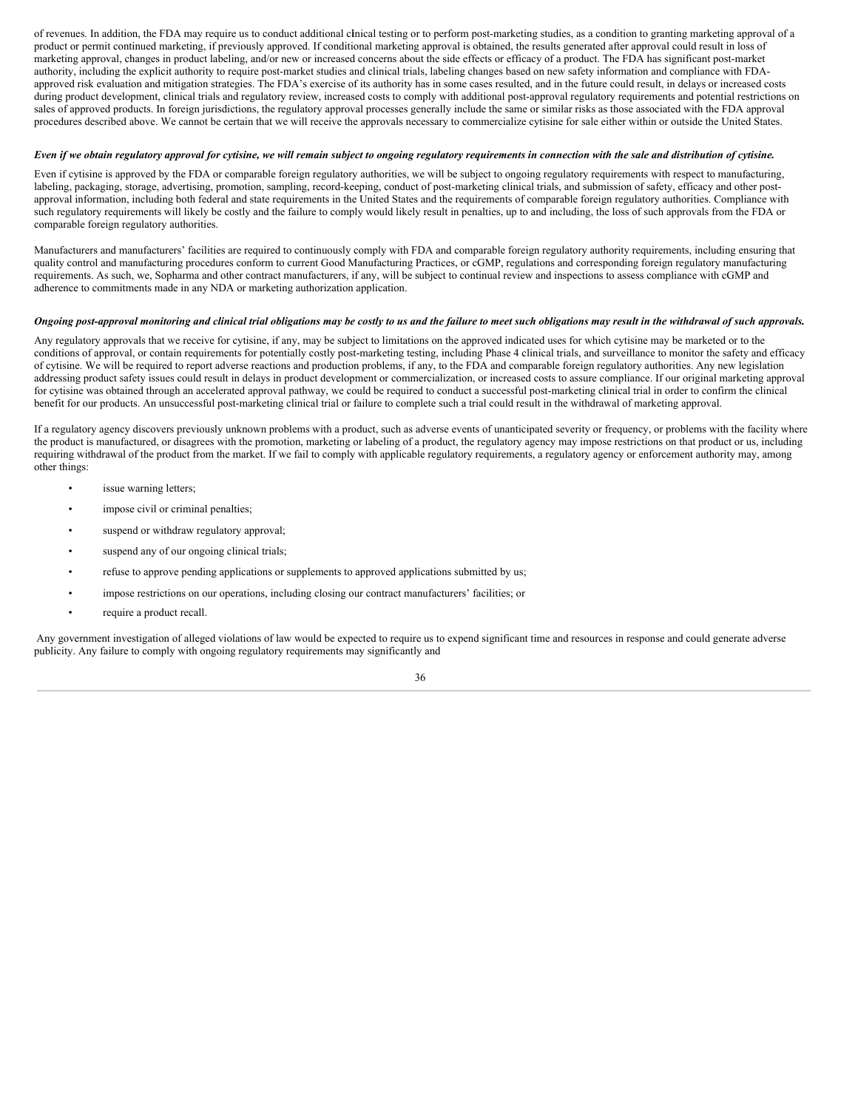of revenues. In addition, the FDA may require us to conduct additional clinical testing or to perform post-marketing studies, as a condition to granting marketing approval of a product or permit continued marketing, if previously approved. If conditional marketing approval is obtained, the results generated after approval could result in loss of marketing approval, changes in product labeling, and/or new or increased concerns about the side effects or efficacy of a product. The FDA has significant post-market authority, including the explicit authority to require post-market studies and clinical trials, labeling changes based on new safety information and compliance with FDAapproved risk evaluation and mitigation strategies. The FDA's exercise of its authority has in some cases resulted, and in the future could result, in delays or increased costs during product development, clinical trials and regulatory review, increased costs to comply with additional post-approval regulatory requirements and potential restrictions on sales of approved products. In foreign jurisdictions, the regulatory approval processes generally include the same or similar risks as those associated with the FDA approval procedures described above. We cannot be certain that we will receive the approvals necessary to commercialize cytisine for sale either within or outside the United States.

# Even if we obtain regulatory approval for cytisine, we will remain subject to ongoing regulatory requirements in connection with the sale and distribution of cytisine.

Even if cytisine is approved by the FDA or comparable foreign regulatory authorities, we will be subject to ongoing regulatory requirements with respect to manufacturing, labeling, packaging, storage, advertising, promotion, sampling, record-keeping, conduct of post-marketing clinical trials, and submission of safety, efficacy and other postapproval information, including both federal and state requirements in the United States and the requirements of comparable foreign regulatory authorities. Compliance with such regulatory requirements will likely be costly and the failure to comply would likely result in penalties, up to and including, the loss of such approvals from the FDA or comparable foreign regulatory authorities.

Manufacturers and manufacturers' facilities are required to continuously comply with FDA and comparable foreign regulatory authority requirements, including ensuring that quality control and manufacturing procedures conform to current Good Manufacturing Practices, or cGMP, regulations and corresponding foreign regulatory manufacturing requirements. As such, we, Sopharma and other contract manufacturers, if any, will be subject to continual review and inspections to assess compliance with cGMP and adherence to commitments made in any NDA or marketing authorization application.

# Ongoing post-approval monitoring and clinical trial obligations may be costly to us and the failure to meet such obligations may result in the withdrawal of such approvals.

Any regulatory approvals that we receive for cytisine, if any, may be subject to limitations on the approved indicated uses for which cytisine may be marketed or to the conditions of approval, or contain requirements for potentially costly post-marketing testing, including Phase 4 clinical trials, and surveillance to monitor the safety and efficacy of cytisine. We will be required to report adverse reactions and production problems, if any, to the FDA and comparable foreign regulatory authorities. Any new legislation addressing product safety issues could result in delays in product development or commercialization, or increased costs to assure compliance. If our original marketing approval for cytisine was obtained through an accelerated approval pathway, we could be required to conduct a successful post-marketing clinical trial in order to confirm the clinical benefit for our products. An unsuccessful post-marketing clinical trial or failure to complete such a trial could result in the withdrawal of marketing approval.

If a regulatory agency discovers previously unknown problems with a product, such as adverse events of unanticipated severity or frequency, or problems with the facility where the product is manufactured, or disagrees with the promotion, marketing or labeling of a product, the regulatory agency may impose restrictions on that product or us, including requiring withdrawal of the product from the market. If we fail to comply with applicable regulatory requirements, a regulatory agency or enforcement authority may, among other things:

- issue warning letters;
- impose civil or criminal penalties;
- suspend or withdraw regulatory approval;
- suspend any of our ongoing clinical trials;
- refuse to approve pending applications or supplements to approved applications submitted by us;
- impose restrictions on our operations, including closing our contract manufacturers' facilities; or
- require a product recall.

Any government investigation of alleged violations of law would be expected to require us to expend significant time and resources in response and could generate adverse publicity. Any failure to comply with ongoing regulatory requirements may significantly and

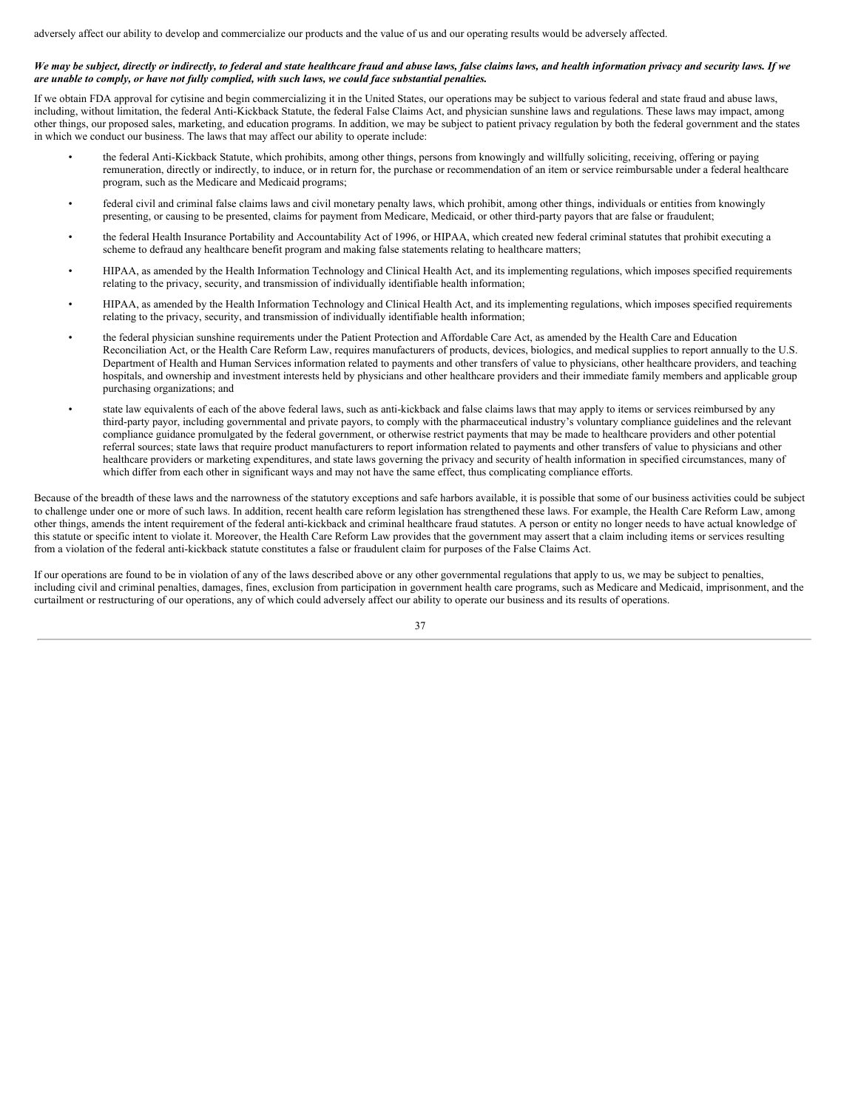adversely affect our ability to develop and commercialize our products and the value of us and our operating results would be adversely affected.

## We may be subject, directly or indirectly, to federal and state healthcare fraud and abuse laws, false claims laws, and health information privacy and security laws. If we *are unable to comply, or have not fully complied, with such laws, we could face substantial penalties.*

If we obtain FDA approval for cytisine and begin commercializing it in the United States, our operations may be subject to various federal and state fraud and abuse laws, including, without limitation, the federal Anti-Kickback Statute, the federal False Claims Act, and physician sunshine laws and regulations. These laws may impact, among other things, our proposed sales, marketing, and education programs. In addition, we may be subject to patient privacy regulation by both the federal government and the states in which we conduct our business. The laws that may affect our ability to operate include:

- the federal Anti-Kickback Statute, which prohibits, among other things, persons from knowingly and willfully soliciting, receiving, offering or paying remuneration, directly or indirectly, to induce, or in return for, the purchase or recommendation of an item or service reimbursable under a federal healthcare program, such as the Medicare and Medicaid programs;
- federal civil and criminal false claims laws and civil monetary penalty laws, which prohibit, among other things, individuals or entities from knowingly presenting, or causing to be presented, claims for payment from Medicare, Medicaid, or other third-party payors that are false or fraudulent;
- the federal Health Insurance Portability and Accountability Act of 1996, or HIPAA, which created new federal criminal statutes that prohibit executing a scheme to defraud any healthcare benefit program and making false statements relating to healthcare matters;
- HIPAA, as amended by the Health Information Technology and Clinical Health Act, and its implementing regulations, which imposes specified requirements relating to the privacy, security, and transmission of individually identifiable health information;
- HIPAA, as amended by the Health Information Technology and Clinical Health Act, and its implementing regulations, which imposes specified requirements relating to the privacy, security, and transmission of individually identifiable health information;
- the federal physician sunshine requirements under the Patient Protection and Affordable Care Act, as amended by the Health Care and Education Reconciliation Act, or the Health Care Reform Law, requires manufacturers of products, devices, biologics, and medical supplies to report annually to the U.S. Department of Health and Human Services information related to payments and other transfers of value to physicians, other healthcare providers, and teaching hospitals, and ownership and investment interests held by physicians and other healthcare providers and their immediate family members and applicable group purchasing organizations; and
- state law equivalents of each of the above federal laws, such as anti-kickback and false claims laws that may apply to items or services reimbursed by any third-party payor, including governmental and private payors, to comply with the pharmaceutical industry's voluntary compliance guidelines and the relevant compliance guidance promulgated by the federal government, or otherwise restrict payments that may be made to healthcare providers and other potential referral sources; state laws that require product manufacturers to report information related to payments and other transfers of value to physicians and other healthcare providers or marketing expenditures, and state laws governing the privacy and security of health information in specified circumstances, many of which differ from each other in significant ways and may not have the same effect, thus complicating compliance efforts.

Because of the breadth of these laws and the narrowness of the statutory exceptions and safe harbors available, it is possible that some of our business activities could be subject to challenge under one or more of such laws. In addition, recent health care reform legislation has strengthened these laws. For example, the Health Care Reform Law, among other things, amends the intent requirement of the federal anti-kickback and criminal healthcare fraud statutes. A person or entity no longer needs to have actual knowledge of this statute or specific intent to violate it. Moreover, the Health Care Reform Law provides that the government may assert that a claim including items or services resulting from a violation of the federal anti-kickback statute constitutes a false or fraudulent claim for purposes of the False Claims Act.

If our operations are found to be in violation of any of the laws described above or any other governmental regulations that apply to us, we may be subject to penalties, including civil and criminal penalties, damages, fines, exclusion from participation in government health care programs, such as Medicare and Medicaid, imprisonment, and the curtailment or restructuring of our operations, any of which could adversely affect our ability to operate our business and its results of operations.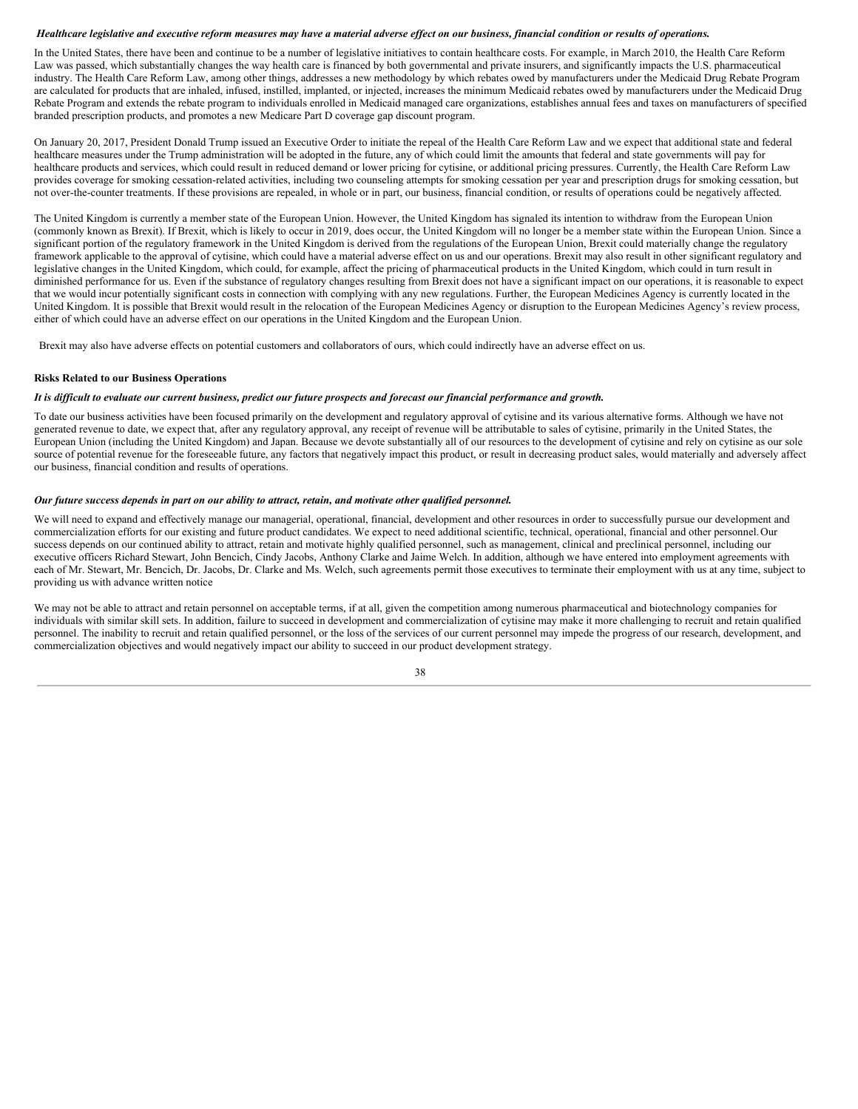#### Healthcare legislative and executive reform measures may have a material adverse effect on our business, financial condition or results of operations.

In the United States, there have been and continue to be a number of legislative initiatives to contain healthcare costs. For example, in March 2010, the Health Care Reform Law was passed, which substantially changes the way health care is financed by both governmental and private insurers, and significantly impacts the U.S. pharmaceutical industry. The Health Care Reform Law, among other things, addresses a new methodology by which rebates owed by manufacturers under the Medicaid Drug Rebate Program are calculated for products that are inhaled, infused, instilled, implanted, or injected, increases the minimum Medicaid rebates owed by manufacturers under the Medicaid Drug Rebate Program and extends the rebate program to individuals enrolled in Medicaid managed care organizations, establishes annual fees and taxes on manufacturers of specified branded prescription products, and promotes a new Medicare Part D coverage gap discount program.

On January 20, 2017, President Donald Trump issued an Executive Order to initiate the repeal of the Health Care Reform Law and we expect that additional state and federal healthcare measures under the Trump administration will be adopted in the future, any of which could limit the amounts that federal and state governments will pay for healthcare products and services, which could result in reduced demand or lower pricing for cytisine, or additional pricing pressures. Currently, the Health Care Reform Law provides coverage for smoking cessation-related activities, including two counseling attempts for smoking cessation per year and prescription drugs for smoking cessation, but not over-the-counter treatments. If these provisions are repealed, in whole or in part, our business, financial condition, or results of operations could be negatively affected.

The United Kingdom is currently a member state of the European Union. However, the United Kingdom has signaled its intention to withdraw from the European Union (commonly known as Brexit). If Brexit, which is likely to occur in 2019, does occur, the United Kingdom will no longer be a member state within the European Union. Since a significant portion of the regulatory framework in the United Kingdom is derived from the regulations of the European Union, Brexit could materially change the regulatory framework applicable to the approval of cytisine, which could have a material adverse effect on us and our operations. Brexit may also result in other significant regulatory and legislative changes in the United Kingdom, which could, for example, affect the pricing of pharmaceutical products in the United Kingdom, which could in turn result in diminished performance for us. Even if the substance of regulatory changes resulting from Brexit does not have a significant impact on our operations, it is reasonable to expect that we would incur potentially significant costs in connection with complying with any new regulations. Further, the European Medicines Agency is currently located in the United Kingdom. It is possible that Brexit would result in the relocation of the European Medicines Agency or disruption to the European Medicines Agency's review process, either of which could have an adverse effect on our operations in the United Kingdom and the European Union.

Brexit may also have adverse effects on potential customers and collaborators of ours, which could indirectly have an adverse effect on us.

#### **Risks Related to our Business Operations**

# It is difficult to evaluate our current business, predict our future prospects and forecast our financial performance and growth.

To date our business activities have been focused primarily on the development and regulatory approval of cytisine and its various alternative forms. Although we have not generated revenue to date, we expect that, after any regulatory approval, any receipt of revenue will be attributable to sales of cytisine, primarily in the United States, the European Union (including the United Kingdom) and Japan. Because we devote substantially all of our resources to the development of cytisine and rely on cytisine as our sole source of potential revenue for the foreseeable future, any factors that negatively impact this product, or result in decreasing product sales, would materially and adversely affect our business, financial condition and results of operations.

# Our future success depends in part on our ability to attract, retain, and motivate other qualified personnel.

We will need to expand and effectively manage our managerial, operational, financial, development and other resources in order to successfully pursue our development and commercialization efforts for our existing and future product candidates. We expect to need additional scientific, technical, operational, financial and other personnel.Our success depends on our continued ability to attract, retain and motivate highly qualified personnel, such as management, clinical and preclinical personnel, including our executive officers Richard Stewart, John Bencich, Cindy Jacobs, Anthony Clarke and Jaime Welch. In addition, although we have entered into employment agreements with each of Mr. Stewart, Mr. Bencich, Dr. Jacobs, Dr. Clarke and Ms. Welch, such agreements permit those executives to terminate their employment with us at any time, subject to providing us with advance written notice

We may not be able to attract and retain personnel on acceptable terms, if at all, given the competition among numerous pharmaceutical and biotechnology companies for individuals with similar skill sets. In addition, failure to succeed in development and commercialization of cytisine may make it more challenging to recruit and retain qualified personnel. The inability to recruit and retain qualified personnel, or the loss of the services of our current personnel may impede the progress of our research, development, and commercialization objectives and would negatively impact our ability to succeed in our product development strategy.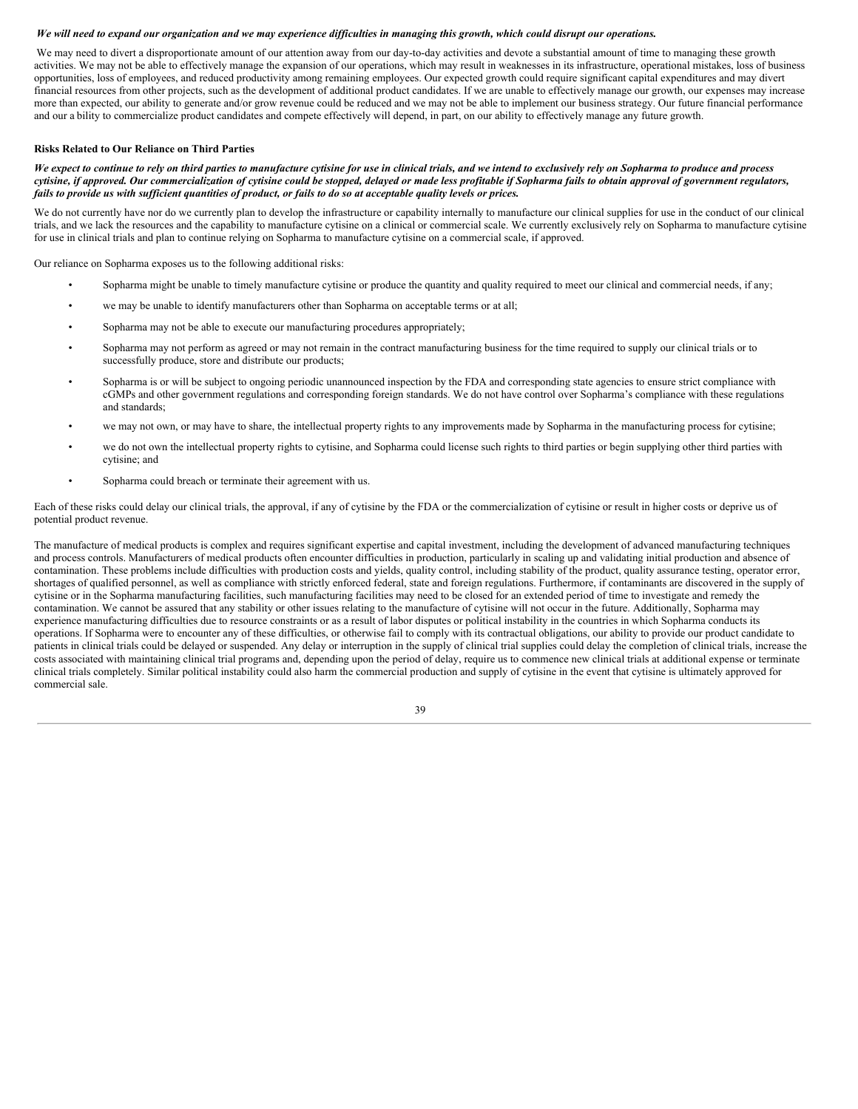#### We will need to expand our organization and we may experience difficulties in managing this growth, which could disrupt our operations.

We may need to divert a disproportionate amount of our attention away from our day-to-day activities and devote a substantial amount of time to managing these growth activities. We may not be able to effectively manage the expansion of our operations, which may result in weaknesses in its infrastructure, operational mistakes, loss of business opportunities, loss of employees, and reduced productivity among remaining employees. Our expected growth could require significant capital expenditures and may divert financial resources from other projects, such as the development of additional product candidates. If we are unable to effectively manage our growth, our expenses may increase more than expected, our ability to generate and/or grow revenue could be reduced and we may not be able to implement our business strategy. Our future financial performance and our a bility to commercialize product candidates and compete effectively will depend, in part, on our ability to effectively manage any future growth.

#### **Risks Related to Our Reliance on Third Parties**

#### We expect to continue to rely on third parties to manufacture cytisine for use in clinical trials, and we intend to exclusively rely on Sopharma to produce and process cytisine, if approved. Our commercialization of cytisine could be stopped, delayed or made less profitable if Sopharma fails to obtain approval of government regulators, fails to provide us with sufficient quantities of product, or fails to do so at acceptable quality levels or prices.

We do not currently have nor do we currently plan to develop the infrastructure or capability internally to manufacture our clinical supplies for use in the conduct of our clinical trials, and we lack the resources and the capability to manufacture cytisine on a clinical or commercial scale. We currently exclusively rely on Sopharma to manufacture cytisine for use in clinical trials and plan to continue relying on Sopharma to manufacture cytisine on a commercial scale, if approved.

Our reliance on Sopharma exposes us to the following additional risks:

- Sopharma might be unable to timely manufacture cytisine or produce the quantity and quality required to meet our clinical and commercial needs, if any;
- we may be unable to identify manufacturers other than Sopharma on acceptable terms or at all;
- Sopharma may not be able to execute our manufacturing procedures appropriately;
- Sopharma may not perform as agreed or may not remain in the contract manufacturing business for the time required to supply our clinical trials or to successfully produce, store and distribute our products;
- Sopharma is or will be subject to ongoing periodic unannounced inspection by the FDA and corresponding state agencies to ensure strict compliance with cGMPs and other government regulations and corresponding foreign standards. We do not have control over Sopharma's compliance with these regulations and standards;
- we may not own, or may have to share, the intellectual property rights to any improvements made by Sopharma in the manufacturing process for cytisine;
- we do not own the intellectual property rights to cytisine, and Sopharma could license such rights to third parties or begin supplying other third parties with cytisine; and
- Sopharma could breach or terminate their agreement with us.

Each of these risks could delay our clinical trials, the approval, if any of cytisine by the FDA or the commercialization of cytisine or result in higher costs or deprive us of potential product revenue.

The manufacture of medical products is complex and requires significant expertise and capital investment, including the development of advanced manufacturing techniques and process controls. Manufacturers of medical products often encounter difficulties in production, particularly in scaling up and validating initial production and absence of contamination. These problems include difficulties with production costs and yields, quality control, including stability of the product, quality assurance testing, operator error, shortages of qualified personnel, as well as compliance with strictly enforced federal, state and foreign regulations. Furthermore, if contaminants are discovered in the supply of cytisine or in the Sopharma manufacturing facilities, such manufacturing facilities may need to be closed for an extended period of time to investigate and remedy the contamination. We cannot be assured that any stability or other issues relating to the manufacture of cytisine will not occur in the future. Additionally, Sopharma may experience manufacturing difficulties due to resource constraints or as a result of labor disputes or political instability in the countries in which Sopharma conducts its operations. If Sopharma were to encounter any of these difficulties, or otherwise fail to comply with its contractual obligations, our ability to provide our product candidate to patients in clinical trials could be delayed or suspended. Any delay or interruption in the supply of clinical trial supplies could delay the completion of clinical trials, increase the costs associated with maintaining clinical trial programs and, depending upon the period of delay, require us to commence new clinical trials at additional expense or terminate clinical trials completely. Similar political instability could also harm the commercial production and supply of cytisine in the event that cytisine is ultimately approved for commercial sale.

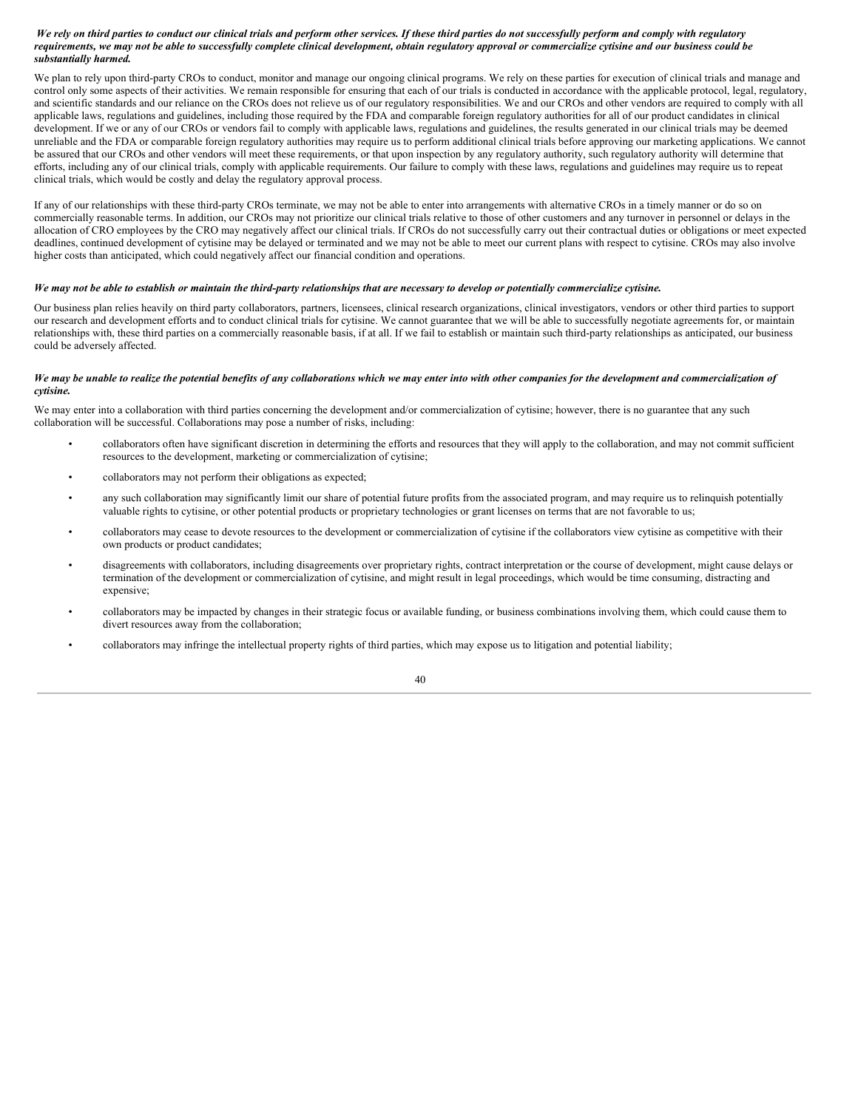# We rely on third parties to conduct our clinical trials and perform other services. If these third parties do not successfully perform and comply with regulatory requirements, we may not be able to successfully complete clinical development, obtain regulatory approval or commercialize cytisine and our business could be *substantially harmed.*

We plan to rely upon third-party CROs to conduct, monitor and manage our ongoing clinical programs. We rely on these parties for execution of clinical trials and manage and control only some aspects of their activities. We remain responsible for ensuring that each of our trials is conducted in accordance with the applicable protocol, legal, regulatory, and scientific standards and our reliance on the CROs does not relieve us of our regulatory responsibilities. We and our CROs and other vendors are required to comply with all applicable laws, regulations and guidelines, including those required by the FDA and comparable foreign regulatory authorities for all of our product candidates in clinical development. If we or any of our CROs or vendors fail to comply with applicable laws, regulations and guidelines, the results generated in our clinical trials may be deemed unreliable and the FDA or comparable foreign regulatory authorities may require us to perform additional clinical trials before approving our marketing applications. We cannot be assured that our CROs and other vendors will meet these requirements, or that upon inspection by any regulatory authority, such regulatory authority will determine that efforts, including any of our clinical trials, comply with applicable requirements. Our failure to comply with these laws, regulations and guidelines may require us to repeat clinical trials, which would be costly and delay the regulatory approval process.

If any of our relationships with these third-party CROs terminate, we may not be able to enter into arrangements with alternative CROs in a timely manner or do so on commercially reasonable terms. In addition, our CROs may not prioritize our clinical trials relative to those of other customers and any turnover in personnel or delays in the allocation of CRO employees by the CRO may negatively affect our clinical trials. If CROs do not successfully carry out their contractual duties or obligations or meet expected deadlines, continued development of cytisine may be delayed or terminated and we may not be able to meet our current plans with respect to cytisine. CROs may also involve higher costs than anticipated, which could negatively affect our financial condition and operations.

# We may not be able to establish or maintain the third-party relationships that are necessary to develop or potentially commercialize cytisine.

Our business plan relies heavily on third party collaborators, partners, licensees, clinical research organizations, clinical investigators, vendors or other third parties to support our research and development efforts and to conduct clinical trials for cytisine. We cannot guarantee that we will be able to successfully negotiate agreements for, or maintain relationships with, these third parties on a commercially reasonable basis, if at all. If we fail to establish or maintain such third-party relationships as anticipated, our business could be adversely affected.

#### We may be unable to realize the potential benefits of any collaborations which we may enter into with other companies for the development and commercialization of *cytisine.*

We may enter into a collaboration with third parties concerning the development and/or commercialization of cytisine; however, there is no guarantee that any such collaboration will be successful. Collaborations may pose a number of risks, including:

- collaborators often have significant discretion in determining the efforts and resources that they will apply to the collaboration, and may not commit sufficient resources to the development, marketing or commercialization of cytisine;
- collaborators may not perform their obligations as expected;
- any such collaboration may significantly limit our share of potential future profits from the associated program, and may require us to relinquish potentially valuable rights to cytisine, or other potential products or proprietary technologies or grant licenses on terms that are not favorable to us;
- collaborators may cease to devote resources to the development or commercialization of cytisine if the collaborators view cytisine as competitive with their own products or product candidates;
- disagreements with collaborators, including disagreements over proprietary rights, contract interpretation or the course of development, might cause delays or termination of the development or commercialization of cytisine, and might result in legal proceedings, which would be time consuming, distracting and expensive;
- collaborators may be impacted by changes in their strategic focus or available funding, or business combinations involving them, which could cause them to divert resources away from the collaboration;
- collaborators may infringe the intellectual property rights of third parties, which may expose us to litigation and potential liability;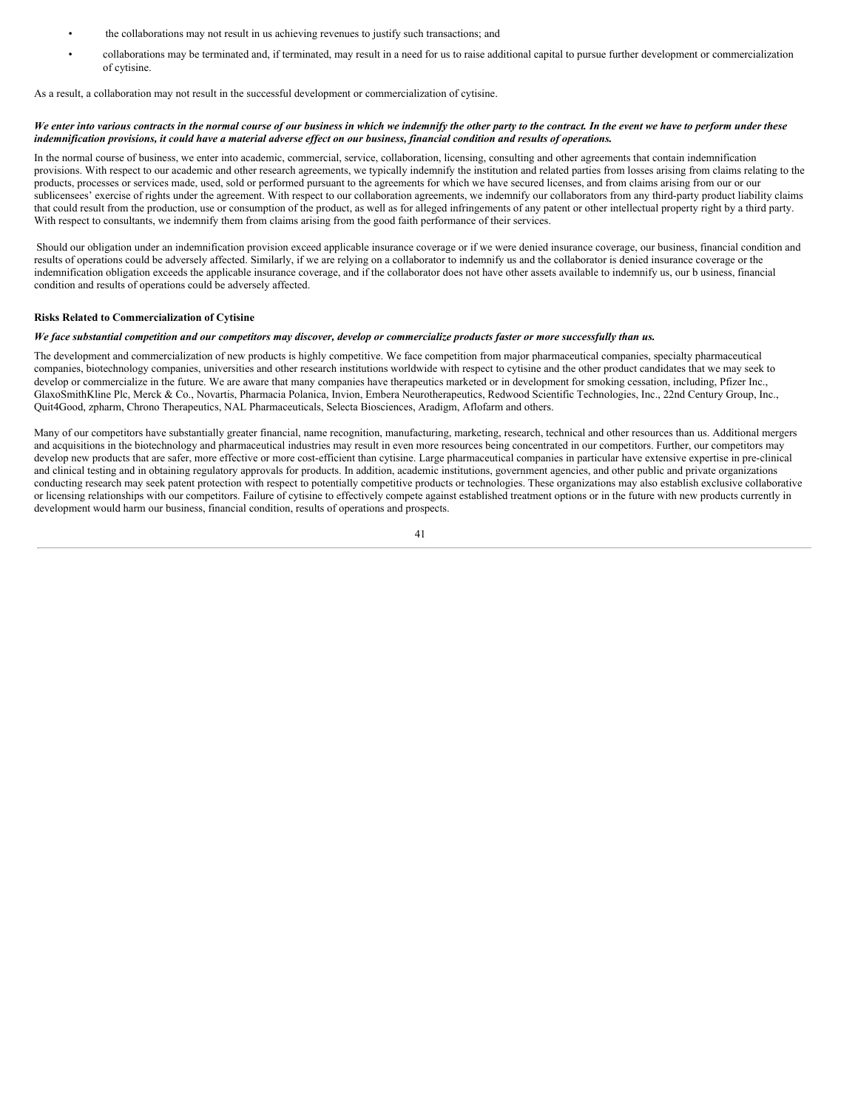- the collaborations may not result in us achieving revenues to justify such transactions; and
- collaborations may be terminated and, if terminated, may result in a need for us to raise additional capital to pursue further development or commercialization of cytisine.

As a result, a collaboration may not result in the successful development or commercialization of cytisine.

#### We enter into various contracts in the normal course of our business in which we indemnify the other party to the contract. In the event we have to perform under these indemnification provisions, it could have a material adverse effect on our business, financial condition and results of operations.

In the normal course of business, we enter into academic, commercial, service, collaboration, licensing, consulting and other agreements that contain indemnification provisions. With respect to our academic and other research agreements, we typically indemnify the institution and related parties from losses arising from claims relating to the products, processes or services made, used, sold or performed pursuant to the agreements for which we have secured licenses, and from claims arising from our or our sublicensees' exercise of rights under the agreement. With respect to our collaboration agreements, we indemnify our collaborators from any third-party product liability claims that could result from the production, use or consumption of the product, as well as for alleged infringements of any patent or other intellectual property right by a third party. With respect to consultants, we indemnify them from claims arising from the good faith performance of their services.

Should our obligation under an indemnification provision exceed applicable insurance coverage or if we were denied insurance coverage, our business, financial condition and results of operations could be adversely affected. Similarly, if we are relying on a collaborator to indemnify us and the collaborator is denied insurance coverage or the indemnification obligation exceeds the applicable insurance coverage, and if the collaborator does not have other assets available to indemnify us, our b usiness, financial condition and results of operations could be adversely affected.

# **Risks Related to Commercialization of Cytisine**

### We face substantial competition and our competitors may discover, develop or commercialize products faster or more successfully than us.

The development and commercialization of new products is highly competitive. We face competition from major pharmaceutical companies, specialty pharmaceutical companies, biotechnology companies, universities and other research institutions worldwide with respect to cytisine and the other product candidates that we may seek to develop or commercialize in the future. We are aware that many companies have therapeutics marketed or in development for smoking cessation, including, Pfizer Inc., GlaxoSmithKline Plc, Merck & Co., Novartis, Pharmacia Polanica, Invion, Embera Neurotherapeutics, Redwood Scientific Technologies, Inc., 22nd Century Group, Inc., Quit4Good, zpharm, Chrono Therapeutics, NAL Pharmaceuticals, Selecta Biosciences, Aradigm, Aflofarm and others.

Many of our competitors have substantially greater financial, name recognition, manufacturing, marketing, research, technical and other resources than us. Additional mergers and acquisitions in the biotechnology and pharmaceutical industries may result in even more resources being concentrated in our competitors. Further, our competitors may develop new products that are safer, more effective or more cost-efficient than cytisine. Large pharmaceutical companies in particular have extensive expertise in pre-clinical and clinical testing and in obtaining regulatory approvals for products. In addition, academic institutions, government agencies, and other public and private organizations conducting research may seek patent protection with respect to potentially competitive products or technologies. These organizations may also establish exclusive collaborative or licensing relationships with our competitors. Failure of cytisine to effectively compete against established treatment options or in the future with new products currently in development would harm our business, financial condition, results of operations and prospects.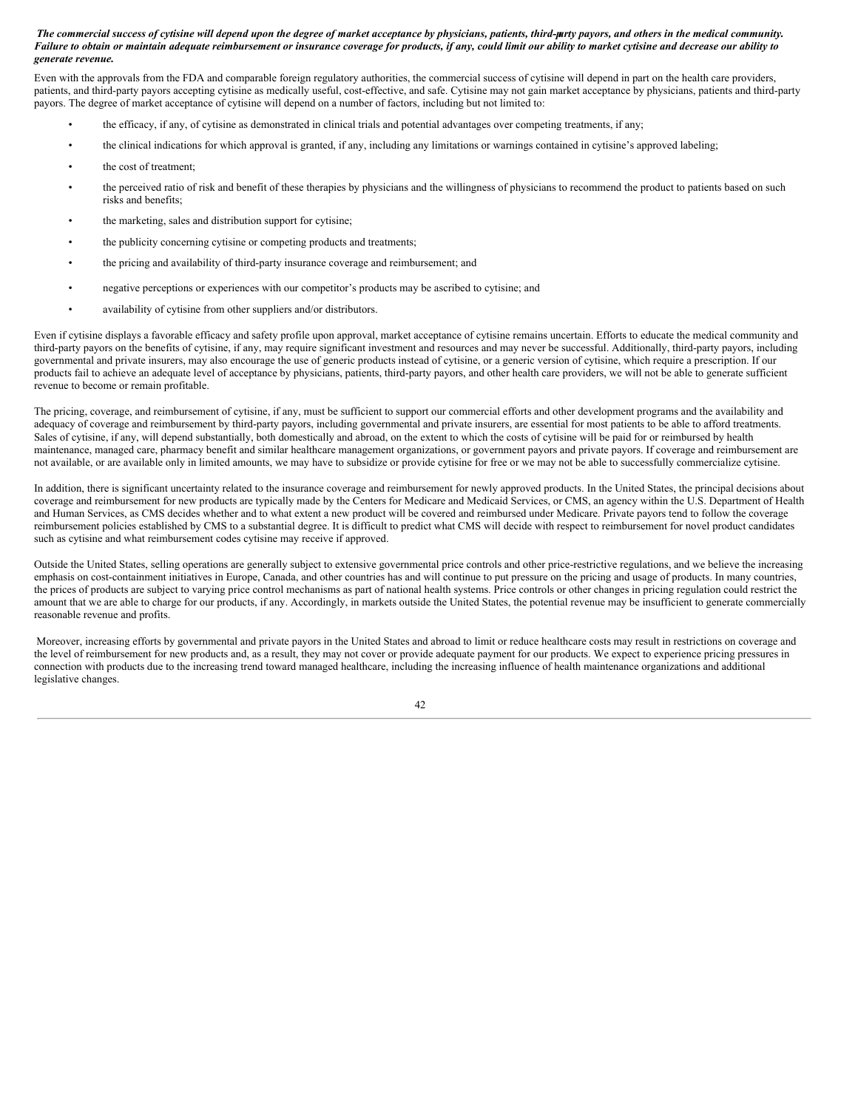# The commercial success of cytisine will depend upon the degree of market acceptance by physicians, patients, third-party payors, and others in the medical community. Failure to obtain or maintain adequate reimbursement or insurance coverage for products, if any, could limit our ability to market cytisine and decrease our ability to *generate revenue.*

Even with the approvals from the FDA and comparable foreign regulatory authorities, the commercial success of cytisine will depend in part on the health care providers, patients, and third-party payors accepting cytisine as medically useful, cost-effective, and safe. Cytisine may not gain market acceptance by physicians, patients and third-party payors. The degree of market acceptance of cytisine will depend on a number of factors, including but not limited to:

- the efficacy, if any, of cytisine as demonstrated in clinical trials and potential advantages over competing treatments, if any;
- the clinical indications for which approval is granted, if any, including any limitations or warnings contained in cytisine's approved labeling;
- the cost of treatment;
- the perceived ratio of risk and benefit of these therapies by physicians and the willingness of physicians to recommend the product to patients based on such risks and benefits;
- the marketing, sales and distribution support for cytisine;
- the publicity concerning cytisine or competing products and treatments;
- the pricing and availability of third-party insurance coverage and reimbursement; and
- negative perceptions or experiences with our competitor's products may be ascribed to cytisine; and
- availability of cytisine from other suppliers and/or distributors.

Even if cytisine displays a favorable efficacy and safety profile upon approval, market acceptance of cytisine remains uncertain. Efforts to educate the medical community and third-party payors on the benefits of cytisine, if any, may require significant investment and resources and may never be successful. Additionally, third-party payors, including governmental and private insurers, may also encourage the use of generic products instead of cytisine, or a generic version of cytisine, which require a prescription. If our products fail to achieve an adequate level of acceptance by physicians, patients, third-party payors, and other health care providers, we will not be able to generate sufficient revenue to become or remain profitable.

The pricing, coverage, and reimbursement of cytisine, if any, must be sufficient to support our commercial efforts and other development programs and the availability and adequacy of coverage and reimbursement by third-party payors, including governmental and private insurers, are essential for most patients to be able to afford treatments. Sales of cytisine, if any, will depend substantially, both domestically and abroad, on the extent to which the costs of cytisine will be paid for or reimbursed by health maintenance, managed care, pharmacy benefit and similar healthcare management organizations, or government payors and private payors. If coverage and reimbursement are not available, or are available only in limited amounts, we may have to subsidize or provide cytisine for free or we may not be able to successfully commercialize cytisine.

In addition, there is significant uncertainty related to the insurance coverage and reimbursement for newly approved products. In the United States, the principal decisions about coverage and reimbursement for new products are typically made by the Centers for Medicare and Medicaid Services, or CMS, an agency within the U.S. Department of Health and Human Services, as CMS decides whether and to what extent a new product will be covered and reimbursed under Medicare. Private payors tend to follow the coverage reimbursement policies established by CMS to a substantial degree. It is difficult to predict what CMS will decide with respect to reimbursement for novel product candidates such as cytisine and what reimbursement codes cytisine may receive if approved.

Outside the United States, selling operations are generally subject to extensive governmental price controls and other price-restrictive regulations, and we believe the increasing emphasis on cost-containment initiatives in Europe, Canada, and other countries has and will continue to put pressure on the pricing and usage of products. In many countries, the prices of products are subject to varying price control mechanisms as part of national health systems. Price controls or other changes in pricing regulation could restrict the amount that we are able to charge for our products, if any. Accordingly, in markets outside the United States, the potential revenue may be insufficient to generate commercially reasonable revenue and profits.

Moreover, increasing efforts by governmental and private payors in the United States and abroad to limit or reduce healthcare costs may result in restrictions on coverage and the level of reimbursement for new products and, as a result, they may not cover or provide adequate payment for our products. We expect to experience pricing pressures in connection with products due to the increasing trend toward managed healthcare, including the increasing influence of health maintenance organizations and additional legislative changes.

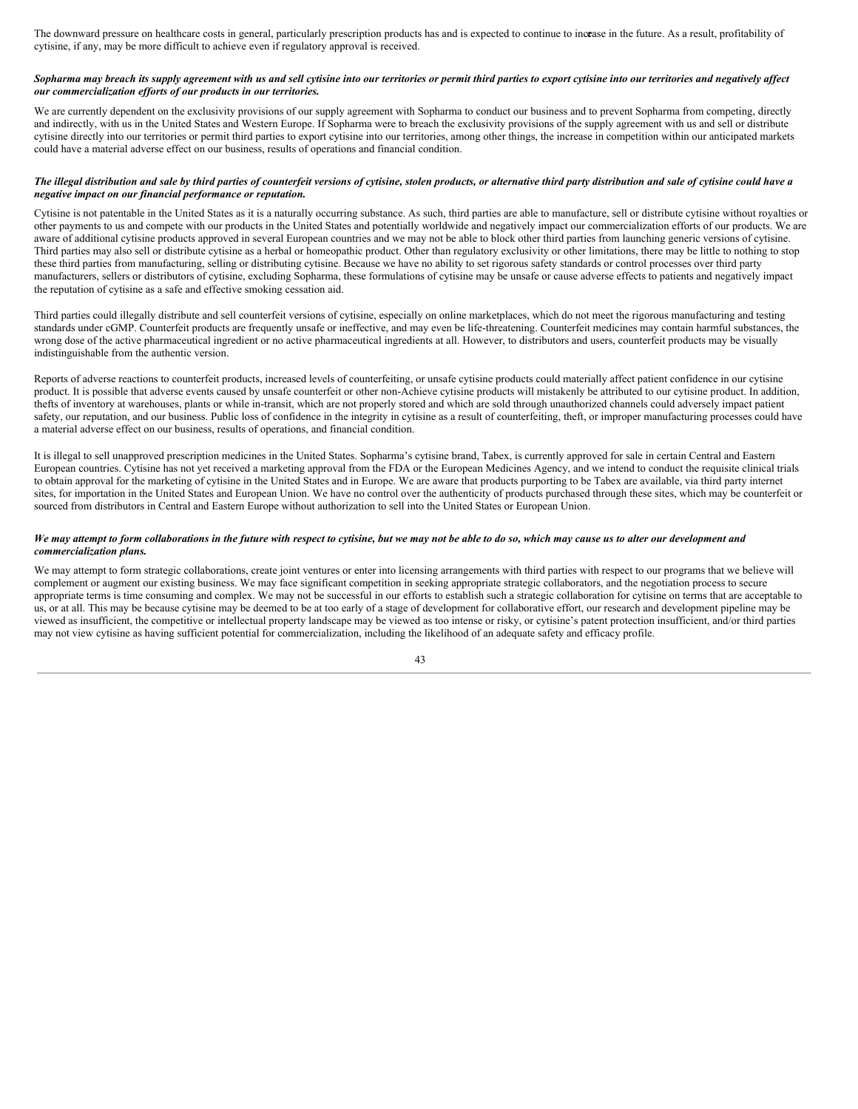The downward pressure on healthcare costs in general, particularly prescription products has and is expected to continue to incerase in the future. As a result, profitability of cytisine, if any, may be more difficult to achieve even if regulatory approval is received.

# Sopharma may breach its supply agreement with us and sell cytisine into our territories or permit third parties to export cytisine into our territories and negatively affect *our commercialization ef orts of our products in our territories.*

We are currently dependent on the exclusivity provisions of our supply agreement with Sopharma to conduct our business and to prevent Sopharma from competing, directly and indirectly, with us in the United States and Western Europe. If Sopharma were to breach the exclusivity provisions of the supply agreement with us and sell or distribute cytisine directly into our territories or permit third parties to export cytisine into our territories, among other things, the increase in competition within our anticipated markets could have a material adverse effect on our business, results of operations and financial condition.

# The illegal distribution and sale by third parties of counterfeit versions of cytisine, stolen products, or alternative third party distribution and sale of cytisine could have a *negative impact on our financial performance or reputation.*

Cytisine is not patentable in the United States as it is a naturally occurring substance. As such, third parties are able to manufacture, sell or distribute cytisine without royalties or other payments to us and compete with our products in the United States and potentially worldwide and negatively impact our commercialization efforts of our products. We are aware of additional cytisine products approved in several European countries and we may not be able to block other third parties from launching generic versions of cytisine. Third parties may also sell or distribute cytisine as a herbal or homeopathic product. Other than regulatory exclusivity or other limitations, there may be little to nothing to stop these third parties from manufacturing, selling or distributing cytisine. Because we have no ability to set rigorous safety standards or control processes over third party manufacturers, sellers or distributors of cytisine, excluding Sopharma, these formulations of cytisine may be unsafe or cause adverse effects to patients and negatively impact the reputation of cytisine as a safe and effective smoking cessation aid.

Third parties could illegally distribute and sell counterfeit versions of cytisine, especially on online marketplaces, which do not meet the rigorous manufacturing and testing standards under cGMP. Counterfeit products are frequently unsafe or ineffective, and may even be life-threatening. Counterfeit medicines may contain harmful substances, the wrong dose of the active pharmaceutical ingredient or no active pharmaceutical ingredients at all. However, to distributors and users, counterfeit products may be visually indistinguishable from the authentic version.

Reports of adverse reactions to counterfeit products, increased levels of counterfeiting, or unsafe cytisine products could materially affect patient confidence in our cytisine product. It is possible that adverse events caused by unsafe counterfeit or other non-Achieve cytisine products will mistakenly be attributed to our cytisine product. In addition, thefts of inventory at warehouses, plants or while in-transit, which are not properly stored and which are sold through unauthorized channels could adversely impact patient safety, our reputation, and our business. Public loss of confidence in the integrity in cytisine as a result of counterfeiting, theft, or improper manufacturing processes could have a material adverse effect on our business, results of operations, and financial condition.

It is illegal to sell unapproved prescription medicines in the United States. Sopharma's cytisine brand, Tabex, is currently approved for sale in certain Central and Eastern European countries. Cytisine has not yet received a marketing approval from the FDA or the European Medicines Agency, and we intend to conduct the requisite clinical trials to obtain approval for the marketing of cytisine in the United States and in Europe. We are aware that products purporting to be Tabex are available, via third party internet sites, for importation in the United States and European Union. We have no control over the authenticity of products purchased through these sites, which may be counterfeit or sourced from distributors in Central and Eastern Europe without authorization to sell into the United States or European Union.

#### We may attempt to form collaborations in the future with respect to cytisine, but we may not be able to do so, which may cause us to alter our development and *commercialization plans.*

We may attempt to form strategic collaborations, create joint ventures or enter into licensing arrangements with third parties with respect to our programs that we believe will complement or augment our existing business. We may face significant competition in seeking appropriate strategic collaborators, and the negotiation process to secure appropriate terms is time consuming and complex. We may not be successful in our efforts to establish such a strategic collaboration for cytisine on terms that are acceptable to us, or at all. This may be because cytisine may be deemed to be at too early of a stage of development for collaborative effort, our research and development pipeline may be viewed as insufficient, the competitive or intellectual property landscape may be viewed as too intense or risky, or cytisine's patent protection insufficient, and/or third parties may not view cytisine as having sufficient potential for commercialization, including the likelihood of an adequate safety and efficacy profile.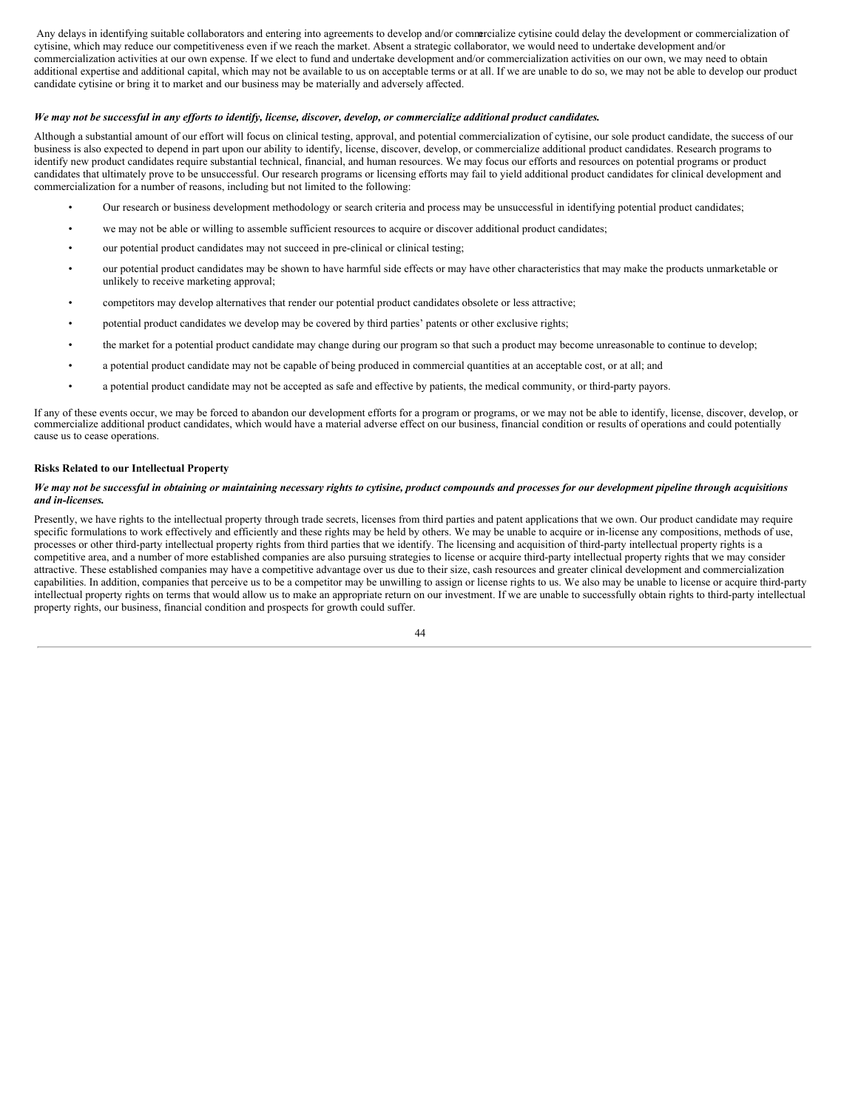Any delays in identifying suitable collaborators and entering into agreements to develop and/or commercialize cytisine could delay the development or commercialization of cytisine, which may reduce our competitiveness even if we reach the market. Absent a strategic collaborator, we would need to undertake development and/or commercialization activities at our own expense. If we elect to fund and undertake development and/or commercialization activities on our own, we may need to obtain additional expertise and additional capital, which may not be available to us on acceptable terms or at all. If we are unable to do so, we may not be able to develop our product candidate cytisine or bring it to market and our business may be materially and adversely affected.

# We may not be successful in any efforts to identify, license, discover, develop, or commercialize additional product candidates.

Although a substantial amount of our effort will focus on clinical testing, approval, and potential commercialization of cytisine, our sole product candidate, the success of our business is also expected to depend in part upon our ability to identify, license, discover, develop, or commercialize additional product candidates. Research programs to identify new product candidates require substantial technical, financial, and human resources. We may focus our efforts and resources on potential programs or product candidates that ultimately prove to be unsuccessful. Our research programs or licensing efforts may fail to yield additional product candidates for clinical development and commercialization for a number of reasons, including but not limited to the following:

- Our research or business development methodology or search criteria and process may be unsuccessful in identifying potential product candidates;
- we may not be able or willing to assemble sufficient resources to acquire or discover additional product candidates;
- our potential product candidates may not succeed in pre-clinical or clinical testing;
- our potential product candidates may be shown to have harmful side effects or may have other characteristics that may make the products unmarketable or unlikely to receive marketing approval;
- competitors may develop alternatives that render our potential product candidates obsolete or less attractive;
- potential product candidates we develop may be covered by third parties' patents or other exclusive rights;
- the market for a potential product candidate may change during our program so that such a product may become unreasonable to continue to develop;
- a potential product candidate may not be capable of being produced in commercial quantities at an acceptable cost, or at all; and
- a potential product candidate may not be accepted as safe and effective by patients, the medical community, or third-party payors.

If any of these events occur, we may be forced to abandon our development efforts for a program or programs, or we may not be able to identify, license, discover, develop, or commercialize additional product candidates, which would have a material adverse effect on our business, financial condition or results of operations and could potentially cause us to cease operations.

# **Risks Related to our Intellectual Property**

#### We may not be successful in obtaining or maintaining necessary rights to cytisine, product compounds and processes for our development pipeline through acquisitions *and in-licenses.*

Presently, we have rights to the intellectual property through trade secrets, licenses from third parties and patent applications that we own. Our product candidate may require specific formulations to work effectively and efficiently and these rights may be held by others. We may be unable to acquire or in-license any compositions, methods of use, processes or other third-party intellectual property rights from third parties that we identify. The licensing and acquisition of third-party intellectual property rights is a competitive area, and a number of more established companies are also pursuing strategies to license or acquire third-party intellectual property rights that we may consider attractive. These established companies may have a competitive advantage over us due to their size, cash resources and greater clinical development and commercialization capabilities. In addition, companies that perceive us to be a competitor may be unwilling to assign or license rights to us. We also may be unable to license or acquire third-party intellectual property rights on terms that would allow us to make an appropriate return on our investment. If we are unable to successfully obtain rights to third-party intellectual property rights, our business, financial condition and prospects for growth could suffer.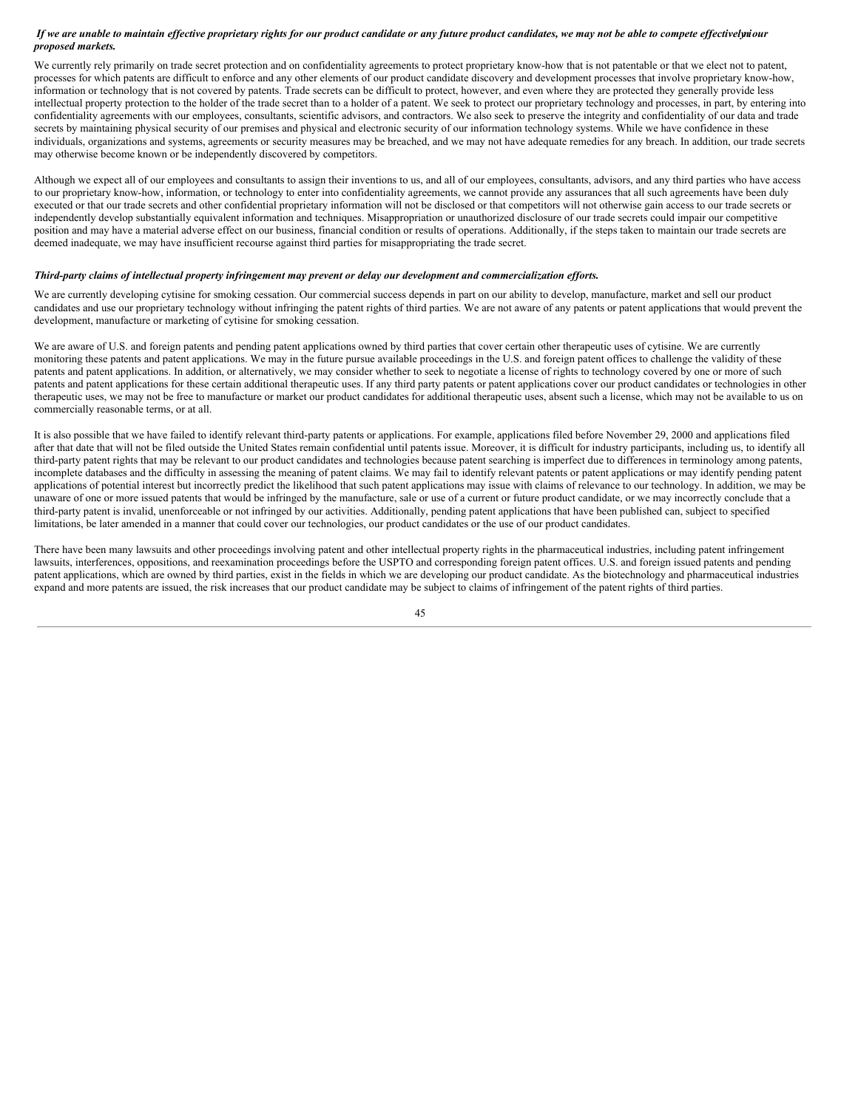# If we are unable to maintain effective proprietary rights for our product candidate or any future product candidates, we may not be able to compete effectivelynour *proposed markets.*

We currently rely primarily on trade secret protection and on confidentiality agreements to protect proprietary know-how that is not patentable or that we elect not to patent, processes for which patents are difficult to enforce and any other elements of our product candidate discovery and development processes that involve proprietary know-how, information or technology that is not covered by patents. Trade secrets can be difficult to protect, however, and even where they are protected they generally provide less intellectual property protection to the holder of the trade secret than to a holder of a patent. We seek to protect our proprietary technology and processes, in part, by entering into confidentiality agreements with our employees, consultants, scientific advisors, and contractors. We also seek to preserve the integrity and confidentiality of our data and trade secrets by maintaining physical security of our premises and physical and electronic security of our information technology systems. While we have confidence in these individuals, organizations and systems, agreements or security measures may be breached, and we may not have adequate remedies for any breach. In addition, our trade secrets may otherwise become known or be independently discovered by competitors.

Although we expect all of our employees and consultants to assign their inventions to us, and all of our employees, consultants, advisors, and any third parties who have access to our proprietary know-how, information, or technology to enter into confidentiality agreements, we cannot provide any assurances that all such agreements have been duly executed or that our trade secrets and other confidential proprietary information will not be disclosed or that competitors will not otherwise gain access to our trade secrets or independently develop substantially equivalent information and techniques. Misappropriation or unauthorized disclosure of our trade secrets could impair our competitive position and may have a material adverse effect on our business, financial condition or results of operations. Additionally, if the steps taken to maintain our trade secrets are deemed inadequate, we may have insufficient recourse against third parties for misappropriating the trade secret.

#### Third-party claims of intellectual property infringement may prevent or delay our development and commercialization efforts.

We are currently developing cytisine for smoking cessation. Our commercial success depends in part on our ability to develop, manufacture, market and sell our product candidates and use our proprietary technology without infringing the patent rights of third parties. We are not aware of any patents or patent applications that would prevent the development, manufacture or marketing of cytisine for smoking cessation.

We are aware of U.S. and foreign patents and pending patent applications owned by third parties that cover certain other therapeutic uses of cytisine. We are currently monitoring these patents and patent applications. We may in the future pursue available proceedings in the U.S. and foreign patent offices to challenge the validity of these patents and patent applications. In addition, or alternatively, we may consider whether to seek to negotiate a license of rights to technology covered by one or more of such patents and patent applications for these certain additional therapeutic uses. If any third party patents or patent applications cover our product candidates or technologies in other therapeutic uses, we may not be free to manufacture or market our product candidates for additional therapeutic uses, absent such a license, which may not be available to us on commercially reasonable terms, or at all.

It is also possible that we have failed to identify relevant third-party patents or applications. For example, applications filed before November 29, 2000 and applications filed after that date that will not be filed outside the United States remain confidential until patents issue. Moreover, it is difficult for industry participants, including us, to identify all third-party patent rights that may be relevant to our product candidates and technologies because patent searching is imperfect due to differences in terminology among patents, incomplete databases and the difficulty in assessing the meaning of patent claims. We may fail to identify relevant patents or patent applications or may identify pending patent applications of potential interest but incorrectly predict the likelihood that such patent applications may issue with claims of relevance to our technology. In addition, we may be unaware of one or more issued patents that would be infringed by the manufacture, sale or use of a current or future product candidate, or we may incorrectly conclude that a third-party patent is invalid, unenforceable or not infringed by our activities. Additionally, pending patent applications that have been published can, subject to specified limitations, be later amended in a manner that could cover our technologies, our product candidates or the use of our product candidates.

There have been many lawsuits and other proceedings involving patent and other intellectual property rights in the pharmaceutical industries, including patent infringement lawsuits, interferences, oppositions, and reexamination proceedings before the USPTO and corresponding foreign patent offices. U.S. and foreign issued patents and pending patent applications, which are owned by third parties, exist in the fields in which we are developing our product candidate. As the biotechnology and pharmaceutical industries expand and more patents are issued, the risk increases that our product candidate may be subject to claims of infringement of the patent rights of third parties.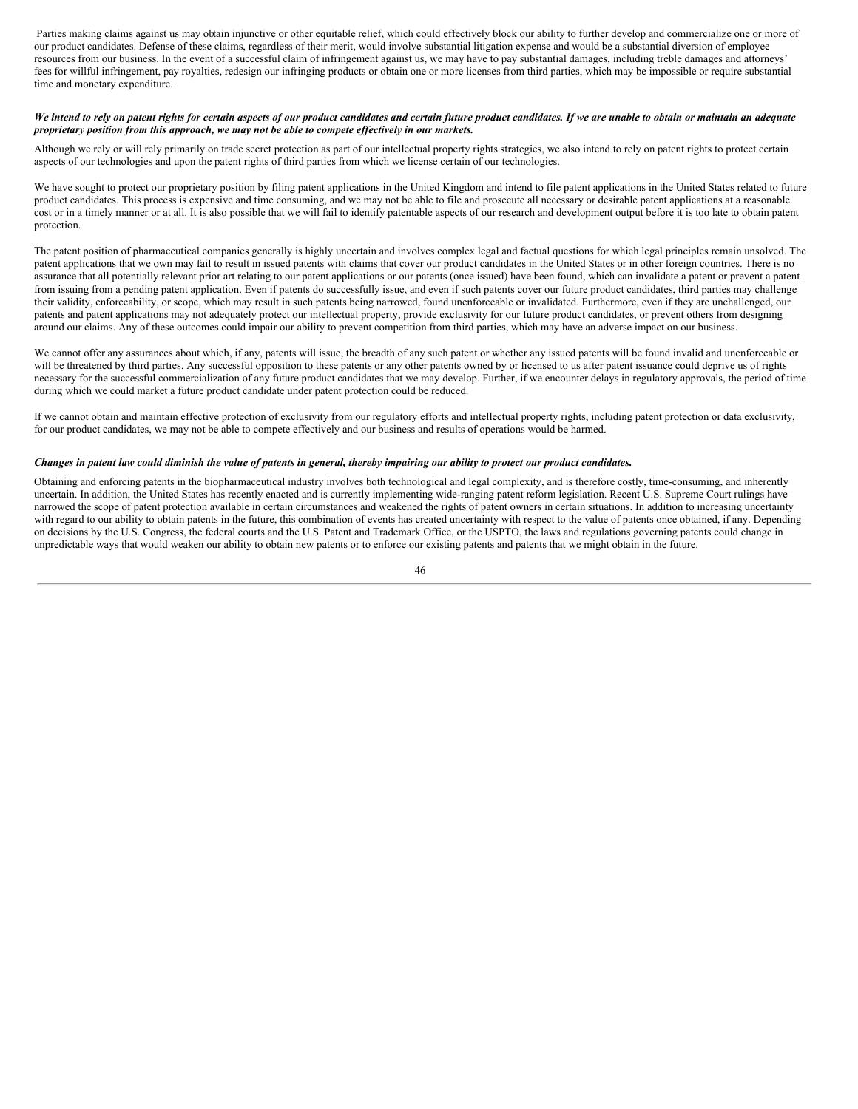Parties making claims against us may obtain injunctive or other equitable relief, which could effectively block our ability to further develop and commercialize one or more of our product candidates. Defense of these claims, regardless of their merit, would involve substantial litigation expense and would be a substantial diversion of employee resources from our business. In the event of a successful claim of infringement against us, we may have to pay substantial damages, including treble damages and attorneys' fees for willful infringement, pay royalties, redesign our infringing products or obtain one or more licenses from third parties, which may be impossible or require substantial time and monetary expenditure.

#### We intend to rely on patent rights for certain aspects of our product candidates and certain future product candidates. If we are unable to obtain or maintain an adequate *proprietary position from this approach, we may not be able to compete ef ectively in our markets.*

Although we rely or will rely primarily on trade secret protection as part of our intellectual property rights strategies, we also intend to rely on patent rights to protect certain aspects of our technologies and upon the patent rights of third parties from which we license certain of our technologies.

We have sought to protect our proprietary position by filing patent applications in the United Kingdom and intend to file patent applications in the United States related to future product candidates. This process is expensive and time consuming, and we may not be able to file and prosecute all necessary or desirable patent applications at a reasonable cost or in a timely manner or at all. It is also possible that we will fail to identify patentable aspects of our research and development output before it is too late to obtain patent protection.

The patent position of pharmaceutical companies generally is highly uncertain and involves complex legal and factual questions for which legal principles remain unsolved. The patent applications that we own may fail to result in issued patents with claims that cover our product candidates in the United States or in other foreign countries. There is no assurance that all potentially relevant prior art relating to our patent applications or our patents (once issued) have been found, which can invalidate a patent or prevent a patent from issuing from a pending patent application. Even if patents do successfully issue, and even if such patents cover our future product candidates, third parties may challenge their validity, enforceability, or scope, which may result in such patents being narrowed, found unenforceable or invalidated. Furthermore, even if they are unchallenged, our patents and patent applications may not adequately protect our intellectual property, provide exclusivity for our future product candidates, or prevent others from designing around our claims. Any of these outcomes could impair our ability to prevent competition from third parties, which may have an adverse impact on our business.

We cannot offer any assurances about which, if any, patents will issue, the breadth of any such patent or whether any issued patents will be found invalid and unenforceable or will be threatened by third parties. Any successful opposition to these patents or any other patents owned by or licensed to us after patent issuance could deprive us of rights necessary for the successful commercialization of any future product candidates that we may develop. Further, if we encounter delays in regulatory approvals, the period of time during which we could market a future product candidate under patent protection could be reduced.

If we cannot obtain and maintain effective protection of exclusivity from our regulatory efforts and intellectual property rights, including patent protection or data exclusivity, for our product candidates, we may not be able to compete effectively and our business and results of operations would be harmed.

# Changes in patent law could diminish the value of patents in general, thereby impairing our ability to protect our product candidates.

Obtaining and enforcing patents in the biopharmaceutical industry involves both technological and legal complexity, and is therefore costly, time-consuming, and inherently uncertain. In addition, the United States has recently enacted and is currently implementing wide-ranging patent reform legislation. Recent U.S. Supreme Court rulings have narrowed the scope of patent protection available in certain circumstances and weakened the rights of patent owners in certain situations. In addition to increasing uncertainty with regard to our ability to obtain patents in the future, this combination of events has created uncertainty with respect to the value of patents once obtained, if any. Depending on decisions by the U.S. Congress, the federal courts and the U.S. Patent and Trademark Office, or the USPTO, the laws and regulations governing patents could change in unpredictable ways that would weaken our ability to obtain new patents or to enforce our existing patents and patents that we might obtain in the future.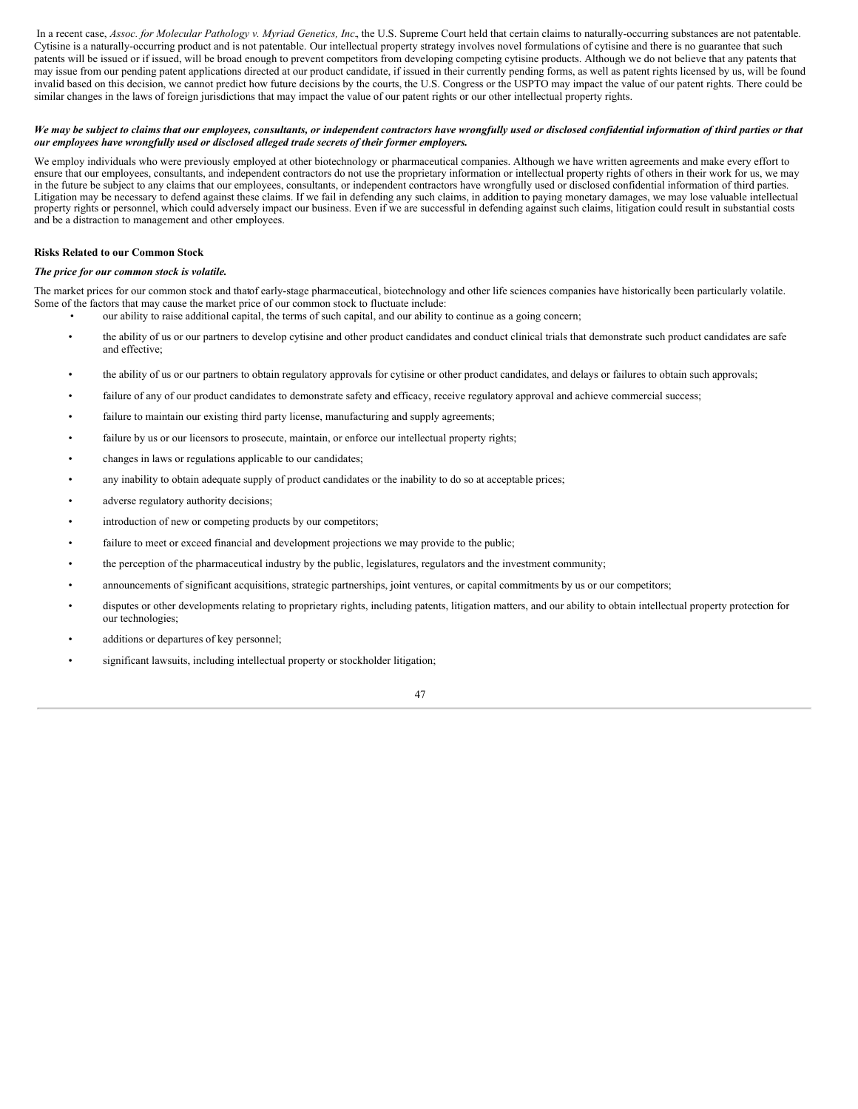In a recent case, Assoc. for Molecular Pathology v. Myriad Genetics, Inc., the U.S. Supreme Court held that certain claims to naturally-occurring substances are not patentable. Cytisine is a naturally-occurring product and is not patentable. Our intellectual property strategy involves novel formulations of cytisine and there is no guarantee that such patents will be issued or if issued, will be broad enough to prevent competitors from developing competing cytisine products. Although we do not believe that any patents that may issue from our pending patent applications directed at our product candidate, if issued in their currently pending forms, as well as patent rights licensed by us, will be found invalid based on this decision, we cannot predict how future decisions by the courts, the U.S. Congress or the USPTO may impact the value of our patent rights. There could be similar changes in the laws of foreign jurisdictions that may impact the value of our patent rights or our other intellectual property rights.

# We may be subject to claims that our employees, consultants, or independent contractors have wrongfully used or disclosed confidential information of third parties or that *our employees have wrongfully used or disclosed alleged trade secrets of their former employers.*

We employ individuals who were previously employed at other biotechnology or pharmaceutical companies. Although we have written agreements and make every effort to ensure that our employees, consultants, and independent contractors do not use the proprietary information or intellectual property rights of others in their work for us, we may in the future be subject to any claims that our employees, consultants, or independent contractors have wrongfully used or disclosed confidential information of third parties. Litigation may be necessary to defend against these claims. If we fail in defending any such claims, in addition to paying monetary damages, we may lose valuable intellectual property rights or personnel, which could adversely impact our business. Even if we are successful in defending against such claims, litigation could result in substantial costs and be a distraction to management and other employees.

# **Risks Related to our Common Stock**

# *The price for our common stock is volatile.*

The market prices for our common stock and thatof early-stage pharmaceutical, biotechnology and other life sciences companies have historically been particularly volatile. Some of the factors that may cause the market price of our common stock to fluctuate include:

- our ability to raise additional capital, the terms of such capital, and our ability to continue as a going concern;
- the ability of us or our partners to develop cytisine and other product candidates and conduct clinical trials that demonstrate such product candidates are safe and effective;
- the ability of us or our partners to obtain regulatory approvals for cytisine or other product candidates, and delays or failures to obtain such approvals;
- failure of any of our product candidates to demonstrate safety and efficacy, receive regulatory approval and achieve commercial success;
- failure to maintain our existing third party license, manufacturing and supply agreements;
- failure by us or our licensors to prosecute, maintain, or enforce our intellectual property rights;
- changes in laws or regulations applicable to our candidates;
- any inability to obtain adequate supply of product candidates or the inability to do so at acceptable prices;
- adverse regulatory authority decisions;
- introduction of new or competing products by our competitors;
- failure to meet or exceed financial and development projections we may provide to the public;
- the perception of the pharmaceutical industry by the public, legislatures, regulators and the investment community;
- announcements of significant acquisitions, strategic partnerships, joint ventures, or capital commitments by us or our competitors;
- disputes or other developments relating to proprietary rights, including patents, litigation matters, and our ability to obtain intellectual property protection for our technologies;
- additions or departures of key personnel;
- significant lawsuits, including intellectual property or stockholder litigation;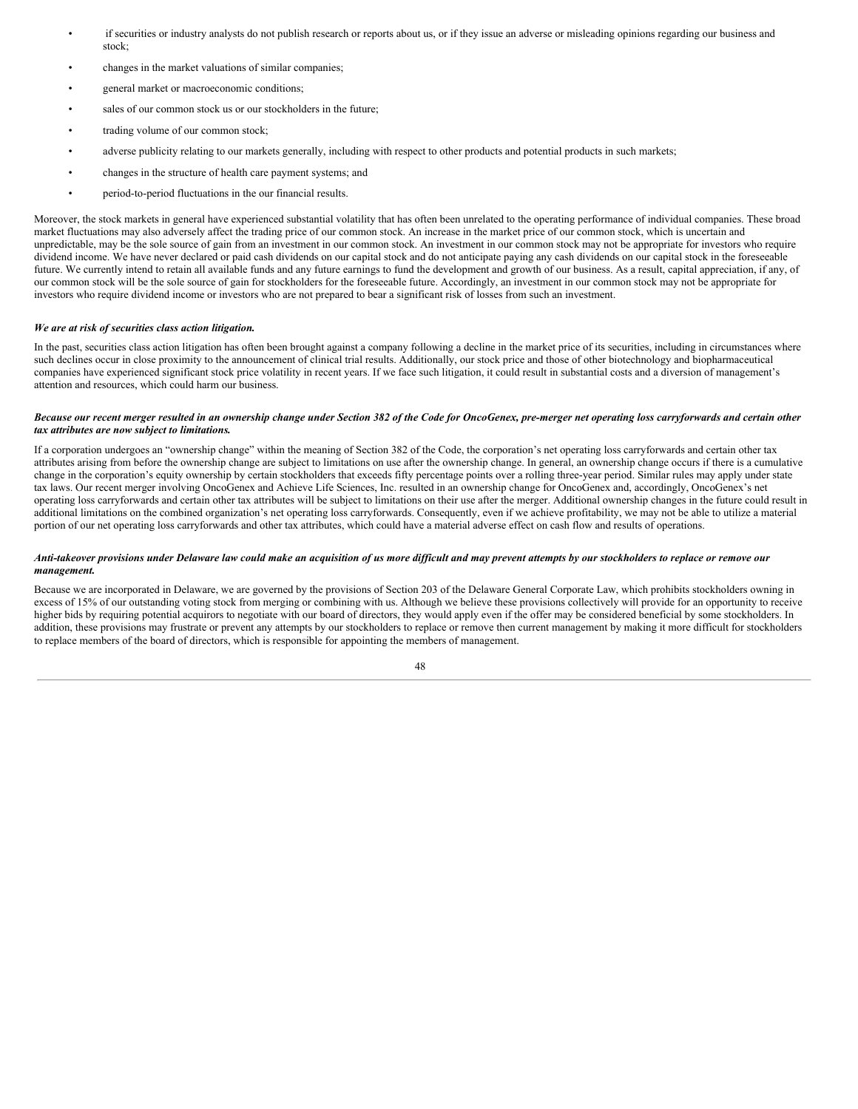- if securities or industry analysts do not publish research or reports about us, or if they issue an adverse or misleading opinions regarding our business and stock;
- changes in the market valuations of similar companies;
- general market or macroeconomic conditions;
- sales of our common stock us or our stockholders in the future;
- trading volume of our common stock;
- adverse publicity relating to our markets generally, including with respect to other products and potential products in such markets;
- changes in the structure of health care payment systems; and
- period-to-period fluctuations in the our financial results.

Moreover, the stock markets in general have experienced substantial volatility that has often been unrelated to the operating performance of individual companies. These broad market fluctuations may also adversely affect the trading price of our common stock. An increase in the market price of our common stock, which is uncertain and unpredictable, may be the sole source of gain from an investment in our common stock. An investment in our common stock may not be appropriate for investors who require dividend income. We have never declared or paid cash dividends on our capital stock and do not anticipate paying any cash dividends on our capital stock in the foreseeable future. We currently intend to retain all available funds and any future earnings to fund the development and growth of our business. As a result, capital appreciation, if any, of our common stock will be the sole source of gain for stockholders for the foreseeable future. Accordingly, an investment in our common stock may not be appropriate for investors who require dividend income or investors who are not prepared to bear a significant risk of losses from such an investment.

# *We are at risk of securities class action litigation.*

In the past, securities class action litigation has often been brought against a company following a decline in the market price of its securities, including in circumstances where such declines occur in close proximity to the announcement of clinical trial results. Additionally, our stock price and those of other biotechnology and biopharmaceutical companies have experienced significant stock price volatility in recent years. If we face such litigation, it could result in substantial costs and a diversion of management's attention and resources, which could harm our business.

# Because our recent merger resulted in an ownership change under Section 382 of the Code for OncoGenex, pre-merger net operating loss carryforwards and certain other *tax attributes are now subject to limitations.*

If a corporation undergoes an "ownership change" within the meaning of Section 382 of the Code, the corporation's net operating loss carryforwards and certain other tax attributes arising from before the ownership change are subject to limitations on use after the ownership change. In general, an ownership change occurs if there is a cumulative change in the corporation's equity ownership by certain stockholders that exceeds fifty percentage points over a rolling three-year period. Similar rules may apply under state tax laws. Our recent merger involving OncoGenex and Achieve Life Sciences, Inc. resulted in an ownership change for OncoGenex and, accordingly, OncoGenex's net operating loss carryforwards and certain other tax attributes will be subject to limitations on their use after the merger. Additional ownership changes in the future could result in additional limitations on the combined organization's net operating loss carryforwards. Consequently, even if we achieve profitability, we may not be able to utilize a material portion of our net operating loss carryforwards and other tax attributes, which could have a material adverse effect on cash flow and results of operations.

#### Anti-takeover provisions under Delaware law could make an acquisition of us more difficult and may prevent attempts by our stockholders to replace or remove our *management.*

Because we are incorporated in Delaware, we are governed by the provisions of Section 203 of the Delaware General Corporate Law, which prohibits stockholders owning in excess of 15% of our outstanding voting stock from merging or combining with us. Although we believe these provisions collectively will provide for an opportunity to receive higher bids by requiring potential acquirors to negotiate with our board of directors, they would apply even if the offer may be considered beneficial by some stockholders. In addition, these provisions may frustrate or prevent any attempts by our stockholders to replace or remove then current management by making it more difficult for stockholders to replace members of the board of directors, which is responsible for appointing the members of management.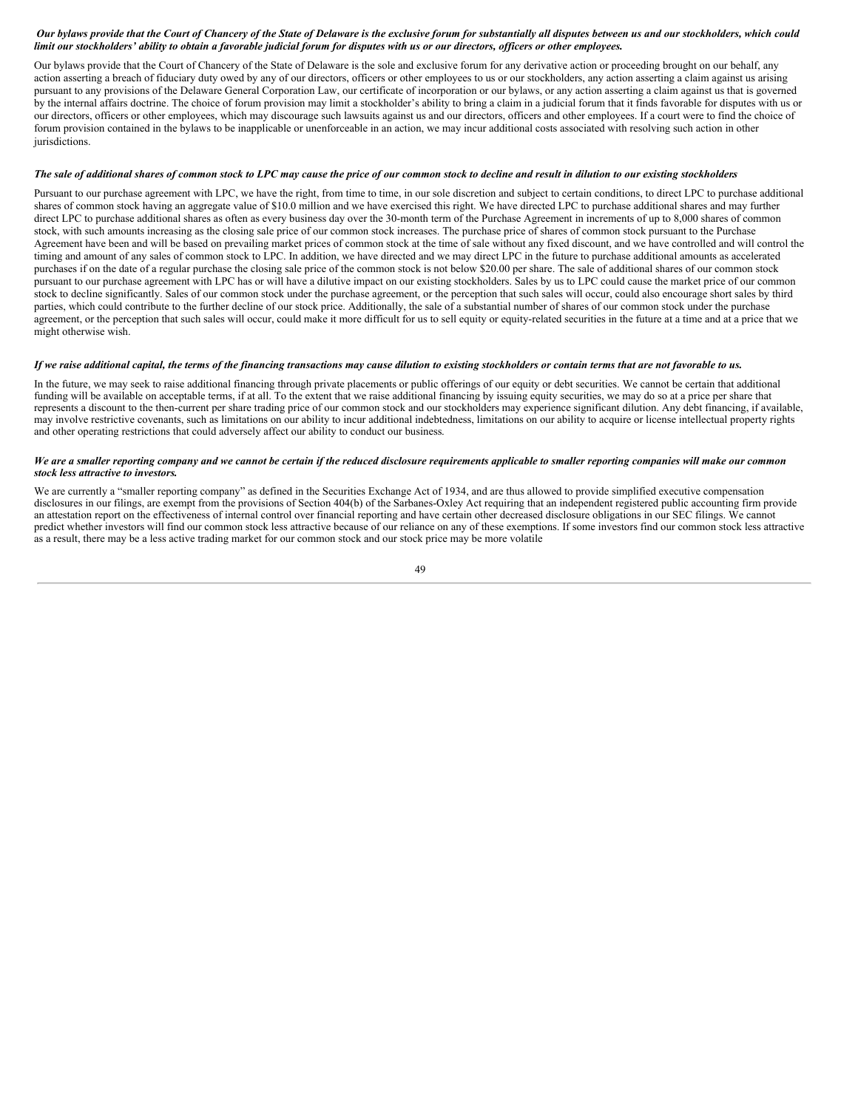## Our bylaws provide that the Court of Chancery of the State of Delaware is the exclusive forum for substantially all disputes between us and our stockholders, which could limit our stockholders' ability to obtain a favorable judicial forum for disputes with us or our directors, officers or other employees.

Our bylaws provide that the Court of Chancery of the State of Delaware is the sole and exclusive forum for any derivative action or proceeding brought on our behalf, any action asserting a breach of fiduciary duty owed by any of our directors, officers or other employees to us or our stockholders, any action asserting a claim against us arising pursuant to any provisions of the Delaware General Corporation Law, our certificate of incorporation or our bylaws, or any action asserting a claim against us that is governed by the internal affairs doctrine. The choice of forum provision may limit a stockholder's ability to bring a claim in a judicial forum that it finds favorable for disputes with us or our directors, officers or other employees, which may discourage such lawsuits against us and our directors, officers and other employees. If a court were to find the choice of forum provision contained in the bylaws to be inapplicable or unenforceable in an action, we may incur additional costs associated with resolving such action in other jurisdictions.

#### The sale of additional shares of common stock to LPC may cause the price of our common stock to decline and result in dilution to our existing stockholders

Pursuant to our purchase agreement with LPC, we have the right, from time to time, in our sole discretion and subject to certain conditions, to direct LPC to purchase additional shares of common stock having an aggregate value of \$10.0 million and we have exercised this right. We have directed LPC to purchase additional shares and may further direct LPC to purchase additional shares as often as every business day over the 30-month term of the Purchase Agreement in increments of up to 8,000 shares of common stock, with such amounts increasing as the closing sale price of our common stock increases. The purchase price of shares of common stock pursuant to the Purchase Agreement have been and will be based on prevailing market prices of common stock at the time of sale without any fixed discount, and we have controlled and will control the timing and amount of any sales of common stock to LPC. In addition, we have directed and we may direct LPC in the future to purchase additional amounts as accelerated purchases if on the date of a regular purchase the closing sale price of the common stock is not below \$20.00 per share. The sale of additional shares of our common stock pursuant to our purchase agreement with LPC has or will have a dilutive impact on our existing stockholders. Sales by us to LPC could cause the market price of our common stock to decline significantly. Sales of our common stock under the purchase agreement, or the perception that such sales will occur, could also encourage short sales by third parties, which could contribute to the further decline of our stock price. Additionally, the sale of a substantial number of shares of our common stock under the purchase agreement, or the perception that such sales will occur, could make it more difficult for us to sell equity or equity-related securities in the future at a time and at a price that we might otherwise wish.

#### If we raise additional capital, the terms of the financing transactions may cause dilution to existing stockholders or contain terms that are not favorable to us.

In the future, we may seek to raise additional financing through private placements or public offerings of our equity or debt securities. We cannot be certain that additional funding will be available on acceptable terms, if at all. To the extent that we raise additional financing by issuing equity securities, we may do so at a price per share that represents a discount to the then-current per share trading price of our common stock and our stockholders may experience significant dilution. Any debt financing, if available, may involve restrictive covenants, such as limitations on our ability to incur additional indebtedness, limitations on our ability to acquire or license intellectual property rights and other operating restrictions that could adversely affect our ability to conduct our business.

#### We are a smaller reporting company and we cannot be certain if the reduced disclosure requirements applicable to smaller reporting companies will make our common *stock less attractive to investors.*

We are currently a "smaller reporting company" as defined in the Securities Exchange Act of 1934, and are thus allowed to provide simplified executive compensation disclosures in our filings, are exempt from the provisions of Section 404(b) of the Sarbanes-Oxley Act requiring that an independent registered public accounting firm provide an attestation report on the effectiveness of internal control over financial reporting and have certain other decreased disclosure obligations in our SEC filings. We cannot predict whether investors will find our common stock less attractive because of our reliance on any of these exemptions. If some investors find our common stock less attractive as a result, there may be a less active trading market for our common stock and our stock price may be more volatile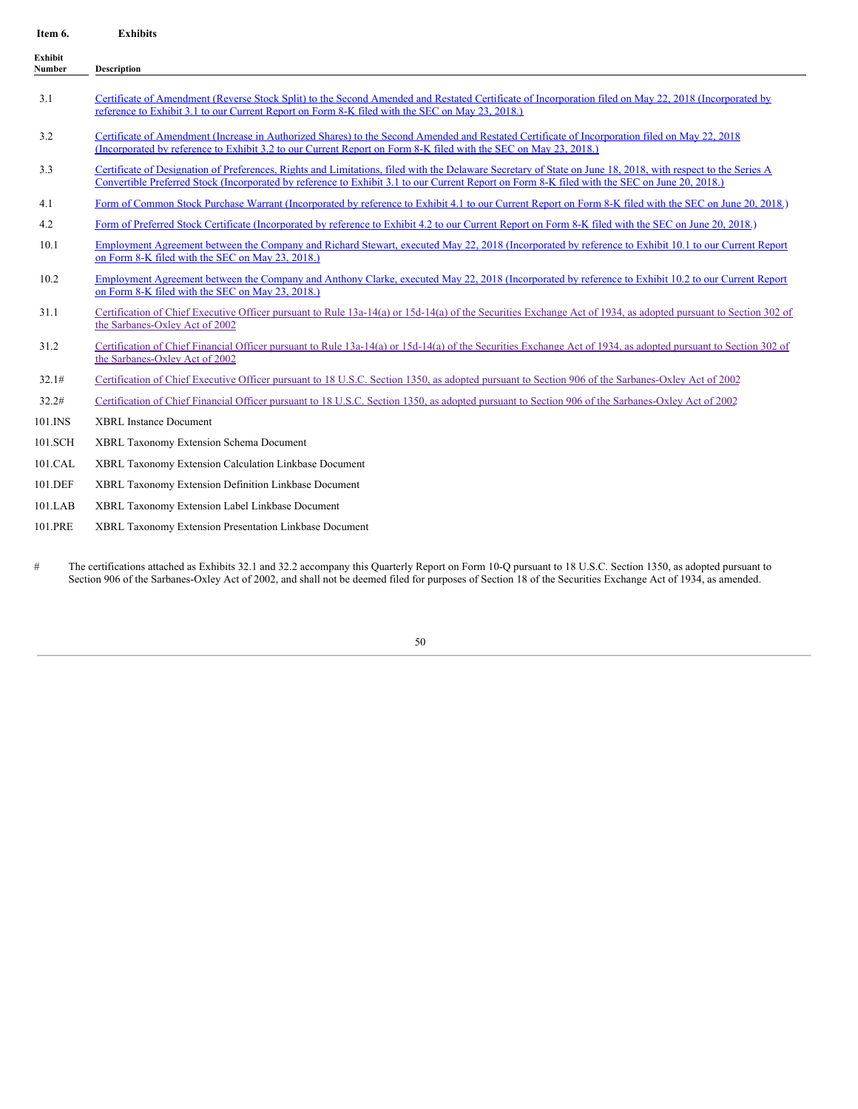<span id="page-49-0"></span>

| Item 6.           | <b>Exhibits</b>                                                                                                                                                                                                                                                                                               |
|-------------------|---------------------------------------------------------------------------------------------------------------------------------------------------------------------------------------------------------------------------------------------------------------------------------------------------------------|
| Exhibit<br>Number | <b>Description</b>                                                                                                                                                                                                                                                                                            |
| 3.1               | Certificate of Amendment (Reverse Stock Split) to the Second Amended and Restated Certificate of Incorporation filed on May 22, 2018 (Incorporated by<br>reference to Exhibit 3.1 to our Current Report on Form 8-K filed with the SEC on May 23, 2018.)                                                      |
| 3.2               | Certificate of Amendment (Increase in Authorized Shares) to the Second Amended and Restated Certificate of Incorporation filed on May 22, 2018<br>(Incorporated by reference to Exhibit 3.2 to our Current Report on Form 8-K filed with the SEC on May 23, 2018.)                                            |
| 3.3               | Certificate of Designation of Preferences, Rights and Limitations, filed with the Delaware Secretary of State on June 18, 2018, with respect to the Series A<br>Convertible Preferred Stock (Incorporated by reference to Exhibit 3.1 to our Current Report on Form 8-K filed with the SEC on June 20, 2018.) |
| 4.1               | Form of Common Stock Purchase Warrant (Incorporated by reference to Exhibit 4.1 to our Current Report on Form 8-K filed with the SEC on June 20, 2018.)                                                                                                                                                       |
| 4.2               | Form of Preferred Stock Certificate (Incorporated by reference to Exhibit 4.2 to our Current Report on Form 8-K filed with the SEC on June 20, 2018.)                                                                                                                                                         |
| 10.1              | Employment Agreement between the Company and Richard Stewart, executed May 22, 2018 (Incorporated by reference to Exhibit 10.1 to our Current Report<br>on Form 8-K filed with the SEC on May 23, 2018.)                                                                                                      |
| 10.2              | Employment Agreement between the Company and Anthony Clarke, executed May 22, 2018 (Incorporated by reference to Exhibit 10.2 to our Current Report<br>on Form 8-K filed with the SEC on May 23, 2018.)                                                                                                       |
| 31.1              | Certification of Chief Executive Officer pursuant to Rule 13a-14(a) or 15d-14(a) of the Securities Exchange Act of 1934, as adopted pursuant to Section 302 of<br>the Sarbanes-Oxley Act of 2002                                                                                                              |
| 31.2              | Certification of Chief Financial Officer pursuant to Rule 13a-14(a) or 15d-14(a) of the Securities Exchange Act of 1934, as adopted pursuant to Section 302 of<br>the Sarbanes-Oxley Act of 2002                                                                                                              |
| 32.1#             | Certification of Chief Executive Officer pursuant to 18 U.S.C. Section 1350, as adopted pursuant to Section 906 of the Sarbanes-Oxley Act of 2002                                                                                                                                                             |
| 32.2#             | Certification of Chief Financial Officer pursuant to 18 U.S.C. Section 1350, as adopted pursuant to Section 906 of the Sarbanes-Oxley Act of 2002                                                                                                                                                             |
| 101.INS           | <b>XBRL</b> Instance Document                                                                                                                                                                                                                                                                                 |
| 101.SCH           | XBRL Taxonomy Extension Schema Document                                                                                                                                                                                                                                                                       |
| 101.CAL           | XBRL Taxonomy Extension Calculation Linkbase Document                                                                                                                                                                                                                                                         |
| 101.DEF           | XBRL Taxonomy Extension Definition Linkbase Document                                                                                                                                                                                                                                                          |
| 101.LAB           | XBRL Taxonomy Extension Label Linkbase Document                                                                                                                                                                                                                                                               |
| 101.PRE           | XBRL Taxonomy Extension Presentation Linkbase Document                                                                                                                                                                                                                                                        |

# The certifications attached as Exhibits 32.1 and 32.2 accompany this Quarterly Report on Form 10-Q pursuant to 18 U.S.C. Section 1350, as adopted pursuant to Section 906 of the Sarbanes-Oxley Act of 2002, and shall not be deemed filed for purposes of Section 18 of the Securities Exchange Act of 1934, as amended.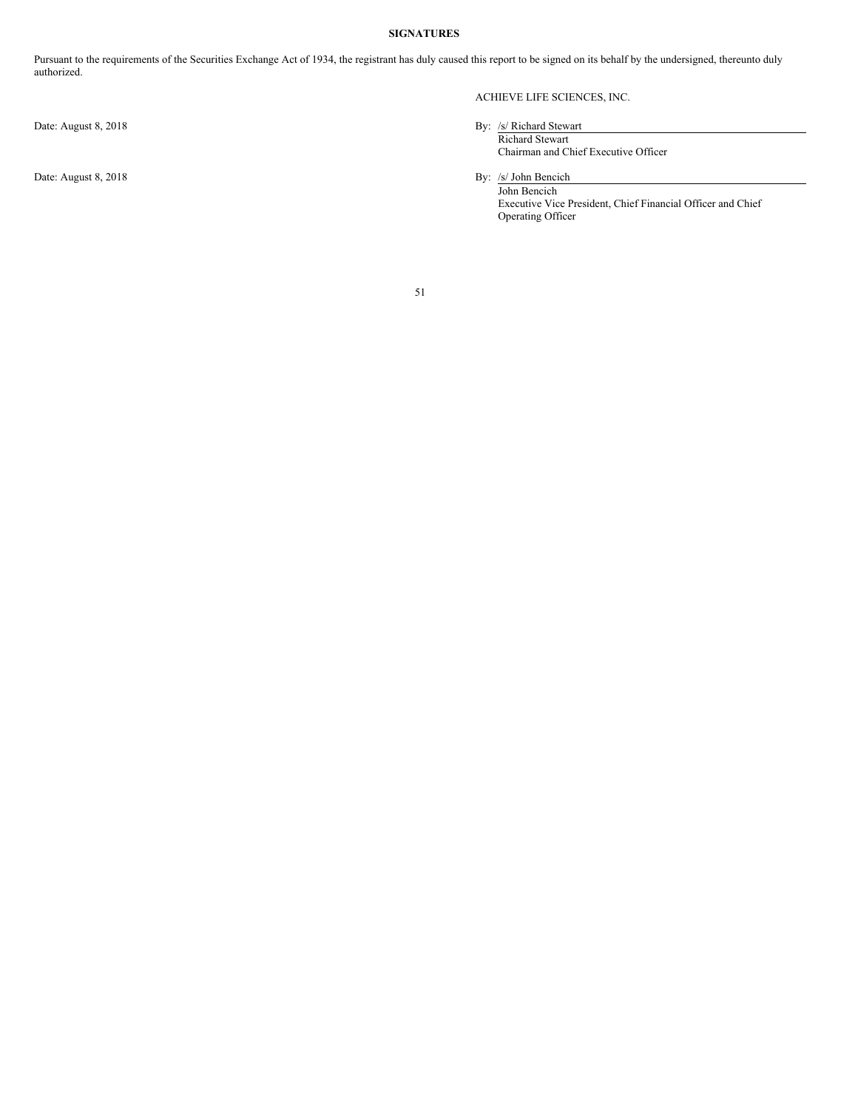# <span id="page-50-0"></span>**SIGNATURES**

Pursuant to the requirements of the Securities Exchange Act of 1934, the registrant has duly caused this report to be signed on its behalf by the undersigned, thereunto duly authorized.

# ACHIEVE LIFE SCIENCES, INC.

# Date: August 8, 2018 By: /s/ Richard Stewart

Richard Stewart Chairman and Chief Executive Officer

Date: August 8, 2018 By: /s/ John Bencich

John Bencich Executive Vice President, Chief Financial Officer and Chief Operating Officer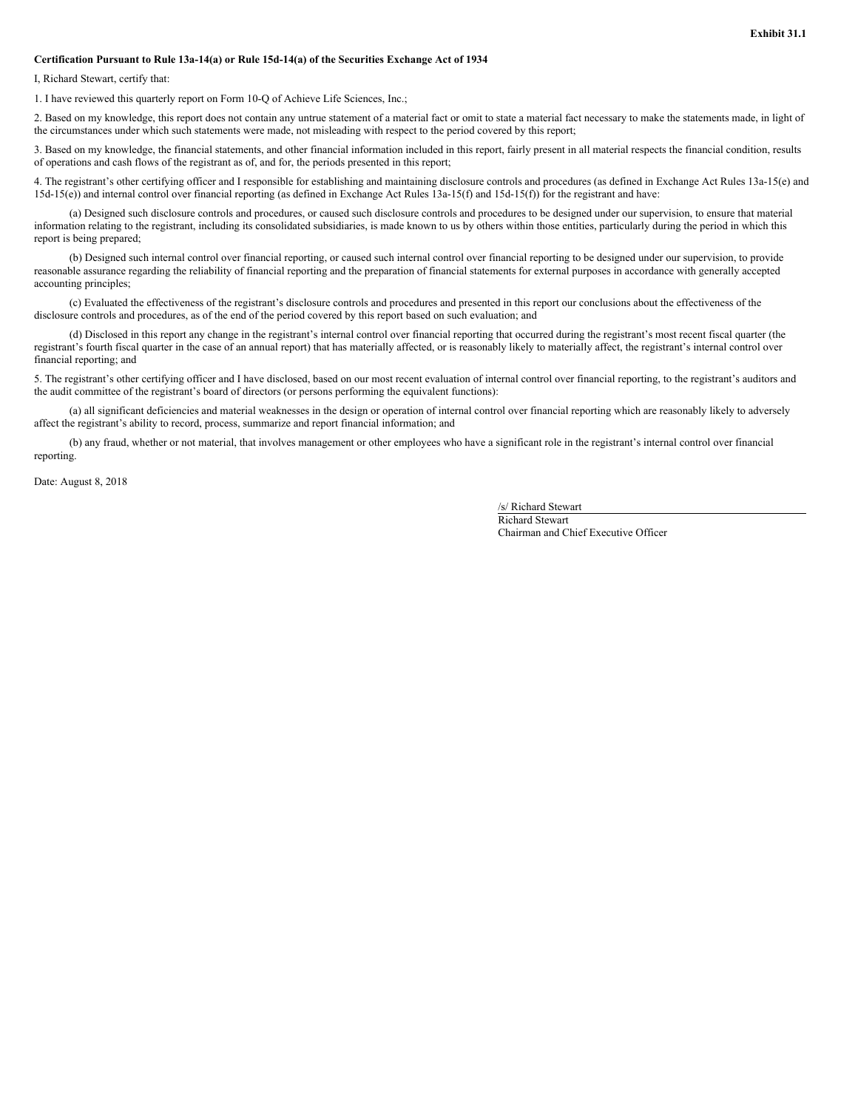### <span id="page-51-0"></span>**Certification Pursuant to Rule 13a-14(a) or Rule 15d-14(a) of the Securities Exchange Act of 1934**

I, Richard Stewart, certify that:

1. I have reviewed this quarterly report on Form 10-Q of Achieve Life Sciences, Inc.;

2. Based on my knowledge, this report does not contain any untrue statement of a material fact or omit to state a material fact necessary to make the statements made, in light of the circumstances under which such statements were made, not misleading with respect to the period covered by this report;

3. Based on my knowledge, the financial statements, and other financial information included in this report, fairly present in all material respects the financial condition, results of operations and cash flows of the registrant as of, and for, the periods presented in this report;

4. The registrant's other certifying officer and I responsible for establishing and maintaining disclosure controls and procedures (as defined in Exchange Act Rules 13a-15(e) and 15d-15(e)) and internal control over financial reporting (as defined in Exchange Act Rules 13a-15(f) and 15d-15(f)) for the registrant and have:

(a) Designed such disclosure controls and procedures, or caused such disclosure controls and procedures to be designed under our supervision, to ensure that material information relating to the registrant, including its consolidated subsidiaries, is made known to us by others within those entities, particularly during the period in which this report is being prepared;

(b) Designed such internal control over financial reporting, or caused such internal control over financial reporting to be designed under our supervision, to provide reasonable assurance regarding the reliability of financial reporting and the preparation of financial statements for external purposes in accordance with generally accepted accounting principles;

(c) Evaluated the effectiveness of the registrant's disclosure controls and procedures and presented in this report our conclusions about the effectiveness of the disclosure controls and procedures, as of the end of the period covered by this report based on such evaluation; and

(d) Disclosed in this report any change in the registrant's internal control over financial reporting that occurred during the registrant's most recent fiscal quarter (the registrant's fourth fiscal quarter in the case of an annual report) that has materially affected, or is reasonably likely to materially affect, the registrant's internal control over financial reporting; and

5. The registrant's other certifying officer and I have disclosed, based on our most recent evaluation of internal control over financial reporting, to the registrant's auditors and the audit committee of the registrant's board of directors (or persons performing the equivalent functions):

(a) all significant deficiencies and material weaknesses in the design or operation of internal control over financial reporting which are reasonably likely to adversely affect the registrant's ability to record, process, summarize and report financial information; and

(b) any fraud, whether or not material, that involves management or other employees who have a significant role in the registrant's internal control over financial reporting.

Date: August 8, 2018

/s/ Richard Stewart

Richard Stewart Chairman and Chief Executive Officer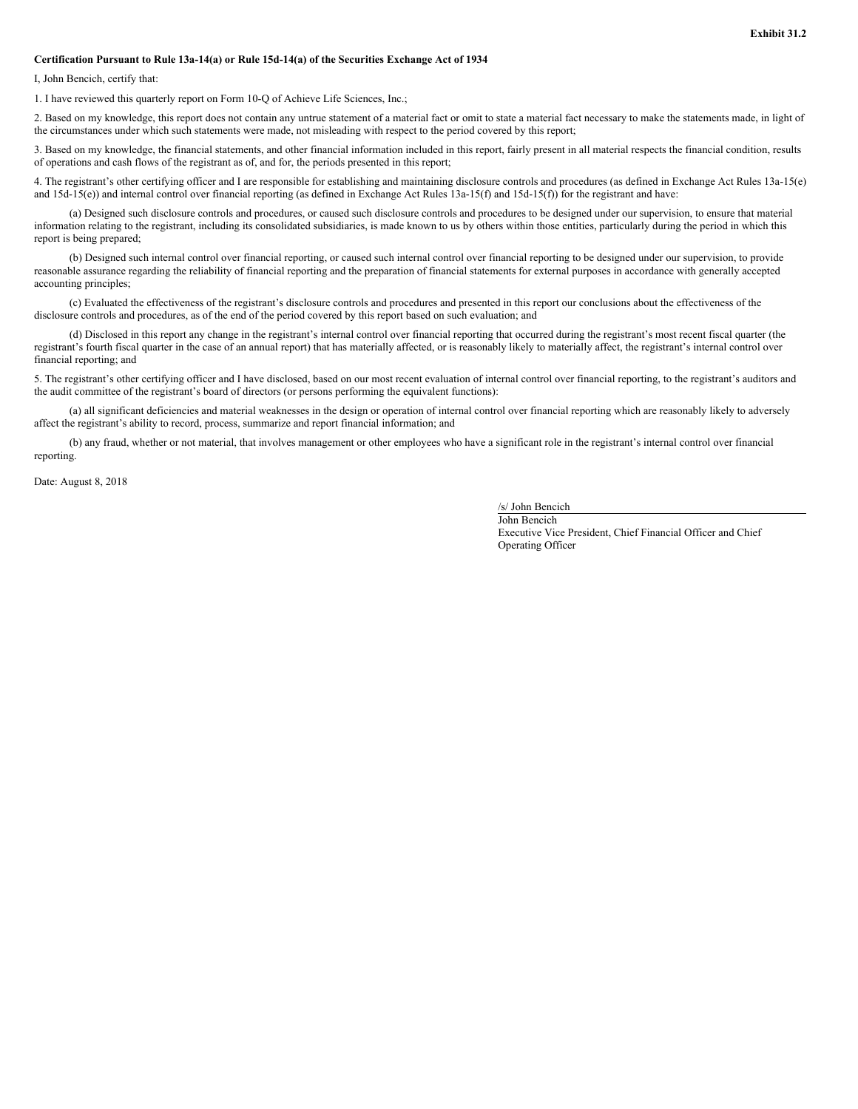#### <span id="page-52-0"></span>**Certification Pursuant to Rule 13a-14(a) or Rule 15d-14(a) of the Securities Exchange Act of 1934**

I, John Bencich, certify that:

1. I have reviewed this quarterly report on Form 10-Q of Achieve Life Sciences, Inc.;

2. Based on my knowledge, this report does not contain any untrue statement of a material fact or omit to state a material fact necessary to make the statements made, in light of the circumstances under which such statements were made, not misleading with respect to the period covered by this report;

3. Based on my knowledge, the financial statements, and other financial information included in this report, fairly present in all material respects the financial condition, results of operations and cash flows of the registrant as of, and for, the periods presented in this report;

4. The registrant's other certifying officer and I are responsible for establishing and maintaining disclosure controls and procedures (as defined in Exchange Act Rules 13a-15(e) and  $15d-15(e)$ ) and internal control over financial reporting (as defined in Exchange Act Rules  $13a-15(f)$  and  $15d-15(f)$ ) for the registrant and have:

(a) Designed such disclosure controls and procedures, or caused such disclosure controls and procedures to be designed under our supervision, to ensure that material information relating to the registrant, including its consolidated subsidiaries, is made known to us by others within those entities, particularly during the period in which this report is being prepared;

(b) Designed such internal control over financial reporting, or caused such internal control over financial reporting to be designed under our supervision, to provide reasonable assurance regarding the reliability of financial reporting and the preparation of financial statements for external purposes in accordance with generally accepted accounting principles;

(c) Evaluated the effectiveness of the registrant's disclosure controls and procedures and presented in this report our conclusions about the effectiveness of the disclosure controls and procedures, as of the end of the period covered by this report based on such evaluation; and

(d) Disclosed in this report any change in the registrant's internal control over financial reporting that occurred during the registrant's most recent fiscal quarter (the registrant's fourth fiscal quarter in the case of an annual report) that has materially affected, or is reasonably likely to materially affect, the registrant's internal control over financial reporting; and

5. The registrant's other certifying officer and I have disclosed, based on our most recent evaluation of internal control over financial reporting, to the registrant's auditors and the audit committee of the registrant's board of directors (or persons performing the equivalent functions):

(a) all significant deficiencies and material weaknesses in the design or operation of internal control over financial reporting which are reasonably likely to adversely affect the registrant's ability to record, process, summarize and report financial information; and

(b) any fraud, whether or not material, that involves management or other employees who have a significant role in the registrant's internal control over financial reporting.

Date: August 8, 2018

/s/ John Bencich

John Bencich Executive Vice President, Chief Financial Officer and Chief Operating Officer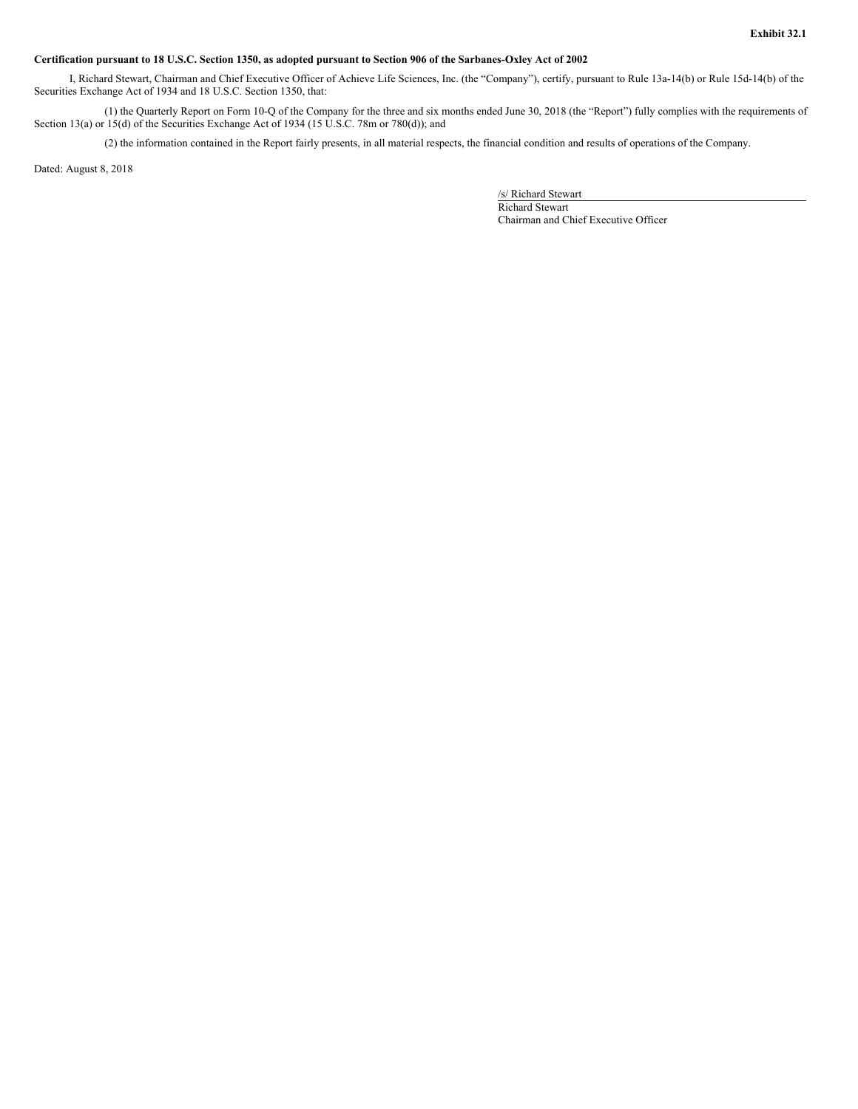# <span id="page-53-0"></span>Certification pursuant to 18 U.S.C. Section 1350, as adopted pursuant to Section 906 of the Sarbanes-Oxley Act of 2002

I, Richard Stewart, Chairman and Chief Executive Officer of Achieve Life Sciences, Inc. (the "Company"), certify, pursuant to Rule 13a-14(b) or Rule 15d-14(b) of the Securities Exchange Act of 1934 and 18 U.S.C. Section 1350, that:

(1) the Quarterly Report on Form 10-Q of the Company for the three and six months ended June 30, 2018 (the "Report") fully complies with the requirements of Section 13(a) or 15(d) of the Securities Exchange Act of 1934 (15 U.S.C. 78m or 780(d)); and

(2) the information contained in the Report fairly presents, in all material respects, the financial condition and results of operations of the Company.

Dated: August 8, 2018

/s/ Richard Stewart

Richard Stewart Chairman and Chief Executive Officer